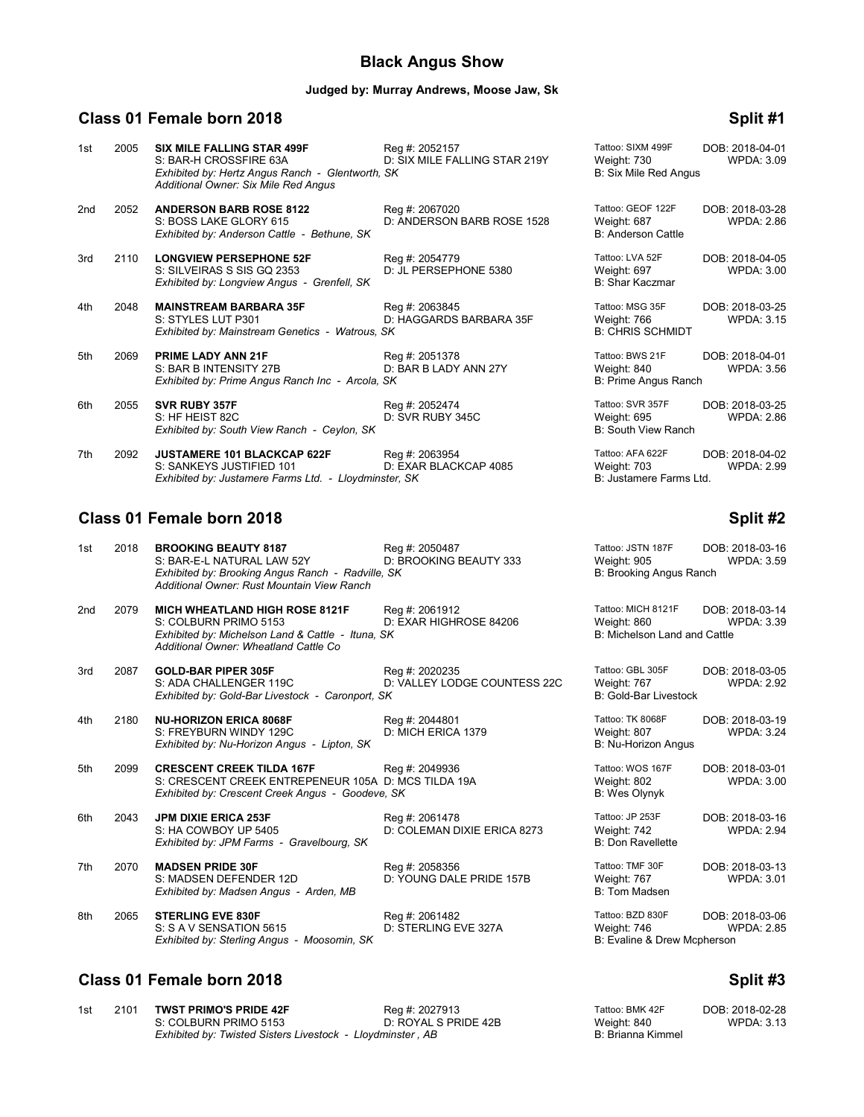# **Black Angus Show**

### **Judged by: Murray Andrews, Moose Jaw, Sk**

# **Class 01 Female born 2018 Split #1**

| 1st | 2005 | <b>SIX MILE FALLING STAR 499F</b><br>S: BAR-H CROSSFIRE 63A<br>Exhibited by: Hertz Angus Ranch - Glentworth, SK<br>Additional Owner: Six Mile Red Angus | Reg #: 2052157<br>D: SIX MILE FALLING STAR 219Y | Tattoo: SIXM 499F<br>Weight: 730<br>B: Six Mile Red Angus     | DOB: 2018-04-01<br><b>WPDA: 3.09</b> |
|-----|------|---------------------------------------------------------------------------------------------------------------------------------------------------------|-------------------------------------------------|---------------------------------------------------------------|--------------------------------------|
| 2nd | 2052 | <b>ANDERSON BARB ROSE 8122</b><br>S: BOSS LAKE GLORY 615<br>Exhibited by: Anderson Cattle - Bethune, SK                                                 | Reg #: 2067020<br>D: ANDERSON BARB ROSE 1528    | Tattoo: GEOF 122F<br>Weight: 687<br><b>B: Anderson Cattle</b> | DOB: 2018-03-28<br><b>WPDA: 2.86</b> |
| 3rd | 2110 | <b>LONGVIEW PERSEPHONE 52F</b><br>S: SILVEIRAS S SIS GQ 2353<br>Exhibited by: Longview Angus - Grenfell, SK                                             | Reg #: 2054779<br>D: JL PERSEPHONE 5380         | Tattoo: LVA 52F<br>Weight: 697<br>B: Shar Kaczmar             | DOB: 2018-04-05<br><b>WPDA: 3.00</b> |
| 4th | 2048 | <b>MAINSTREAM BARBARA 35F</b><br>S: STYLES LUT P301<br>Exhibited by: Mainstream Genetics - Watrous, SK                                                  | Reg #: 2063845<br>D: HAGGARDS BARBARA 35F       | Tattoo: MSG 35F<br>Weight: 766<br><b>B: CHRIS SCHMIDT</b>     | DOB: 2018-03-25<br><b>WPDA: 3.15</b> |
| 5th | 2069 | <b>PRIME LADY ANN 21F</b><br>S: BAR B INTENSITY 27B<br>Exhibited by: Prime Angus Ranch Inc - Arcola, SK                                                 | Reg #: 2051378<br>D: BAR B LADY ANN 27Y         | Tattoo: BWS 21F<br>Weight: 840<br>B: Prime Angus Ranch        | DOB: 2018-04-01<br><b>WPDA: 3.56</b> |
| 6th | 2055 | <b>SVR RUBY 357F</b><br>S: HF HEIST 82C<br>Exhibited by: South View Ranch - Ceylon, SK                                                                  | Reg #: 2052474<br>D: SVR RUBY 345C              | Tattoo: SVR 357F<br>Weight: 695<br>B: South View Ranch        | DOB: 2018-03-25<br><b>WPDA: 2.86</b> |
| 7th | 2092 | JUSTAMERE 101 BLACKCAP 622F<br>S: SANKEYS JUSTIFIED 101<br>Exhibited by: Justamere Farms Ltd. - Lloydminster, SK                                        | Reg #: 2063954<br>D: EXAR BLACKCAP 4085         | Tattoo: AFA 622F<br>Weight: 703<br>B: Justamere Farms Ltd.    | DOB: 2018-04-02<br><b>WPDA: 2.99</b> |

# **Class 01 Female born 2018**

| 1st | 2018 | <b>BROOKING BEAUTY 8187</b><br>S: BAR-E-L NATURAL LAW 52Y<br>Exhibited by: Brooking Angus Ranch - Radville, SK<br>Additional Owner: Rust Mountain View Ranch | Reg #: 2050487<br>D: BROOKING BEAUTY 333       | Tattoo: JSTN 187F<br>Weight: 905<br>B: Brooking Angus Ranch       | DOB: 2018-03-16<br><b>WPDA: 3.59</b> |
|-----|------|--------------------------------------------------------------------------------------------------------------------------------------------------------------|------------------------------------------------|-------------------------------------------------------------------|--------------------------------------|
| 2nd | 2079 | <b>MICH WHEATLAND HIGH ROSE 8121F</b><br>S: COLBURN PRIMO 5153<br>Exhibited by: Michelson Land & Cattle - Ituna, SK<br>Additional Owner: Wheatland Cattle Co | Reg #: 2061912<br>D: EXAR HIGHROSE 84206       | Tattoo: MICH 8121F<br>Weight: 860<br>B: Michelson Land and Cattle | DOB: 2018-03-14<br><b>WPDA: 3.39</b> |
| 3rd | 2087 | <b>GOLD-BAR PIPER 305F</b><br>S: ADA CHALLENGER 119C<br>Exhibited by: Gold-Bar Livestock - Caronport, SK                                                     | Reg #: 2020235<br>D: VALLEY LODGE COUNTESS 22C | Tattoo: GBL 305F<br>Weight: 767<br>B: Gold-Bar Livestock          | DOB: 2018-03-05<br><b>WPDA: 2.92</b> |
| 4th | 2180 | <b>NU-HORIZON ERICA 8068F</b><br>S: FREYBURN WINDY 129C<br>Exhibited by: Nu-Horizon Angus - Lipton, SK                                                       | Reg #: 2044801<br>D: MICH ERICA 1379           | Tattoo: TK 8068F<br>Weight: 807<br>B: Nu-Horizon Angus            | DOB: 2018-03-19<br><b>WPDA: 3.24</b> |
| 5th | 2099 | <b>CRESCENT CREEK TILDA 167F</b><br>S: CRESCENT CREEK ENTREPENEUR 105A D: MCS TILDA 19A<br>Exhibited by: Crescent Creek Angus - Goodeve, SK                  | Reg #: 2049936                                 | Tattoo: WOS 167F<br>Weight: 802<br><b>B: Wes Olynyk</b>           | DOB: 2018-03-01<br><b>WPDA: 3.00</b> |
| 6th | 2043 | <b>JPM DIXIE ERICA 253F</b><br>S: HA COWBOY UP 5405<br>Exhibited by: JPM Farms - Gravelbourg, SK                                                             | Reg #: 2061478<br>D: COLEMAN DIXIE ERICA 8273  | Tattoo: JP 253F<br>Weight: 742<br><b>B: Don Ravellette</b>        | DOB: 2018-03-16<br><b>WPDA: 2.94</b> |
| 7th | 2070 | <b>MADSEN PRIDE 30F</b><br>S: MADSEN DEFENDER 12D<br>Exhibited by: Madsen Angus - Arden, MB                                                                  | Reg #: 2058356<br>D: YOUNG DALE PRIDE 157B     | Tattoo: TMF 30F<br>Weight: 767<br>B: Tom Madsen                   | DOB: 2018-03-13<br><b>WPDA: 3.01</b> |
| 8th | 2065 | <b>STERLING EVE 830F</b><br>S: S A V SENSATION 5615<br>Exhibited by: Sterling Angus - Moosomin, SK                                                           | Reg #: 2061482<br>D: STERLING EVE 327A         | Tattoo: BZD 830F<br>Weight: 746<br>B: Evaline & Drew Mcpherson    | DOB: 2018-03-06<br><b>WPDA: 2.85</b> |

# **Class 01 Female born 2018 Split #3**

| 1st | 2101 TWST PRIMO'S PRIDE 42F                                | Reg #: 2027913       | Tattoo: BMK 42F   | DOB: 2018-02-28   |
|-----|------------------------------------------------------------|----------------------|-------------------|-------------------|
|     | S: COLBURN PRIMO 5153                                      | D: ROYAL S PRIDE 42B | Weight: 840       | <b>WPDA: 3.13</b> |
|     | Exhibited by: Twisted Sisters Livestock - Lloydminster, AB |                      | B: Brianna Kimmel |                   |

| 00. SVR 397 F<br>ight: 695<br>South View Ranch            | DUB: 2018-03-25<br><b>WPDA: 2.86</b> |
|-----------------------------------------------------------|--------------------------------------|
| oo: AFA 622F<br>ight: 703<br>lustamere Farms Ltd.         | DOB: 2018-04-02<br><b>WPDA: 2.99</b> |
|                                                           | Split #2                             |
| oo: JSTN 187F<br>ight: 905<br><b>Brooking Angus Ranch</b> | DOB: 2018-03-16<br><b>WPDA: 3.59</b> |
| oo: MICH 8121F<br>ight: 860<br>Michelson Land and Cattle  | DOB: 2018-03-14<br><b>WPDA: 3.39</b> |
| oo: GBL 305F<br>ight: 767<br><b>Gold-Bar Livestock</b>    | DOB: 2018-03-05<br><b>WPDA: 2.92</b> |
| oo: TK 8068F<br>ight: 807<br><b>Ju-Horizon Angus</b>      | DOB: 2018-03-19<br><b>WPDA: 3.24</b> |
| oo: WOS 167F<br>ight: 802<br>Ves Olynyk                   | DOB: 2018-03-01<br><b>WPDA: 3.00</b> |
| oo: JP 253F<br>ight: 742<br>Oon Ravellette                | DOB: 2018-03-16<br><b>WPDA: 2.94</b> |
| oo: TMF 30F<br>ight: 767<br><b>Tom Madsen</b>             | DOB: 2018-03-13<br><b>WPDA: 3.01</b> |

| Tattoo: BMK 42F   | DOB: 2018-02-28 |
|-------------------|-----------------|
| Weight: 840       | WPDA: 3.13      |
| B: Brianna Kimmel |                 |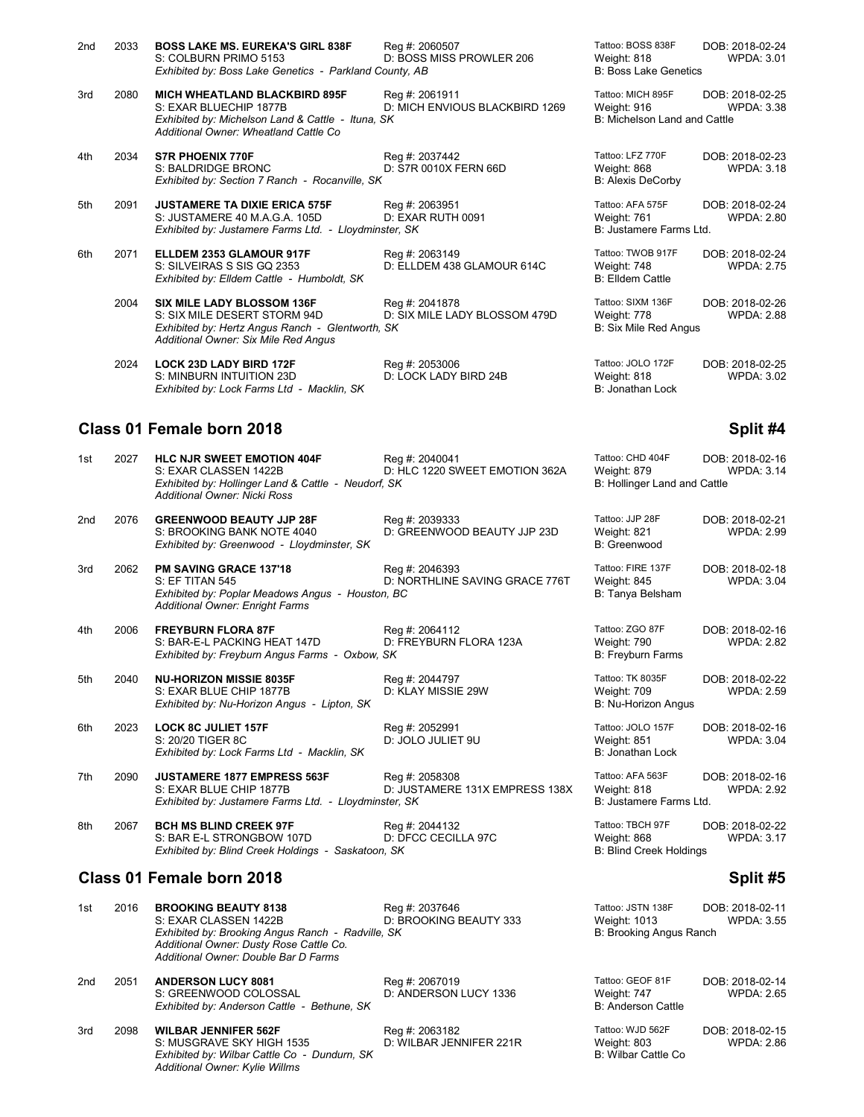| 2 <sub>nd</sub> | 2033 | <b>BOSS LAKE MS. EUREKA'S GIRL 838F</b><br>S: COLBURN PRIMO 5153<br>Exhibited by: Boss Lake Genetics - Parkland County, AB                                    | Reg #: 2060507<br>D: BOSS MISS PROWLER 206       | Tattoo: BOSS 838F<br>Weight: 818<br><b>B: Boss Lake Genetics</b> | DOB: 2018-02-24<br><b>WPDA: 3.01</b> |
|-----------------|------|---------------------------------------------------------------------------------------------------------------------------------------------------------------|--------------------------------------------------|------------------------------------------------------------------|--------------------------------------|
| 3rd             | 2080 | <b>MICH WHEATLAND BLACKBIRD 895F</b><br>S: EXAR BLUECHIP 1877B<br>Exhibited by: Michelson Land & Cattle - Ituna, SK<br>Additional Owner: Wheatland Cattle Co  | Reg #: 2061911<br>D: MICH ENVIOUS BLACKBIRD 1269 | Tattoo: MICH 895F<br>Weight: 916<br>B: Michelson Land and Cattle | DOB: 2018-02-25<br><b>WPDA: 3.38</b> |
| 4th             | 2034 | <b>S7R PHOENIX 770F</b><br>S: BALDRIDGE BRONC<br>Exhibited by: Section 7 Ranch - Rocanville, SK                                                               | Reg #: 2037442<br>D: S7R 0010X FERN 66D          | Tattoo: LFZ 770F<br>Weight: 868<br><b>B: Alexis DeCorby</b>      | DOB: 2018-02-23<br><b>WPDA: 3.18</b> |
| 5th             | 2091 | <b>JUSTAMERE TA DIXIE ERICA 575F</b><br>S: JUSTAMERE 40 M.A.G.A. 105D<br>Exhibited by: Justamere Farms Ltd. - Lloydminster, SK                                | Reg #: 2063951<br>D: EXAR RUTH 0091              | Tattoo: AFA 575F<br>Weight: 761<br>B: Justamere Farms Ltd.       | DOB: 2018-02-24<br><b>WPDA: 2.80</b> |
| 6th             | 2071 | ELLDEM 2353 GLAMOUR 917F<br>S: SILVEIRAS S SIS GQ 2353<br>Exhibited by: Elldem Cattle - Humboldt, SK                                                          | Reg #: 2063149<br>D: ELLDEM 438 GLAMOUR 614C     | Tattoo: TWOB 917F<br>Weight: 748<br><b>B: Elldem Cattle</b>      | DOB: 2018-02-24<br><b>WPDA: 2.75</b> |
|                 | 2004 | <b>SIX MILE LADY BLOSSOM 136F</b><br>S: SIX MILE DESERT STORM 94D<br>Exhibited by: Hertz Angus Ranch - Glentworth, SK<br>Additional Owner: Six Mile Red Angus | Reg #: 2041878<br>D: SIX MILE LADY BLOSSOM 479D  | Tattoo: SIXM 136F<br>Weight: 778<br>B: Six Mile Red Angus        | DOB: 2018-02-26<br><b>WPDA: 2.88</b> |
|                 | 2024 | <b>LOCK 23D LADY BIRD 172F</b><br>S: MINBURN INTUITION 23D<br>Exhibited by: Lock Farms Ltd - Macklin, SK                                                      | Reg #: 2053006<br>D: LOCK LADY BIRD 24B          | Tattoo: JOLO 172F<br>Weight: 818<br>B: Jonathan Lock             | DOB: 2018-02-25<br><b>WPDA: 3.02</b> |
|                 |      | Class 01 Female born 2018                                                                                                                                     |                                                  |                                                                  | Split #4                             |

*Additional Owner: Dusty Rose Cattle Co.*

*Additional Owner: Double Bar D Farms*

| 1st             | 2027 | <b>HLC NJR SWEET EMOTION 404F</b><br>S: EXAR CLASSEN 1422B<br>Exhibited by: Hollinger Land & Cattle - Neudorf, SK<br><b>Additional Owner: Nicki Ross</b> | Reg #: 2040041<br>D: HLC 1220 SWEET EMOTION 362A | Tattoo: CHD 404F<br>Weight: 879<br>B: Hollinger Land and Cattle   | DOB: 2018-02-16<br><b>WPDA: 3.14</b> |
|-----------------|------|----------------------------------------------------------------------------------------------------------------------------------------------------------|--------------------------------------------------|-------------------------------------------------------------------|--------------------------------------|
| 2 <sub>nd</sub> | 2076 | <b>GREENWOOD BEAUTY JJP 28F</b><br>S: BROOKING BANK NOTE 4040<br>Exhibited by: Greenwood - Lloydminster, SK                                              | Reg #: 2039333<br>D: GREENWOOD BEAUTY JJP 23D    | Tattoo: JJP 28F<br>Weight: 821<br>B: Greenwood                    | DOB: 2018-02-21<br><b>WPDA: 2.99</b> |
| 3rd             | 2062 | <b>PM SAVING GRACE 137'18</b><br>S: EF TITAN 545<br>Exhibited by: Poplar Meadows Angus - Houston, BC<br><b>Additional Owner: Enright Farms</b>           | Reg #: 2046393<br>D: NORTHLINE SAVING GRACE 776T | Tattoo: FIRE 137F<br>Weight: 845<br>B: Tanya Belsham              | DOB: 2018-02-18<br><b>WPDA: 3.04</b> |
| 4th             | 2006 | <b>FREYBURN FLORA 87F</b><br>S: BAR-E-L PACKING HEAT 147D<br>Exhibited by: Freyburn Angus Farms - Oxbow, SK                                              | Reg #: 2064112<br>D: FREYBURN FLORA 123A         | Tattoo: ZGO 87F<br>Weight: 790<br>B: Freyburn Farms               | DOB: 2018-02-16<br><b>WPDA: 2.82</b> |
| 5th             | 2040 | <b>NU-HORIZON MISSIE 8035F</b><br>S: EXAR BLUE CHIP 1877B<br>Exhibited by: Nu-Horizon Angus - Lipton, SK                                                 | Reg #: 2044797<br>D: KLAY MISSIE 29W             | Tattoo: TK 8035F<br>Weight: 709<br>B: Nu-Horizon Angus            | DOB: 2018-02-22<br><b>WPDA: 2.59</b> |
| 6th             | 2023 | <b>LOCK 8C JULIET 157F</b><br>S: 20/20 TIGER 8C<br>Exhibited by: Lock Farms Ltd - Macklin, SK                                                            | Reg #: 2052991<br>D: JOLO JULIET 9U              | Tattoo: JOLO 157F<br>Weight: 851<br>B: Jonathan Lock              | DOB: 2018-02-16<br><b>WPDA: 3.04</b> |
| 7th             | 2090 | <b>JUSTAMERE 1877 EMPRESS 563F</b><br>S: EXAR BLUE CHIP 1877B<br>Exhibited by: Justamere Farms Ltd. - Lloydminster, SK                                   | Reg #: 2058308<br>D: JUSTAMERE 131X EMPRESS 138X | Tattoo: AFA 563F<br>Weight: 818<br>B: Justamere Farms Ltd.        | DOB: 2018-02-16<br><b>WPDA: 2.92</b> |
| 8th             | 2067 | <b>BCH MS BLIND CREEK 97F</b><br>S: BAR E-L STRONGBOW 107D<br>Exhibited by: Blind Creek Holdings - Saskatoon, SK                                         | Reg #: 2044132<br>D: DFCC CECILLA 97C            | Tattoo: TBCH 97F<br>Weight: 868<br><b>B: Blind Creek Holdings</b> | DOB: 2018-02-22<br><b>WPDA: 3.17</b> |
|                 |      | Class 01 Female born 2018                                                                                                                                |                                                  |                                                                   | Split #5                             |
| 1st             | 2016 | <b>BROOKING BEAUTY 8138</b><br>S: EXAR CLASSEN 1422B                                                                                                     | Reg #: 2037646<br>D: BROOKING BEAUTY 333         | Tattoo: JSTN 138F<br>Weight: 1013                                 | DOB: 2018-02-11<br><b>WPDA: 3.55</b> |

| 2nd | 2051 | <b>ANDERSON LUCY 8081</b><br>S: GREENWOOD COLOSSAL<br>Exhibited by: Anderson Cattle - Bethune, SK                                          | Reg #: 2067019<br>D: ANDERSON LUCY 1336   | Tattoo: GEOF 81F<br>Weight: 747<br><b>B: Anderson Cattle</b> | DOB: 2018-02-14<br>WPDA: 2.65 |
|-----|------|--------------------------------------------------------------------------------------------------------------------------------------------|-------------------------------------------|--------------------------------------------------------------|-------------------------------|
| 3rd | 2098 | <b>WILBAR JENNIFER 562F</b><br>S: MUSGRAVE SKY HIGH 1535<br>Exhibited by: Wilbar Cattle Co - Dundurn, SK<br>Additional Owner: Kylie Willms | Reg #: 2063182<br>D: WILBAR JENNIFER 221R | Tattoo: WJD 562F<br>Weight: 803<br>B: Wilbar Cattle Co       | DOB: 2018-02-15<br>WPDA: 2.86 |

*Exhibited by: Brooking Angus Ranch - Radville, SK* B: Brooking Angus Ranch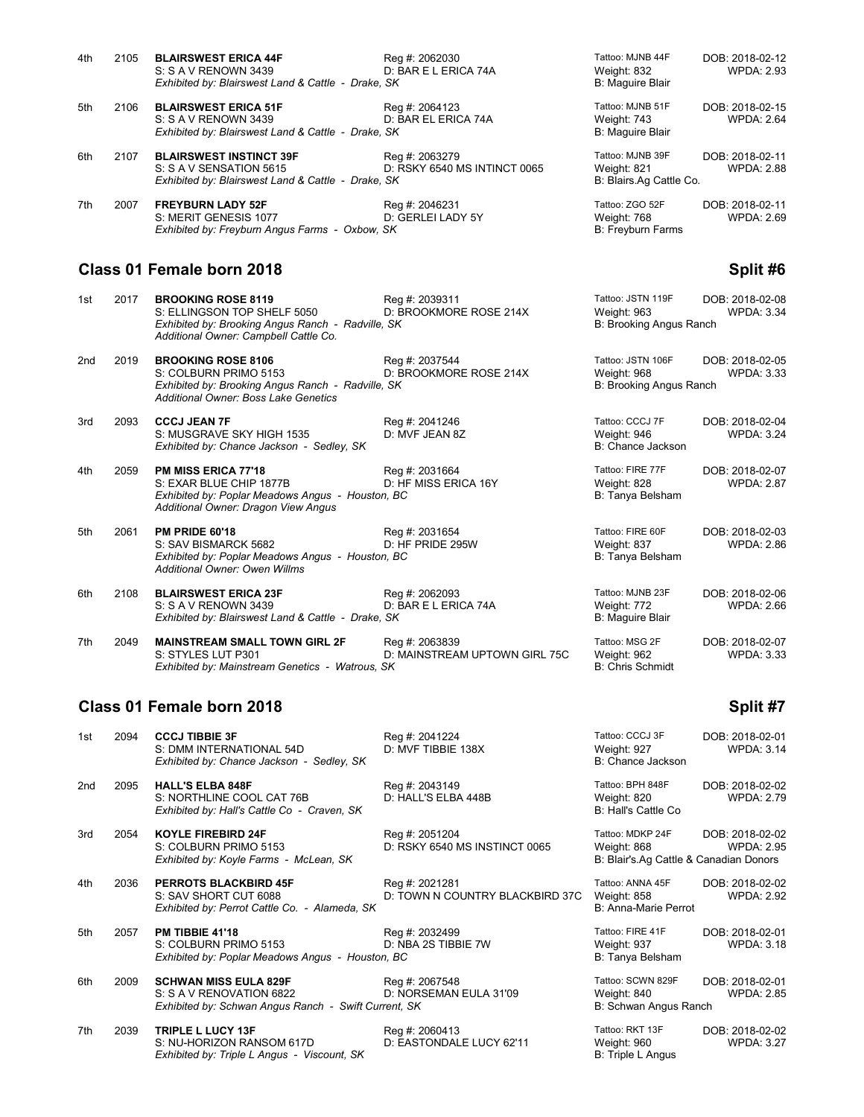| 2105 | <b>BLAIRSWEST ERICA 44F</b>    | Reg #: 2062030               | Tattoo: MJNB 44F                                                                                                                                                                                                 | DOB: 2018-02-12         |
|------|--------------------------------|------------------------------|------------------------------------------------------------------------------------------------------------------------------------------------------------------------------------------------------------------|-------------------------|
|      | S: S A V RENOWN 3439           | D: BAR E L ERICA 74A         | Weight: 832                                                                                                                                                                                                      | <b>WPDA: 2.93</b>       |
|      |                                |                              | B: Maguire Blair                                                                                                                                                                                                 |                         |
| 2106 | <b>BLAIRSWEST ERICA 51F</b>    | Reg #: 2064123               | Tattoo: MJNB 51F                                                                                                                                                                                                 | DOB: 2018-02-15         |
|      | S: S A V RENOWN 3439           | D: BAR EL ERICA 74A          | Weight: 743                                                                                                                                                                                                      | <b>WPDA: 2.64</b>       |
|      |                                |                              | B: Maguire Blair                                                                                                                                                                                                 |                         |
| 2107 | <b>BLAIRSWEST INSTINCT 39F</b> | Reg #: 2063279               | Tattoo: MJNB 39F                                                                                                                                                                                                 | DOB: 2018-02-11         |
|      | S: S A V SENSATION 5615        | D: RSKY 6540 MS INTINCT 0065 | Weight: 821                                                                                                                                                                                                      | <b>WPDA: 2.88</b>       |
|      |                                |                              |                                                                                                                                                                                                                  |                         |
| 2007 | <b>FREYBURN LADY 52F</b>       | Reg #: 2046231               | Tattoo: ZGO 52F                                                                                                                                                                                                  | DOB: 2018-02-11         |
|      | S: MERIT GENESIS 1077          | D: GERLEI LADY 5Y            | Weight: 768                                                                                                                                                                                                      | <b>WPDA: 2.69</b>       |
|      |                                |                              | B: Freyburn Farms                                                                                                                                                                                                |                         |
|      |                                |                              | Exhibited by: Blairswest Land & Cattle - Drake, SK<br>Exhibited by: Blairswest Land & Cattle - Drake, SK<br>Exhibited by: Blairswest Land & Cattle - Drake, SK<br>Exhibited by: Freyburn Angus Farms - Oxbow, SK | B: Blairs.Ag Cattle Co. |

### **Class 01 Female born 2018 Split #6**

| 1st | 2017 | <b>BROOKING ROSE 8119</b><br>S: ELLINGSON TOP SHELF 5050<br>Exhibited by: Brooking Angus Ranch - Radville, SK<br>Additional Owner: Campbell Cattle Co. | Reg #: 2039311<br>D: BROOKMORE ROSE 214X        | Tattoo: JSTN 119F<br>Weight: 963<br>B: Brooking Angus Ranch | DOB: 2018-02-08<br><b>WPDA: 3.34</b> |
|-----|------|--------------------------------------------------------------------------------------------------------------------------------------------------------|-------------------------------------------------|-------------------------------------------------------------|--------------------------------------|
| 2nd | 2019 | <b>BROOKING ROSE 8106</b><br>S: COLBURN PRIMO 5153<br>Exhibited by: Brooking Angus Ranch - Radville, SK<br>Additional Owner: Boss Lake Genetics        | Reg #: 2037544<br>D: BROOKMORE ROSE 214X        | Tattoo: JSTN 106F<br>Weight: 968<br>B: Brooking Angus Ranch | DOB: 2018-02-05<br>WPDA: 3.33        |
| 3rd | 2093 | <b>CCCJ JEAN 7F</b><br>S: MUSGRAVE SKY HIGH 1535<br>Exhibited by: Chance Jackson - Sedley, SK                                                          | Reg #: 2041246<br>D: MVF JEAN 8Z                | Tattoo: CCCJ 7F<br>Weight: 946<br>B: Chance Jackson         | DOB: 2018-02-04<br><b>WPDA: 3.24</b> |
| 4th | 2059 | <b>PM MISS ERICA 77'18</b><br>S: EXAR BLUE CHIP 1877B<br>Exhibited by: Poplar Meadows Angus - Houston, BC<br>Additional Owner: Dragon View Angus       | Reg #: 2031664<br>D: HF MISS ERICA 16Y          | Tattoo: FIRE 77F<br>Weight: 828<br>B: Tanya Belsham         | DOB: 2018-02-07<br><b>WPDA: 2.87</b> |
| 5th | 2061 | PM PRIDE 60'18<br>S: SAV BISMARCK 5682<br>Exhibited by: Poplar Meadows Angus - Houston, BC<br><b>Additional Owner: Owen Willms</b>                     | Reg #: 2031654<br>D: HF PRIDE 295W              | Tattoo: FIRE 60F<br>Weight: 837<br>B: Tanya Belsham         | DOB: 2018-02-03<br>WPDA: 2.86        |
| 6th | 2108 | <b>BLAIRSWEST ERICA 23F</b><br>S: S A V RENOWN 3439<br>Exhibited by: Blairswest Land & Cattle - Drake, SK                                              | Reg #: 2062093<br>D: BAR E L ERICA 74A          | Tattoo: MJNB 23F<br>Weight: 772<br>B: Maguire Blair         | DOB: 2018-02-06<br><b>WPDA: 2.66</b> |
| 7th | 2049 | <b>MAINSTREAM SMALL TOWN GIRL 2F</b><br>S: STYLES LUT P301<br>Exhibited by: Mainstream Genetics - Watrous, SK                                          | Reg #: 2063839<br>D: MAINSTREAM UPTOWN GIRL 75C | Tattoo: MSG 2F<br>Weight: 962<br><b>B: Chris Schmidt</b>    | DOB: 2018-02-07<br><b>WPDA: 3.33</b> |

# **Class 01 Female born 2018 Split #7**

| 1st             | 2094 | <b>CCCJ TIBBIE 3F</b><br>S: DMM INTERNATIONAL 54D<br>Exhibited by: Chance Jackson - Sedley, SK                   | Reg #: 2041224<br>D: MVF TIBBIE 138X              | Tattoo: CCCJ 3F<br>Weight: 927<br>B: Chance Jackson                       | DOB: 2018-02-01<br><b>WPDA: 3.14</b> |
|-----------------|------|------------------------------------------------------------------------------------------------------------------|---------------------------------------------------|---------------------------------------------------------------------------|--------------------------------------|
| 2 <sub>nd</sub> | 2095 | <b>HALL'S ELBA 848F</b><br>S: NORTHLINE COOL CAT 76B<br>Exhibited by: Hall's Cattle Co - Craven, SK              | Reg #: 2043149<br>D: HALL'S ELBA 448B             | Tattoo: BPH 848F<br>Weight: 820<br>B: Hall's Cattle Co                    | DOB: 2018-02-02<br><b>WPDA: 2.79</b> |
| 3rd             | 2054 | <b>KOYLE FIREBIRD 24F</b><br>S: COLBURN PRIMO 5153<br>Exhibited by: Koyle Farms - McLean, SK                     | Reg #: 2051204<br>D: RSKY 6540 MS INSTINCT 0065   | Tattoo: MDKP 24F<br>Weight: 868<br>B: Blair's Ag Cattle & Canadian Donors | DOB: 2018-02-02<br><b>WPDA: 2.95</b> |
| 4th             | 2036 | <b>PERROTS BLACKBIRD 45F</b><br>S: SAV SHORT CUT 6088<br>Exhibited by: Perrot Cattle Co. - Alameda, SK           | Reg #: 2021281<br>D: TOWN N COUNTRY BLACKBIRD 37C | Tattoo: ANNA 45F<br>Weight: 858<br>B: Anna-Marie Perrot                   | DOB: 2018-02-02<br><b>WPDA: 2.92</b> |
| 5th             | 2057 | <b>PM TIBBIE 41'18</b><br>S: COLBURN PRIMO 5153<br>Exhibited by: Poplar Meadows Angus - Houston, BC              | Reg #: 2032499<br>D: NBA 2S TIBBIE 7W             | Tattoo: FIRE 41F<br>Weight: 937<br>B: Tanya Belsham                       | DOB: 2018-02-01<br><b>WPDA: 3.18</b> |
| 6th             | 2009 | <b>SCHWAN MISS EULA 829F</b><br>S: S A V RENOVATION 6822<br>Exhibited by: Schwan Angus Ranch - Swift Current, SK | Reg #: 2067548<br>D: NORSEMAN EULA 31'09          | Tattoo: SCWN 829F<br>Weight: 840<br>B: Schwan Angus Ranch                 | DOB: 2018-02-01<br><b>WPDA: 2.85</b> |
| 7th             | 2039 | <b>TRIPLE L LUCY 13F</b><br>S: NU-HORIZON RANSOM 617D<br>Exhibited by: Triple L Angus - Viscount, SK             | Reg #: 2060413<br>D: EASTONDALE LUCY 62'11        | Tattoo: RKT 13F<br>Weight: 960<br>B: Triple L Angus                       | DOB: 2018-02-02<br><b>WPDA: 3.27</b> |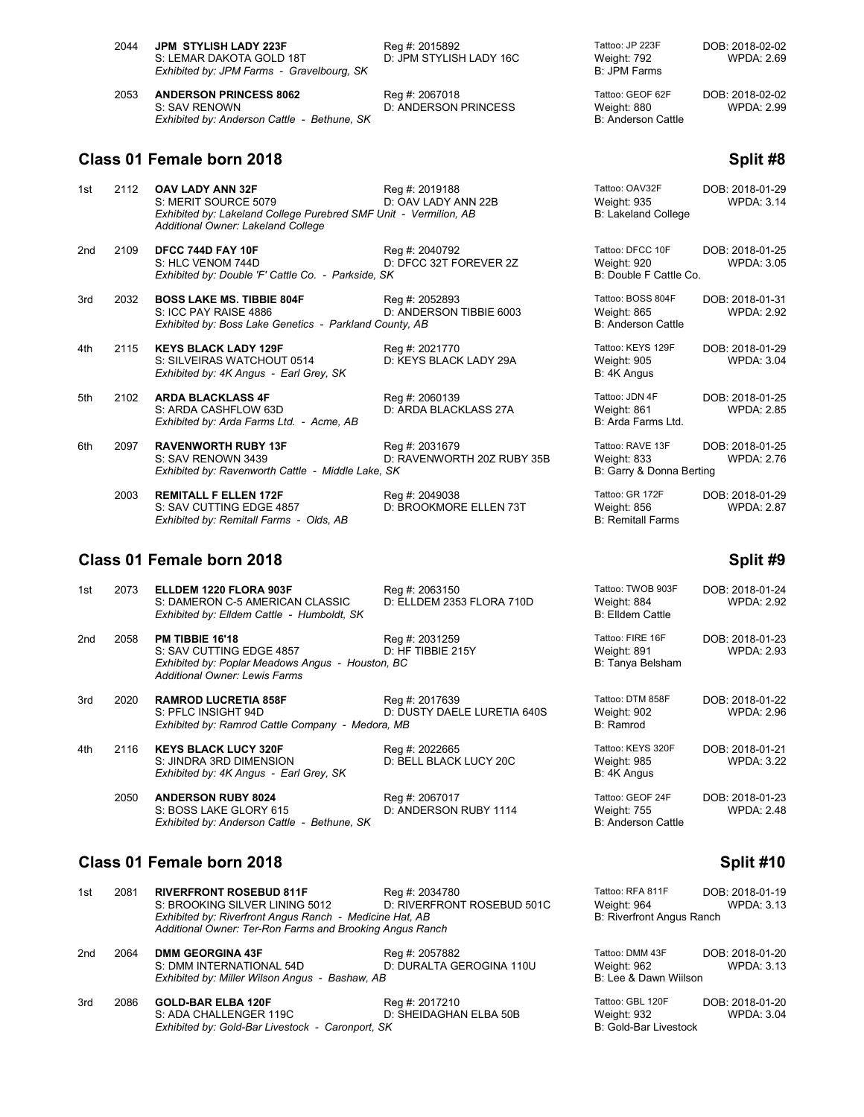| 2044 | JPM_STYLISH LADY 223F<br>S: LEMAR DAKOTA GOLD 18T<br>Exhibited by: JPM Farms - Gravelbourg, SK | Reg #: 2015892<br>D: JPM STYLISH LADY 16C | Tattoo: JP 223F<br>Weight: 792<br>B: JPM Farms        | DOB: 2018-02-02<br>WPDA: 2.69 |
|------|------------------------------------------------------------------------------------------------|-------------------------------------------|-------------------------------------------------------|-------------------------------|
| 2053 | <b>ANDERSON PRINCESS 8062</b><br>S: SAV RENOWN<br>Exhibited by: Anderson Cattle - Bethune, SK  | Reg #: 2067018<br>D: ANDERSON PRINCESS    | Tattoo: GEOF 62F<br>Weight: 880<br>B: Anderson Cattle | DOB: 2018-02-02<br>WPDA: 2.99 |

# **Class 01 Female born 2018 Split #8** Split #8

| 1st             | 2112 | <b>OAV LADY ANN 32F</b><br>S: MERIT SOURCE 5079<br>Exhibited by: Lakeland College Purebred SMF Unit - Vermilion, AB<br>Additional Owner: Lakeland College | Reg #: 2019188<br>D: OAV LADY ANN 22B        | Tattoo: OAV32F<br>Weight: 935<br><b>B: Lakeland College</b>   | DOB: 2018-01-29<br><b>WPDA: 3.14</b> |
|-----------------|------|-----------------------------------------------------------------------------------------------------------------------------------------------------------|----------------------------------------------|---------------------------------------------------------------|--------------------------------------|
| 2 <sub>nd</sub> | 2109 | DFCC 744D FAY 10F<br>S: HLC VENOM 744D<br>Exhibited by: Double 'F' Cattle Co. - Parkside, SK                                                              | Reg #: 2040792<br>D: DFCC 32T FOREVER 2Z     | Tattoo: DFCC 10F<br>Weight: 920<br>B: Double F Cattle Co.     | DOB: 2018-01-25<br><b>WPDA: 3.05</b> |
| 3rd             | 2032 | <b>BOSS LAKE MS. TIBBIE 804F</b><br>S: ICC PAY RAISE 4886<br>Exhibited by: Boss Lake Genetics - Parkland County, AB                                       | Reg #: 2052893<br>D: ANDERSON TIBBIE 6003    | Tattoo: BOSS 804F<br>Weight: 865<br><b>B: Anderson Cattle</b> | DOB: 2018-01-31<br><b>WPDA: 2.92</b> |
| 4th             | 2115 | <b>KEYS BLACK LADY 129F</b><br>S: SILVEIRAS WATCHOUT 0514<br>Exhibited by: 4K Angus - Earl Grey, SK                                                       | Reg #: 2021770<br>D: KEYS BLACK LADY 29A     | Tattoo: KEYS 129F<br>Weight: 905<br>B: 4K Angus               | DOB: 2018-01-29<br><b>WPDA: 3.04</b> |
| 5th             | 2102 | <b>ARDA BLACKLASS 4F</b><br>S: ARDA CASHFLOW 63D<br>Exhibited by: Arda Farms Ltd. - Acme, AB                                                              | Reg #: 2060139<br>D: ARDA BLACKLASS 27A      | Tattoo: JDN 4F<br>Weight: 861<br>B: Arda Farms Ltd.           | DOB: 2018-01-25<br><b>WPDA: 2.85</b> |
| 6th             | 2097 | <b>RAVENWORTH RUBY 13F</b><br>S: SAV RENOWN 3439<br>Exhibited by: Ravenworth Cattle - Middle Lake, SK                                                     | Reg #: 2031679<br>D: RAVENWORTH 20Z RUBY 35B | Tattoo: RAVE 13F<br>Weight: 833<br>B: Garry & Donna Berting   | DOB: 2018-01-25<br><b>WPDA: 2.76</b> |
|                 | 2003 | <b>REMITALL F ELLEN 172F</b><br>S: SAV CUTTING EDGE 4857<br>Exhibited by: Remitall Farms - Olds, AB                                                       | Reg #: 2049038<br>D: BROOKMORE ELLEN 73T     | Tattoo: GR 172F<br>Weight: 856<br><b>B: Remitall Farms</b>    | DOB: 2018-01-29<br><b>WPDA: 2.87</b> |

# **Class 01 Female born 2018 Split #9**

| 1st | 2073 | ELLDEM 1220 FLORA 903F<br>S: DAMERON C-5 AMERICAN CLASSIC<br>Exhibited by: Elldem Cattle - Humboldt, SK                                        | Reg #: 2063150<br>D: ELLDEM 2353 FLORA 710D   | Tattoo: TWOB 903F<br>Weight: 884<br>B: Elldem Cattle                | DOB: 2018-01-24<br><b>WPDA: 2.92</b> |
|-----|------|------------------------------------------------------------------------------------------------------------------------------------------------|-----------------------------------------------|---------------------------------------------------------------------|--------------------------------------|
| 2nd | 2058 | <b>PM TIBBIE 16'18</b><br>S: SAV CUTTING EDGE 4857<br>Exhibited by: Poplar Meadows Angus - Houston, BC<br><b>Additional Owner: Lewis Farms</b> | Reg #: 2031259<br>D: HF TIBBIE 215Y           | Tattoo: FIRE 16F<br>Weight: 891<br>B: Tanya Belsham                 | DOB: 2018-01-23<br><b>WPDA: 2.93</b> |
| 3rd | 2020 | <b>RAMROD LUCRETIA 858F</b><br>S: PFLC INSIGHT 94D<br>Exhibited by: Ramrod Cattle Company - Medora, MB                                         | Reg #: 2017639<br>D: DUSTY DAELE LURETIA 640S | Tattoo: DTM 858F<br>Weight: 902<br>B: Ramrod                        | DOB: 2018-01-22<br><b>WPDA: 2.96</b> |
| 4th | 2116 | <b>KEYS BLACK LUCY 320F</b><br>S: JINDRA 3RD DIMENSION<br>Exhibited by: 4K Angus - Earl Grey, SK                                               | Reg #: 2022665<br>D: BELL BLACK LUCY 20C      | Tattoo: KEYS 320F<br>Weight: 985<br>B: 4K Angus                     | DOB: 2018-01-21<br><b>WPDA: 3.22</b> |
|     | 2050 | <b>ANDERSON RUBY 8024</b><br>S: BOSS LAKE GLORY 615<br>Exhibited by: Anderson Cattle - Bethune, SK                                             | Reg #: 2067017<br>D: ANDERSON RUBY 1114       | Tattoo: GEOF 24F<br><b>Weight: 755</b><br><b>B: Anderson Cattle</b> | DOB: 2018-01-23<br><b>WPDA: 2.48</b> |

# **Class 01 Female born 2018 Split #10**

| 1st | 2081 | <b>RIVERFRONT ROSEBUD 811F</b>                                                                                      | Reg #: 2034780             | Tattoo: RFA 811F                     | DOB: 2018-01-19   |
|-----|------|---------------------------------------------------------------------------------------------------------------------|----------------------------|--------------------------------------|-------------------|
|     |      | S: BROOKING SILVER LINING 5012                                                                                      | D: RIVERFRONT ROSEBUD 501C | Weight: 964                          | <b>WPDA: 3.13</b> |
|     |      | Exhibited by: Riverfront Angus Ranch - Medicine Hat, AB<br>Additional Owner: Ter-Ron Farms and Brooking Angus Ranch |                            | <b>B: Riverfront Angus Ranch</b>     |                   |
|     |      |                                                                                                                     |                            |                                      |                   |
| 2nd | 2064 | <b>DMM GEORGINA 43F</b>                                                                                             | Reg #: 2057882             | Tattoo: DMM 43F                      | DOB: 2018-01-20   |
|     |      | S: DMM INTERNATIONAL 54D<br>Exhibited by: Miller Wilson Angus - Bashaw, AB                                          | D: DURALTA GEROGINA 110U   | Weight: 962<br>B: Lee & Dawn Wiilson | <b>WPDA: 3.13</b> |

| 3rd | 2086 GOLD-BAR ELBA 120F                          | Reg #: 2017210         | Tattoo: GBL 120F      | DOB: 2018-01-20   |
|-----|--------------------------------------------------|------------------------|-----------------------|-------------------|
|     | S: ADA CHALLENGER 119C                           | D: SHEIDAGHAN ELBA 50B | Weight: 932           | <b>WPDA: 3.04</b> |
|     | Exhibited by: Gold-Bar Livestock - Caronport, SK |                        | B: Gold-Bar Livestock |                   |

| Tattoo: RFA 811F          | DOB: 2018-01-19   |
|---------------------------|-------------------|
| Neight: 964               | <b>WPDA: 3.13</b> |
| B: Riverfront Angus Ranch |                   |
|                           |                   |
|                           |                   |

| 'eight: 962                   | <b>WPDA: 3.13</b>     |
|-------------------------------|-----------------------|
| Lee & Dawn Wiilson            |                       |
| $H_{\text{max}}$ $CDI$ $ADOF$ | <b>DOD 0010 01.00</b> |

| alloo: GBL TZUF       | DOB: 2018-01-20   |
|-----------------------|-------------------|
| Veight: 932           | <b>WPDA: 3.04</b> |
| 3: Gold-Bar Livestock |                   |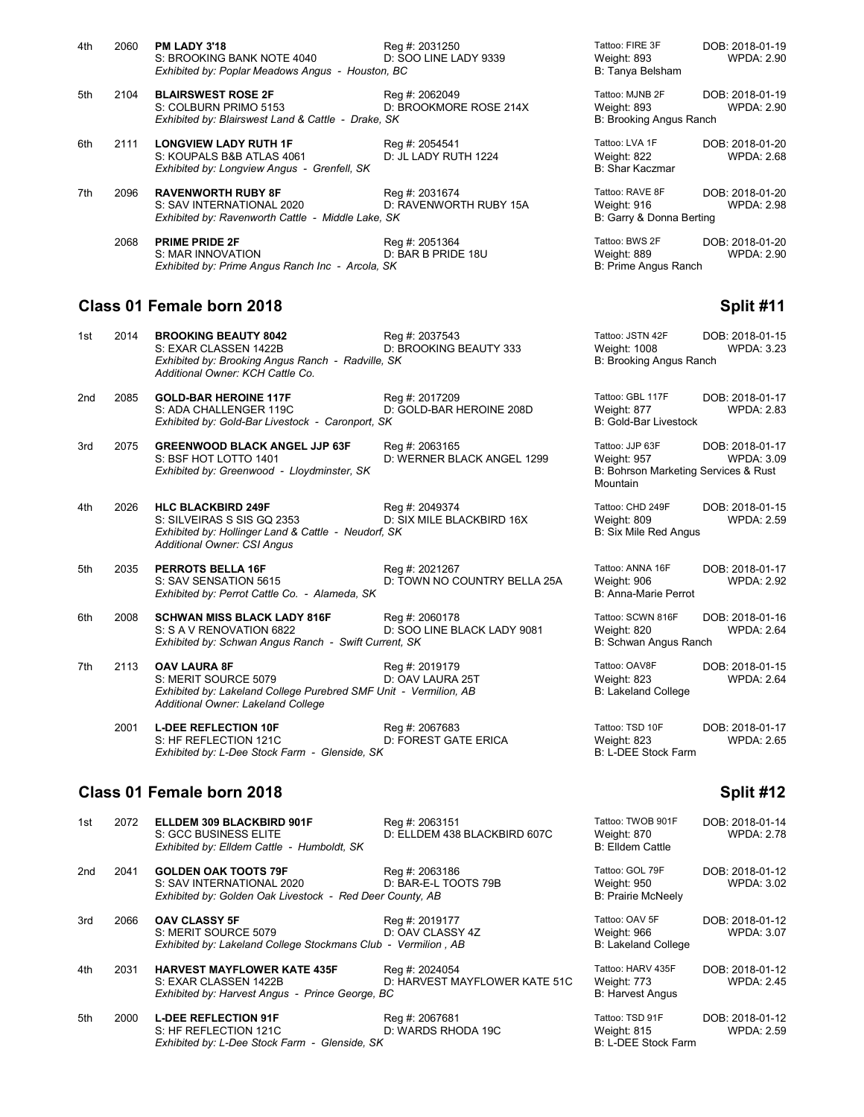| 4th | 2060 | <b>PM LADY 3'18</b><br>S: BROOKING BANK NOTE 4040<br>Exhibited by: Poplar Meadows Angus - Houston, BC       | Reg #: 2031250<br>D: SOO LINE LADY 9339  | Tattoo: FIRE 3F<br>Weight: 893<br>B: Tanya Belsham         | DOB: 2018-01-19<br><b>WPDA: 2.90</b> |
|-----|------|-------------------------------------------------------------------------------------------------------------|------------------------------------------|------------------------------------------------------------|--------------------------------------|
| 5th | 2104 | <b>BLAIRSWEST ROSE 2F</b><br>S: COLBURN PRIMO 5153<br>Exhibited by: Blairswest Land & Cattle - Drake, SK    | Reg #: 2062049<br>D: BROOKMORE ROSE 214X | Tattoo: MJNB 2F<br>Weight: 893<br>B: Brooking Angus Ranch  | DOB: 2018-01-19<br><b>WPDA: 2.90</b> |
| 6th | 2111 | <b>LONGVIEW LADY RUTH 1F</b><br>S: KOUPALS B&B ATLAS 4061<br>Exhibited by: Longview Angus - Grenfell, SK    | Reg #: 2054541<br>D: JL LADY RUTH 1224   | Tattoo: LVA 1F<br>Weight: 822<br>B: Shar Kaczmar           | DOB: 2018-01-20<br><b>WPDA: 2.68</b> |
| 7th | 2096 | <b>RAVENWORTH RUBY 8F</b><br>S: SAV INTERNATIONAL 2020<br>Exhibited by: Ravenworth Cattle - Middle Lake, SK | Reg #: 2031674<br>D: RAVENWORTH RUBY 15A | Tattoo: RAVE 8F<br>Weight: 916<br>B: Garry & Donna Berting | DOB: 2018-01-20<br>WPDA: 2.98        |
|     | 2068 | <b>PRIME PRIDE 2F</b><br>S: MAR INNOVATION<br>Exhibited by: Prime Angus Ranch Inc - Arcola, SK              | Reg #: 2051364<br>D: BAR B PRIDE 18U     | Tattoo: BWS 2F<br>Weight: 889<br>B: Prime Angus Ranch      | DOB: 2018-01-20<br><b>WPDA: 2.90</b> |

### **Class 01 Female born 2018 Split #11**

| 1st             | 2014                                   | <b>BROOKING BEAUTY 8042</b><br>S: EXAR CLASSEN 1422B<br>Exhibited by: Brooking Angus Ranch - Radville, SK<br>Additional Owner: KCH Cattle Co.         | Reg #: 2037543<br>D: BROOKING BEAUTY 333       | Tattoo: JSTN 42F<br><b>Weight: 1008</b><br>B: Brooking Angus Ranch                 | DOB: 2018-01-15<br><b>WPDA: 3.23</b> |
|-----------------|----------------------------------------|-------------------------------------------------------------------------------------------------------------------------------------------------------|------------------------------------------------|------------------------------------------------------------------------------------|--------------------------------------|
| 2 <sub>nd</sub> | 2085                                   | <b>GOLD-BAR HEROINE 117F</b><br>S: ADA CHALLENGER 119C<br>Exhibited by: Gold-Bar Livestock - Caronport, SK                                            | Reg #: 2017209<br>D: GOLD-BAR HEROINE 208D     | Tattoo: GBL 117F<br>Weight: 877<br><b>B: Gold-Bar Livestock</b>                    | DOB: 2018-01-17<br><b>WPDA: 2.83</b> |
| 3rd             | 2075                                   | <b>GREENWOOD BLACK ANGEL JJP 63F</b><br>S: BSF HOT LOTTO 1401<br>Exhibited by: Greenwood - Lloydminster, SK                                           | Reg #: 2063165<br>D: WERNER BLACK ANGEL 1299   | Tattoo: JJP 63F<br>Weight: 957<br>B: Bohrson Marketing Services & Rust<br>Mountain | DOB: 2018-01-17<br><b>WPDA: 3.09</b> |
| 4th             | 2026                                   | <b>HLC BLACKBIRD 249F</b><br>S: SILVEIRAS S SIS GQ 2353<br>Exhibited by: Hollinger Land & Cattle - Neudorf, SK<br><b>Additional Owner: CSI Angus</b>  | Reg #: 2049374<br>D: SIX MILE BLACKBIRD 16X    | Tattoo: CHD 249F<br>Weight: 809<br><b>B: Six Mile Red Angus</b>                    | DOB: 2018-01-15<br><b>WPDA: 2.59</b> |
| 5th             | 2035                                   | <b>PERROTS BELLA 16F</b><br>S: SAV SENSATION 5615<br>Exhibited by: Perrot Cattle Co. - Alameda, SK                                                    | Reg #: 2021267<br>D: TOWN NO COUNTRY BELLA 25A | Tattoo: ANNA 16F<br>Weight: 906<br>B: Anna-Marie Perrot                            | DOB: 2018-01-17<br><b>WPDA: 2.92</b> |
| 6th             | 2008                                   | <b>SCHWAN MISS BLACK LADY 816F</b><br>S: S A V RENOVATION 6822<br>Exhibited by: Schwan Angus Ranch - Swift Current, SK                                | Reg #: 2060178<br>D: SOO LINE BLACK LADY 9081  | Tattoo: SCWN 816F<br>Weight: 820<br>B: Schwan Angus Ranch                          | DOB: 2018-01-16<br><b>WPDA: 2.64</b> |
| 7th             | 2113                                   | <b>OAV LAURA 8F</b><br>S: MERIT SOURCE 5079<br>Exhibited by: Lakeland College Purebred SMF Unit - Vermilion, AB<br>Additional Owner: Lakeland College | Reg #: 2019179<br>D: OAV LAURA 25T             | Tattoo: OAV8F<br>Weight: 823<br><b>B: Lakeland College</b>                         | DOB: 2018-01-15<br><b>WPDA: 2.64</b> |
|                 | 2001                                   | <b>L-DEE REFLECTION 10F</b><br>S: HF REFLECTION 121C<br>Exhibited by: L-Dee Stock Farm - Glenside, SK                                                 | Reg #: 2067683<br>D: FOREST GATE ERICA         | Tattoo: TSD 10F<br>Weight: 823<br>B: L-DEE Stock Farm                              | DOB: 2018-01-17<br><b>WPDA: 2.65</b> |
|                 | Class 01 Female born 2018<br>Split #12 |                                                                                                                                                       |                                                |                                                                                    |                                      |

| 1st | 2072 | ELLDEM 309 BLACKBIRD 901F<br>S: GCC BUSINESS ELITE<br>Exhibited by: Elldem Cattle - Humboldt, SK                     | Reg #: 2063151<br>D: ELLDEM 438 BLACKBIRD 607C  | Tattoo: TWOB 901F<br>Weight: 870<br><b>B: Elldem Cattle</b> | DOB: 2018-01-14<br><b>WPDA: 2.78</b> |
|-----|------|----------------------------------------------------------------------------------------------------------------------|-------------------------------------------------|-------------------------------------------------------------|--------------------------------------|
| 2nd | 2041 | <b>GOLDEN OAK TOOTS 79F</b><br>S: SAV INTERNATIONAL 2020<br>Exhibited by: Golden Oak Livestock - Red Deer County, AB | Reg #: 2063186<br>D: BAR-E-L TOOTS 79B          | Tattoo: GOL 79F<br>Weight: 950<br><b>B: Prairie McNeely</b> | DOB: 2018-01-12<br><b>WPDA: 3.02</b> |
| 3rd | 2066 | <b>OAV CLASSY 5F</b><br>S: MERIT SOURCE 5079<br>Exhibited by: Lakeland College Stockmans Club - Vermilion, AB        | Reg #: 2019177<br>D: OAV CLASSY 4Z              | Tattoo: OAV 5F<br>Weight: 966<br><b>B: Lakeland College</b> | DOB: 2018-01-12<br><b>WPDA: 3.07</b> |
| 4th | 2031 | <b>HARVEST MAYFLOWER KATE 435F</b><br>S: EXAR CLASSEN 1422B<br>Exhibited by: Harvest Angus - Prince George, BC       | Reg #: 2024054<br>D: HARVEST MAYFLOWER KATE 51C | Tattoo: HARV 435F<br>Weight: 773<br><b>B: Harvest Angus</b> | DOB: 2018-01-12<br><b>WPDA: 2.45</b> |
| 5th | 2000 | <b>L-DEE REFLECTION 91F</b><br>S: HF REFLECTION 121C<br>Exhibited by: L-Dee Stock Farm - Glenside, SK                | Reg #: 2067681<br>D: WARDS RHODA 19C            | Tattoo: TSD 91F<br>Weight: 815<br>B: L-DEE Stock Farm       | DOB: 2018-01-12<br><b>WPDA: 2.59</b> |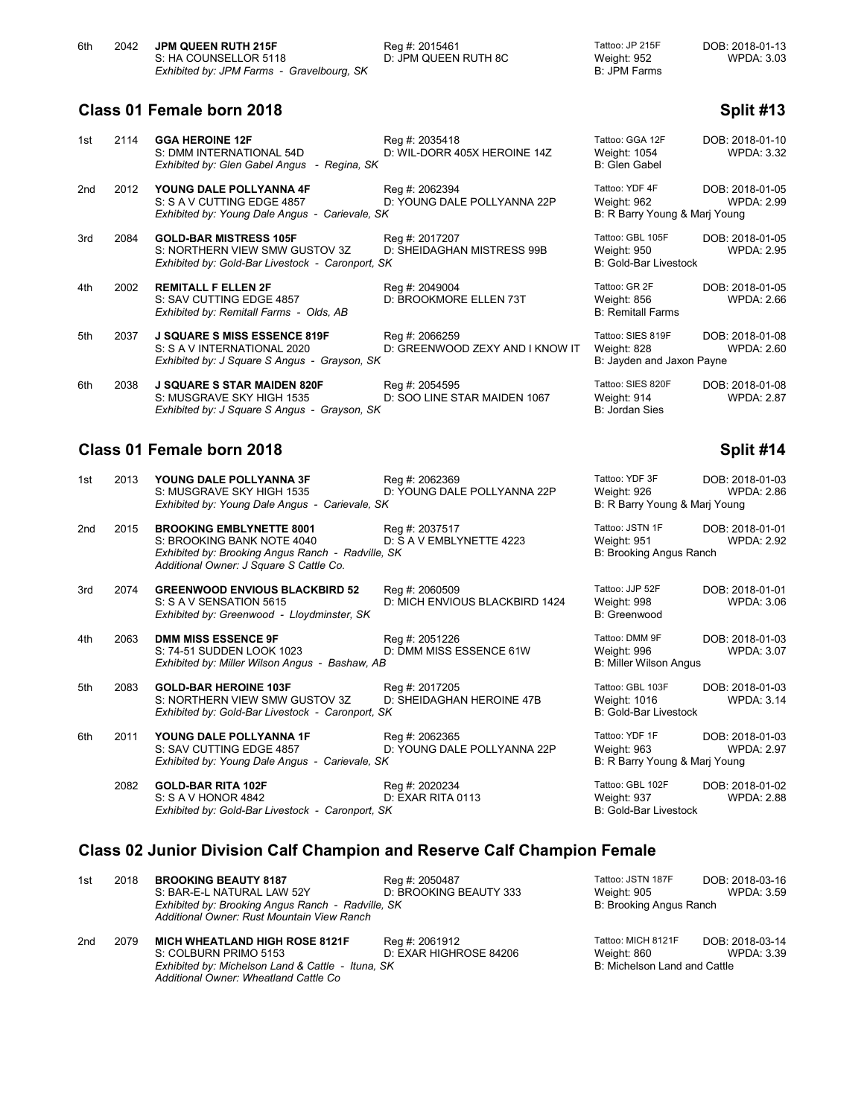# **Class 01 Female born 2018 Split #13**

| 1st | 2114 | <b>GGA HEROINE 12F</b><br>S: DMM INTERNATIONAL 54D<br>Exhibited by: Glen Gabel Angus - Regina, SK                   | Reg #: 2035418<br>D: WIL-DORR 405X HEROINE 14Z    | Tattoo: GGA 12F<br>Weight: 1054<br>B: Glen Gabel                | DOB: 2018-01-10<br><b>WPDA: 3.32</b> |
|-----|------|---------------------------------------------------------------------------------------------------------------------|---------------------------------------------------|-----------------------------------------------------------------|--------------------------------------|
| 2nd | 2012 | YOUNG DALE POLLYANNA 4F<br>S: S A V CUTTING EDGE 4857<br>Exhibited by: Young Dale Angus - Carievale, SK             | Reg #: 2062394<br>D: YOUNG DALE POLLYANNA 22P     | Tattoo: YDF 4F<br>Weight: 962<br>B: R Barry Young & Mari Young  | DOB: 2018-01-05<br><b>WPDA: 2.99</b> |
| 3rd | 2084 | <b>GOLD-BAR MISTRESS 105F</b><br>S: NORTHERN VIEW SMW GUSTOV 3Z<br>Exhibited by: Gold-Bar Livestock - Caronport, SK | Reg #: 2017207<br>D: SHEIDAGHAN MISTRESS 99B      | Tattoo: GBL 105F<br>Weight: 950<br><b>B: Gold-Bar Livestock</b> | DOB: 2018-01-05<br><b>WPDA: 2.95</b> |
| 4th | 2002 | <b>REMITALL F ELLEN 2F</b><br>S: SAV CUTTING EDGE 4857<br>Exhibited by: Remitall Farms - Olds, AB                   | Reg #: 2049004<br>D: BROOKMORE ELLEN 73T          | Tattoo: GR 2F<br>Weight: 856<br><b>B: Remitall Farms</b>        | DOB: 2018-01-05<br><b>WPDA: 2.66</b> |
| 5th | 2037 | <b>J SQUARE S MISS ESSENCE 819F</b><br>S: S A V INTERNATIONAL 2020<br>Exhibited by: J Square S Angus - Grayson, SK  | Reg #: 2066259<br>D: GREENWOOD ZEXY AND I KNOW IT | Tattoo: SIES 819F<br>Weight: 828<br>B: Jayden and Jaxon Payne   | DOB: 2018-01-08<br><b>WPDA: 2.60</b> |
| 6th | 2038 | <b>J SQUARE S STAR MAIDEN 820F</b><br>S: MUSGRAVE SKY HIGH 1535<br>Exhibited by: J Square S Angus - Grayson, SK     | Reg #: 2054595<br>D: SOO LINE STAR MAIDEN 1067    | Tattoo: SIES 820F<br>Weight: 914<br>B: Jordan Sies              | DOB: 2018-01-08<br><b>WPDA: 2.87</b> |

# **Class 01 Female born 2018 Split #14**

| 1st             | 2013 | <b>YOUNG DALE POLLYANNA 3F</b><br>S: MUSGRAVE SKY HIGH 1535<br>Exhibited by: Young Dale Angus - Carievale, SK                                                 | Reg #: 2062369<br>D: YOUNG DALE POLLYANNA 22P    | Tattoo: YDF 3F<br>Weight: 926<br>B: R Barry Young & Marj Young  | DOB: 2018-01-03<br><b>WPDA: 2.86</b> |
|-----------------|------|---------------------------------------------------------------------------------------------------------------------------------------------------------------|--------------------------------------------------|-----------------------------------------------------------------|--------------------------------------|
| 2 <sub>nd</sub> | 2015 | <b>BROOKING EMBLYNETTE 8001</b><br>S: BROOKING BANK NOTE 4040<br>Exhibited by: Brooking Angus Ranch - Radville, SK<br>Additional Owner: J Square S Cattle Co. | Reg #: 2037517<br>D: S A V EMBLYNETTE 4223       | Tattoo: JSTN 1F<br>Weight: 951<br>B: Brooking Angus Ranch       | DOB: 2018-01-01<br><b>WPDA: 2.92</b> |
| 3rd             | 2074 | <b>GREENWOOD ENVIOUS BLACKBIRD 52</b><br>S: S A V SENSATION 5615<br>Exhibited by: Greenwood - Lloydminster, SK                                                | Reg #: 2060509<br>D: MICH ENVIOUS BLACKBIRD 1424 | Tattoo: JJP 52F<br>Weight: 998<br>B: Greenwood                  | DOB: 2018-01-01<br><b>WPDA: 3.06</b> |
| 4th             | 2063 | <b>DMM MISS ESSENCE 9F</b><br>S: 74-51 SUDDEN LOOK 1023<br>Exhibited by: Miller Wilson Angus - Bashaw, AB                                                     | Reg #: 2051226<br>D: DMM MISS ESSENCE 61W        | Tattoo: DMM 9F<br>Weight: 996<br>B: Miller Wilson Angus         | DOB: 2018-01-03<br><b>WPDA: 3.07</b> |
| 5th             | 2083 | <b>GOLD-BAR HEROINE 103F</b><br>S: NORTHERN VIEW SMW GUSTOV 3Z<br>Exhibited by: Gold-Bar Livestock - Caronport, SK                                            | Reg #: 2017205<br>D: SHEIDAGHAN HEROINE 47B      | Tattoo: GBL 103F<br>Weight: 1016<br>B: Gold-Bar Livestock       | DOB: 2018-01-03<br><b>WPDA: 3.14</b> |
| 6th             | 2011 | YOUNG DALE POLLYANNA 1F<br>S: SAV CUTTING EDGE 4857<br>Exhibited by: Young Dale Angus - Carievale, SK                                                         | Reg #: 2062365<br>D: YOUNG DALE POLLYANNA 22P    | Tattoo: YDF 1F<br>Weight: 963<br>B: R Barry Young & Marj Young  | DOB: 2018-01-03<br><b>WPDA: 2.97</b> |
|                 | 2082 | <b>GOLD-BAR RITA 102F</b><br>S: S A V HONOR 4842<br>Exhibited by: Gold-Bar Livestock - Caronport, SK                                                          | Reg #: 2020234<br>D: EXAR RITA 0113              | Tattoo: GBL 102F<br>Weight: 937<br><b>B: Gold-Bar Livestock</b> | DOB: 2018-01-02<br><b>WPDA: 2.88</b> |

# **Class 02 Junior Division Calf Champion and Reserve Calf Champion Female**

| 1st | 2018 | <b>BROOKING BEAUTY 8187</b><br>S: BAR-E-L NATURAL LAW 52Y<br>Exhibited by: Brooking Angus Ranch - Radville, SK<br>Additional Owner: Rust Mountain View Ranch | Reg #: 2050487<br>D: BROOKING BEAUTY 333 | Tattoo: JSTN 187F<br>Weight: 905<br>B: Brooking Angus Ranch       | DOB: 2018-03-16<br><b>WPDA: 3.59</b> |
|-----|------|--------------------------------------------------------------------------------------------------------------------------------------------------------------|------------------------------------------|-------------------------------------------------------------------|--------------------------------------|
| 2nd | 2079 | <b>MICH WHEATLAND HIGH ROSE 8121F</b><br>S: COLBURN PRIMO 5153<br>Exhibited by: Michelson Land & Cattle - Ituna, SK<br>Additional Owner: Wheatland Cattle Co | Reg #: 2061912<br>D: EXAR HIGHROSE 84206 | Tattoo: MICH 8121F<br>Weight: 860<br>B: Michelson Land and Cattle | DOB: 2018-03-14<br>WPDA: 3.39        |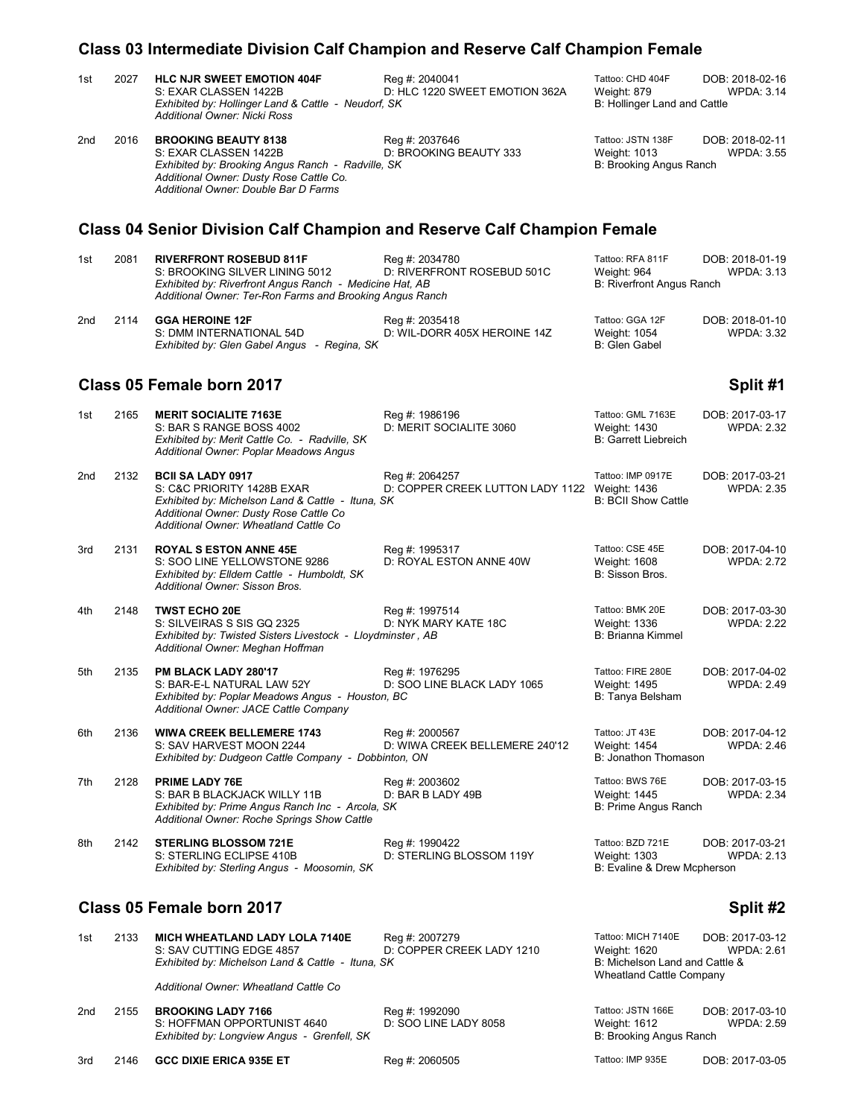## **Class 03 Intermediate Division Calf Champion and Reserve Calf Champion Female**

| 1st | 2027 | <b>HLC NJR SWEET EMOTION 404F</b><br>S: EXAR CLASSEN 1422B<br>Exhibited by: Hollinger Land & Cattle - Neudorf, SK<br><b>Additional Owner: Nicki Ross</b>                                       | Reg #: 2040041<br>D: HLC 1220 SWEET EMOTION 362A                | Tattoo: CHD 404F<br>DOB: 2018-02-16<br><b>WPDA: 3.14</b><br>Weight: 879<br>B: Hollinger Land and Cattle                                  |  |
|-----|------|------------------------------------------------------------------------------------------------------------------------------------------------------------------------------------------------|-----------------------------------------------------------------|------------------------------------------------------------------------------------------------------------------------------------------|--|
| 2nd | 2016 | <b>BROOKING BEAUTY 8138</b><br>S: EXAR CLASSEN 1422B<br>Exhibited by: Brooking Angus Ranch - Radville, SK<br>Additional Owner: Dusty Rose Cattle Co.<br>Additional Owner: Double Bar D Farms   | Reg #: 2037646<br>D: BROOKING BEAUTY 333                        | Tattoo: JSTN 138F<br>DOB: 2018-02-11<br>Weight: 1013<br><b>WPDA: 3.55</b><br>B: Brooking Angus Ranch                                     |  |
|     |      | <b>Class 04 Senior Division Calf Champion and Reserve Calf Champion Female</b>                                                                                                                 |                                                                 |                                                                                                                                          |  |
| 1st | 2081 | <b>RIVERFRONT ROSEBUD 811F</b><br>S: BROOKING SILVER LINING 5012<br>Exhibited by: Riverfront Angus Ranch - Medicine Hat, AB<br>Additional Owner: Ter-Ron Farms and Brooking Angus Ranch        | Reg #: 2034780<br>D: RIVERFRONT ROSEBUD 501C                    | Tattoo: RFA 811F<br>DOB: 2018-01-19<br>Weight: 964<br><b>WPDA: 3.13</b><br>B: Riverfront Angus Ranch                                     |  |
| 2nd | 2114 | <b>GGA HEROINE 12F</b><br>S: DMM INTERNATIONAL 54D<br>Exhibited by: Glen Gabel Angus - Regina, SK                                                                                              | Reg #: 2035418<br>D: WIL-DORR 405X HEROINE 14Z                  | Tattoo: GGA 12F<br>DOB: 2018-01-10<br><b>WPDA: 3.32</b><br>Weight: 1054<br>B: Glen Gabel                                                 |  |
|     |      | Class 05 Female born 2017                                                                                                                                                                      |                                                                 | Split #1                                                                                                                                 |  |
| 1st | 2165 | <b>MERIT SOCIALITE 7163E</b><br>S: BAR S RANGE BOSS 4002<br>Exhibited by: Merit Cattle Co. - Radville, SK<br>Additional Owner: Poplar Meadows Angus                                            | Reg #: 1986196<br>D: MERIT SOCIALITE 3060                       | Tattoo: GML 7163E<br>DOB: 2017-03-17<br>Weight: 1430<br><b>WPDA: 2.32</b><br><b>B: Garrett Liebreich</b>                                 |  |
| 2nd | 2132 | <b>BCII SA LADY 0917</b><br>S: C&C PRIORITY 1428B EXAR<br>Exhibited by: Michelson Land & Cattle - Ituna, SK<br>Additional Owner: Dusty Rose Cattle Co<br>Additional Owner: Wheatland Cattle Co | Reg #: 2064257<br>D: COPPER CREEK LUTTON LADY 1122 Weight: 1436 | Tattoo: IMP 0917E<br>DOB: 2017-03-21<br><b>WPDA: 2.35</b><br><b>B: BCII Show Cattle</b>                                                  |  |
| 3rd | 2131 | <b>ROYAL S ESTON ANNE 45E</b><br>S: SOO LINE YELLOWSTONE 9286<br>Exhibited by: Elldem Cattle - Humboldt, SK<br>Additional Owner: Sisson Bros.                                                  | Reg #: 1995317<br>D: ROYAL ESTON ANNE 40W                       | Tattoo: CSE 45E<br>DOB: 2017-04-10<br>Weight: 1608<br><b>WPDA: 2.72</b><br>B: Sisson Bros.                                               |  |
| 4th | 2148 | <b>TWST ECHO 20E</b><br>S: SILVEIRAS S SIS GQ 2325<br>Exhibited by: Twisted Sisters Livestock - Lloydminster, AB<br>Additional Owner: Meghan Hoffman                                           | Reg #: 1997514<br>D: NYK MARY KATE 18C                          | Tattoo: BMK 20E<br>DOB: 2017-03-30<br>Weight: 1336<br><b>WPDA: 2.22</b><br>B: Brianna Kimmel                                             |  |
| 5th | 2135 | PM BLACK LADY 280'17<br>S: BAR-E-L NATURAL LAW 52Y<br>Exhibited by: Poplar Meadows Angus - Houston, BC<br>Additional Owner: JACE Cattle Company                                                | Reg #: 1976295<br>D: SOO LINE BLACK LADY 1065                   | Tattoo: FIRE 280E<br>DOB: 2017-04-02<br><b>WPDA: 2.49</b><br>Weight: 1495<br>B: Tanya Belsham                                            |  |
| 6th | 2136 | <b>WIWA CREEK BELLEMERE 1743</b><br>S: SAV HARVEST MOON 2244<br>Exhibited by: Dudgeon Cattle Company - Dobbinton, ON                                                                           | Reg #: 2000567<br>D: WIWA CREEK BELLEMERE 240'12                | Tattoo: JT 43E<br>DOB: 2017-04-12<br>Weight: 1454<br><b>WPDA: 2.46</b><br>B: Jonathon Thomason                                           |  |
| 7th | 2128 | <b>PRIME LADY 76E</b><br>S: BAR B BLACKJACK WILLY 11B<br>Exhibited by: Prime Angus Ranch Inc - Arcola, SK<br>Additional Owner: Roche Springs Show Cattle                                       | Reg #: 2003602<br>D: BAR B LADY 49B                             | Tattoo: BWS 76E<br>DOB: 2017-03-15<br><b>Weight: 1445</b><br><b>WPDA: 2.34</b><br>B: Prime Angus Ranch                                   |  |
| 8th | 2142 | <b>STERLING BLOSSOM 721E</b><br>S: STERLING ECLIPSE 410B<br>Exhibited by: Sterling Angus - Moosomin, SK                                                                                        | Reg #: 1990422<br>D: STERLING BLOSSOM 119Y                      | Tattoo: BZD 721E<br>DOB: 2017-03-21<br><b>WPDA: 2.13</b><br>Weight: 1303<br>B: Evaline & Drew Mcpherson                                  |  |
|     |      | Class 05 Female born 2017                                                                                                                                                                      |                                                                 | Split #2                                                                                                                                 |  |
| 1st | 2133 | <b>MICH WHEATLAND LADY LOLA 7140E</b><br>S: SAV CUTTING EDGE 4857<br>Exhibited by: Michelson Land & Cattle - Ituna, SK                                                                         | Reg #: 2007279<br>D: COPPER CREEK LADY 1210                     | Tattoo: MICH 7140E<br>DOB: 2017-03-12<br><b>WPDA: 2.61</b><br>Weight: 1620<br>B: Michelson Land and Cattle &<br>Wheatland Cattle Company |  |

*Additional Owner: Wheatland Cattle Co*

2nd 2155 **BROOKING LADY 7166** Reg #: 1992090 Reg 2010-03-10 Tattoo: JSTN 166E DOB: 2017-03-10<br>S: HOFFMAN OPPORTUNIST 4640 D: SOO LINE LADY 8058 Weight: 1612 WPDA: 2.59 S: HOFFMAN OPPORTUNIST 4640 D: SOO LINE LADY 8058 Weight: 1612<br>
Exhibited by: Longview Angus - Grenfell, SK B: 2.599 B: Brooking Angus Ranch *Exhibited by: Longview Angus - Grenfell, SK* 

3rd 2146 **GCC DIXIE ERICA 935E ET** Reg #: 2060505 Tattoo: IMP 935E DOB: 2017-03-05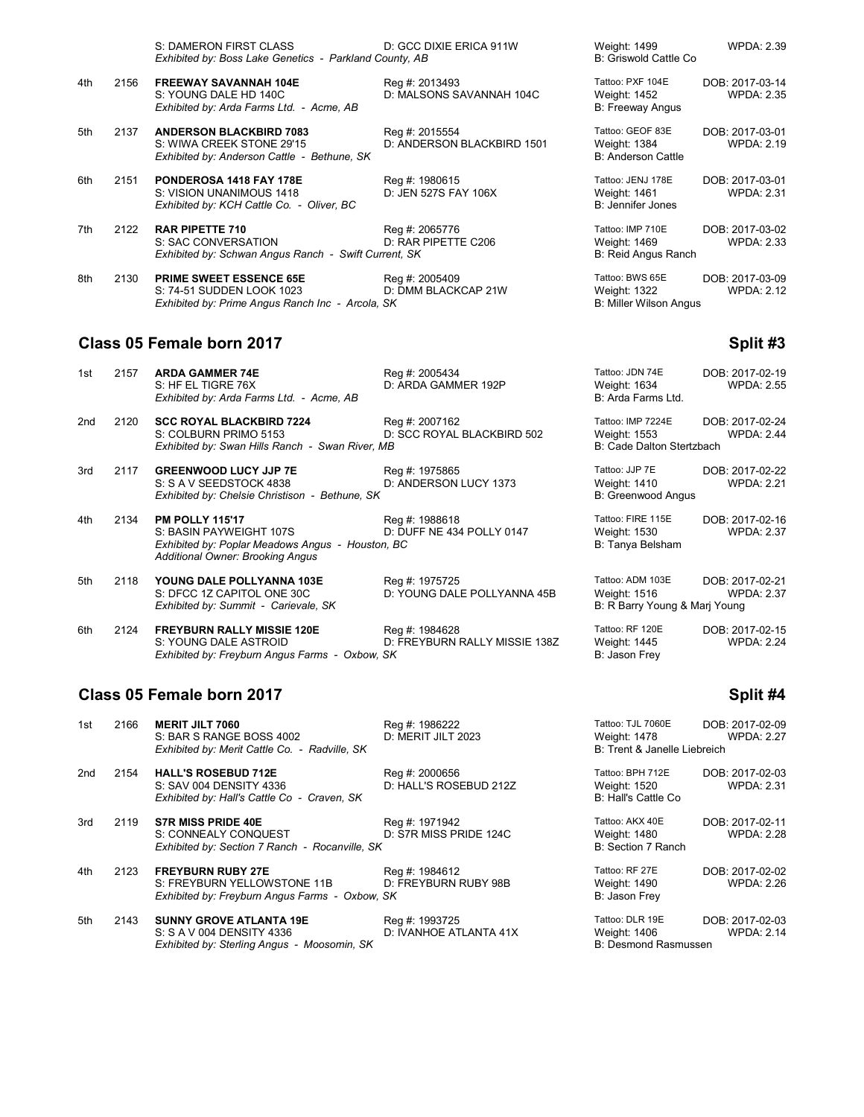|     |      | S: DAMERON FIRST CLASS<br>Exhibited by: Boss Lake Genetics - Parkland County, AB                                | D: GCC DIXIE ERICA 911W                      | Weight: 1499<br>B: Griswold Cattle Co.                           | <b>WPDA: 2.39</b>                    |
|-----|------|-----------------------------------------------------------------------------------------------------------------|----------------------------------------------|------------------------------------------------------------------|--------------------------------------|
| 4th | 2156 | <b>FREEWAY SAVANNAH 104E</b><br>S: YOUNG DALE HD 140C<br>Exhibited by: Arda Farms Ltd. - Acme, AB               | Reg #: 2013493<br>D: MALSONS SAVANNAH 104C   | Tattoo: PXF 104E<br>Weight: 1452<br><b>B: Freeway Angus</b>      | DOB: 2017-03-14<br><b>WPDA: 2.35</b> |
| 5th | 2137 | <b>ANDERSON BLACKBIRD 7083</b><br>S: WIWA CREEK STONE 29'15<br>Exhibited by: Anderson Cattle - Bethune, SK      | Reg #: 2015554<br>D: ANDERSON BLACKBIRD 1501 | Tattoo: GEOF 83E<br>Weight: 1384<br><b>B: Anderson Cattle</b>    | DOB: 2017-03-01<br><b>WPDA: 2.19</b> |
| 6th | 2151 | PONDEROSA 1418 FAY 178E<br>S: VISION UNANIMOUS 1418<br>Exhibited by: KCH Cattle Co. - Oliver, BC                | Reg #: 1980615<br>D: JEN 527S FAY 106X       | Tattoo: JENJ 178E<br>Weight: 1461<br>B: Jennifer Jones           | DOB: 2017-03-01<br><b>WPDA: 2.31</b> |
| 7th | 2122 | <b>RAR PIPETTE 710</b><br>S: SAC CONVERSATION<br>Exhibited by: Schwan Angus Ranch - Swift Current, SK           | Reg #: 2065776<br>D: RAR PIPETTE C206        | Tattoo: IMP 710E<br>Weight: 1469<br>B: Reid Angus Ranch          | DOB: 2017-03-02<br><b>WPDA: 2.33</b> |
| 8th | 2130 | <b>PRIME SWEET ESSENCE 65E</b><br>S: 74-51 SUDDEN LOOK 1023<br>Exhibited by: Prime Angus Ranch Inc - Arcola, SK | Reg #: 2005409<br>D: DMM BLACKCAP 21W        | Tattoo: BWS 65E<br>Weight: 1322<br><b>B: Miller Wilson Angus</b> | DOB: 2017-03-09<br><b>WPDA: 2.12</b> |

#### **Class 05 Female born 2017 Split #3**

| 1st             | 2157 | <b>ARDA GAMMER 74E</b><br>S: HF EL TIGRE 76X<br>Exhibited by: Arda Farms Ltd. - Acme, AB                                                         | Reg #: 2005434<br>D: ARDA GAMMER 192P           | Tattoo: JDN 74E<br>Weight: 1634<br>B: Arda Farms Ltd.             | DOB: 2017-02-19<br><b>WPDA: 2.55</b> |
|-----------------|------|--------------------------------------------------------------------------------------------------------------------------------------------------|-------------------------------------------------|-------------------------------------------------------------------|--------------------------------------|
| 2 <sub>nd</sub> | 2120 | <b>SCC ROYAL BLACKBIRD 7224</b><br>S: COLBURN PRIMO 5153<br>Exhibited by: Swan Hills Ranch - Swan River, MB                                      | Reg #: 2007162<br>D: SCC ROYAL BLACKBIRD 502    | Tattoo: IMP 7224E<br>Weight: 1553<br>B: Cade Dalton Stertzbach    | DOB: 2017-02-24<br><b>WPDA: 2.44</b> |
| 3rd             | 2117 | <b>GREENWOOD LUCY JJP 7E</b><br>S: S A V SEEDSTOCK 4838<br>Exhibited by: Chelsie Christison - Bethune, SK                                        | Reg #: 1975865<br>D: ANDERSON LUCY 1373         | Tattoo: JJP 7E<br>Weight: 1410<br>B: Greenwood Angus              | DOB: 2017-02-22<br><b>WPDA: 2.21</b> |
| 4th             | 2134 | <b>PM POLLY 115'17</b><br>S: BASIN PAYWEIGHT 107S<br>Exhibited by: Poplar Meadows Angus - Houston, BC<br><b>Additional Owner: Brooking Angus</b> | Reg #: 1988618<br>D: DUFF NE 434 POLLY 0147     | Tattoo: FIRE 115E<br>Weight: 1530<br>B: Tanya Belsham             | DOB: 2017-02-16<br><b>WPDA: 2.37</b> |
| 5th             | 2118 | <b>YOUNG DALE POLLYANNA 103E</b><br>S: DFCC 1Z CAPITOL ONE 30C<br>Exhibited by: Summit - Carievale, SK                                           | Reg #: 1975725<br>D: YOUNG DALE POLLYANNA 45B   | Tattoo: ADM 103E<br>Weight: 1516<br>B: R Barry Young & Marj Young | DOB: 2017-02-21<br><b>WPDA: 2.37</b> |
| 6th             | 2124 | <b>FREYBURN RALLY MISSIE 120E</b><br>S: YOUNG DALE ASTROID                                                                                       | Reg #: 1984628<br>D: FREYBURN RALLY MISSIE 138Z | Tattoo: RF 120E<br><b>Weight: 1445</b>                            | DOB: 2017-02-15<br><b>WPDA: 2.24</b> |

*Exhibited by: Freyburn Angus Farms - Oxbow, SK* B: Jason Frey

# **Class 05 Female born 2017 Split #4**

| 1st | 2166 | <b>MERIT JILT 7060</b><br>S: BAR S RANGE BOSS 4002<br>Exhibited by: Merit Cattle Co. - Radville, SK        | Reg #: 1986222<br>D: MERIT JILT 2023     | Tattoo: TJL 7060E<br>Weight: 1478<br>B: Trent & Janelle Liebreich | DOB: 2017-02-09<br><b>WPDA: 2.27</b> |
|-----|------|------------------------------------------------------------------------------------------------------------|------------------------------------------|-------------------------------------------------------------------|--------------------------------------|
|     |      |                                                                                                            |                                          |                                                                   |                                      |
| 2nd | 2154 | <b>HALL'S ROSEBUD 712E</b><br>S: SAV 004 DENSITY 4336<br>Exhibited by: Hall's Cattle Co - Craven, SK       | Reg #: 2000656<br>D: HALL'S ROSEBUD 212Z | Tattoo: BPH 712E<br>Weight: 1520<br>B: Hall's Cattle Co.          | DOB: 2017-02-03<br><b>WPDA: 2.31</b> |
| 3rd | 2119 | <b>S7R MISS PRIDE 40E</b><br>S: CONNEALY CONQUEST<br>Exhibited by: Section 7 Ranch - Rocanville, SK        | Reg #: 1971942<br>D: S7R MISS PRIDE 124C | Tattoo: AKX 40E<br>Weight: 1480<br>B: Section 7 Ranch             | DOB: 2017-02-11<br><b>WPDA: 2.28</b> |
| 4th | 2123 | <b>FREYBURN RUBY 27E</b><br>S: FREYBURN YELLOWSTONE 11B<br>Exhibited by: Freyburn Angus Farms - Oxbow, SK  | Reg #: 1984612<br>D: FREYBURN RUBY 98B   | Tattoo: RF 27E<br>Weight: 1490<br>B: Jason Frey                   | DOB: 2017-02-02<br><b>WPDA: 2.26</b> |
| 5th | 2143 | <b>SUNNY GROVE ATLANTA 19E</b><br>S: S A V 004 DENSITY 4336<br>Exhibited by: Sterling Angus - Moosomin, SK | Reg #: 1993725<br>D: IVANHOE ATLANTA 41X | Tattoo: DLR 19E<br>Weight: 1406<br>B: Desmond Rasmussen           | DOB: 2017-02-03<br><b>WPDA: 2.14</b> |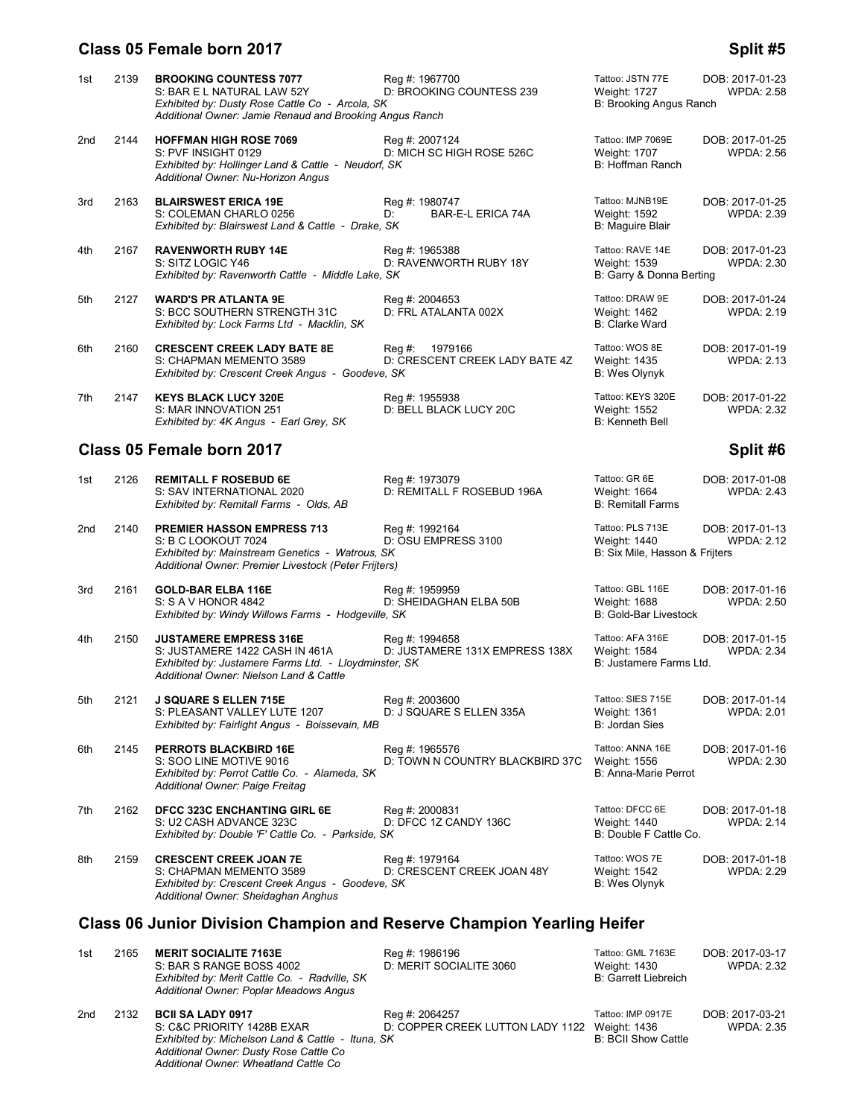#### **Class 05 Female born 2017 Split #5 Split #5**

#### 1st 2139 **BROOKING COUNTESS 7077** Reg #: 1967700 Tattoo: JSTN 77E DOB: 2017-01-23<br>1.58 S: BAR E L NATURAL LAW 52Y D: BROOKING COUNTESS 239 Weight: 1727 WPDA: 2.58 S: BAR E L NATURAL LAW 52Y D: BROOKING COUNTESS 239 Weight: 1727 WPDA: 2.58<br>Exhibited by: Dusty Rose Cattle Co - Arcola, SK *Exhibited by: Dusty Rose Cattle Co - Arcola, SK Additional Owner: Jamie Renaud and Brooking Angus Ranch* 2nd 2144 **HOFFMAN HIGH ROSE 7069** Reg #: 2007124 Tattoo: IMP 7069E DOB: 2017-01-25<br>2.56: BYF INSIGHT 0129 D: MICH SC HIGH ROSE 526C Weight: 1707 WPDA: 2.56 D: MICH SC HIGH ROSE 526C Weight: 1707<br>S: SK B: Hoffman Ranch *Exhibited by: Hollinger Land & Cattle - Neudorf, SK Additional Owner: Nu-Horizon Angus* 3rd 2163 **BLAIRSWEST ERICA 19E** Reg #: 1980747 Tattoo: MJNB19E DOB: 2017-01-25 S: COLEMAN CHARLO 0256 **D:** BAR-E-L ERICA 74A Weight: 1592<br>
Exhibited by: Blairswest Land & Cattle - Drake, SK BR (Baltic Blair Blair *Exhibited by: Blairswest Land & Cattle - Drake, SK* 4th 2167 **RAVENWORTH RUBY 14E** Reg #: 1965388 Tattoo: RAVE 14E DOB: 2017-01-23 S: SITZ LOGIC Y46 **D: RAVENWORTH RUBY 18Y** Weight: 1539 Weight: 1539 WPDA: 2.30<br>Exhibited by: Ravenworth Cattle - Middle Lake, SK BY BUBY 18Y B: Garry & Donna Berting *Exhibited by: Ravenworth Cattle - Middle Lake, SK* 5th 2127 **WARD'S PR ATLANTA 9E** Reg #: 2004653 Tattoo: DRAW 9E DOB: 2017-01-24<br>S: BCC SOUTHERN STRENGTH 31C D: FRL ATALANTA 002X Weight: 1462 WPDA: 2.19 S: BCC SOUTHERN STRENGTH 31C D: FRL ATALANTA 002X Weight: 1462<br>*Exhibited by: Lock Farms Ltd - Macklin, SK* B: Clarke Ward *Exhibited by: Lock Farms Ltd - Macklin, SK* 6th 2160 **CRESCENT CREEK LADY BATE 8E** Reg #: 1979166 Tattoo: WOS 8E DOB: 2017-01-19<br>S: CHAPMAN MEMENTO 3589 D: CRESCENT CREEK LADY BATE 4Z Weight: 1435 WPDA: 2.13 D: CRESCENT CREEK LADY BATE 4Z Weight: 1435 WPDA: 2.13<br>B: Wes Olynyk Batte Disk Weight: 15 *Exhibited by: Crescent Creek Angus - Goodeve, SK* 7th 2147 **KEYS BLACK LUCY 320E** Reg #: 1955938 Tattoo: KEYS 320E DOB: 2017-01-22 D: BELL BLACK LUCY 20C *Exhibited by: 4K Angus - Earl Grey, SK* B: Kenneth Bell **Class 05 Female born 2017 Split #6 Split #6 Split #6 Split #6 Split #6** 1st 2126 **REMITALL F ROSEBUD 6E** Reg #: 1973079 Tattoo: GR 6E DOB: 2017-01-08<br>1964 S: SAV INTERNATIONAL 2020 D: REMITALL F ROSEBUD 196A Weight: 1664 WPDA: 2.43 D: REMITALL F ROSEBUD 196A Weight: 1664<br>B: Remitall Farms *Exhibited by: Remitall Farms - Olds, AB* 2nd 2140 **PREMIER HASSON EMPRESS 713** Reg #: 1992164 Tattoo: PLS 713E DOB: 2017-01-13 D: OSU EMPRESS 3100 *Exhibited by: Mainstream Genetics - Watrous, SK* B: Six Mile, Hasson & Frijters *Additional Owner: Premier Livestock (Peter Frijters)*

3rd 2161 **GOLD-BAR ELBA 116E** Reg #: 1959959 Reg **: 1959959** Tattoo: GBL 116E DOB: 2017-01-16<br>1.5.S. S. A. V. HONOR 4842 **D: SHEIDAGHAN ELBA 50B** Weight: 1688 WPDA: 2.50 D: SHEIDAGHAN ELBA 50B Weight: 1688<br>
P. SK B: Gold-Bar Livestock *Exhibited by: Windy Willows Farms - Hodgeville, SK* 

- 4th 2150 **JUSTAMERE EMPRESS 316E** Reg #: 1994658 Tattoo: AFA 316E DOB: 2017-01-15<br>S: JUSTAMERE 1422 CASH IN 461A D: JUSTAMERE 131X EMPRESS 138X Weight: 1584 WPDA: 2.34 S: JUSTAMERE 1422 CASH IN 461A D: JUSTAMERE 131X EMPRESS 138X Weight: 1584 WPDA: 2.34 *Exhibited by: Justamere Farms Ltd. - Lloydminster, SK Additional Owner: Nielson Land & Cattle*
- 5th 2121 **J SQUARE S ELLEN 715E** Reg #: 2003600 Tattoo: SIES 715E DOB: 2017-01-14<br>S: PLEASANT VALLEY LUTE 1207 D: J SQUARE S ELLEN 335A Weight: 1361 WPDA: 2.01 S: PLEASANT VALLEY LUTE 1207 *Exhibited by: Fairlight Angus - Boissevain, MB* B: Jordan Sies

6th 2145 **PERROTS BLACKBIRD 16E** Reg #: 1965576 Tattoo: ANNA 16E DOB: 2017-01-16<br>B: SOO LINE MOTIVE 9016 D: TOWN N COUNTRY BLACKBIRD 37C Weight: 1556 WPDA: 2.30 D: TOWN N COUNTRY BLACKBIRD 37C Weight: 1556<br>B: Anna-Marie Perrot *Exhibited by: Perrot Cattle Co. - Alameda, SK Additional Owner: Paige Freitag*

7th 2162 **DFCC 323C ENCHANTING GIRL 6E** Reg #: 2000831 Tattoo: DFCC 6E DOB: 2017-01-18<br>S: U2 CASH ADVANCE 323C D: DFCC 1Z CANDY 136C Weight: 1440 WPDA: 2.14 S: U2 CASH ADVANCE 323C D: DECC 1Z CANDY 136C Weight: 1440<br>Exhibited by: Double 'F' Cattle Co. - Parkside. SK BC ANDY 136C B: Double F Cattle Co. *Exhibited by: Double 'F' Cattle Co. - Parkside, SK* 

*Additional Owner: Wheatland Cattle Co*

8th 2159 **CRESCENT CREEK JOAN 7E** Reg #: 1979164 Tattoo: WOS 7E DOB: 2017-01-18<br>2.29 S: CHAPMAN MEMENTO 3589 D: CRESCENT CREEK JOAN 48Y Weight: 1542 WPDA: 2.29 D: CRESCENT CREEK JOAN 48Y *Exhibited by: Crescent Creek Angus - Goodeve, SK* B: Wes Olynyk *Additional Owner: Sheidaghan Anghus* 

## **Class 06 Junior Division Champion and Reserve Champion Yearling Heifer**

| 1st | 2165 | <b>MERIT SOCIALITE 7163E</b><br>S: BAR S RANGE BOSS 4002<br>Exhibited by: Merit Cattle Co. - Radville, SK<br>Additional Owner: Poplar Meadows Angus   | Reg #: 1986196<br>D: MERIT SOCIALITE 3060          | Tattoo: GML 7163E<br>Weight: 1430<br><b>B: Garrett Liebreich</b> | DOB: 2017-03-17<br><b>WPDA: 2.32</b> |
|-----|------|-------------------------------------------------------------------------------------------------------------------------------------------------------|----------------------------------------------------|------------------------------------------------------------------|--------------------------------------|
| 2nd | 2132 | <b>BCII SA LADY 0917</b><br>S: C&C PRIORITY 1428B EXAR<br>Exhibited by: Michelson Land & Cattle - Ituna, SK<br>Additional Owner: Dusty Rose Cattle Co | Reg #: 2064257<br>D: COPPER CREEK LUTTON LADY 1122 | Tattoo: IMP 0917E<br>Weight: 1436<br><b>B: BCII Show Cattle</b>  | DOB: 2017-03-21<br><b>WPDA: 2.35</b> |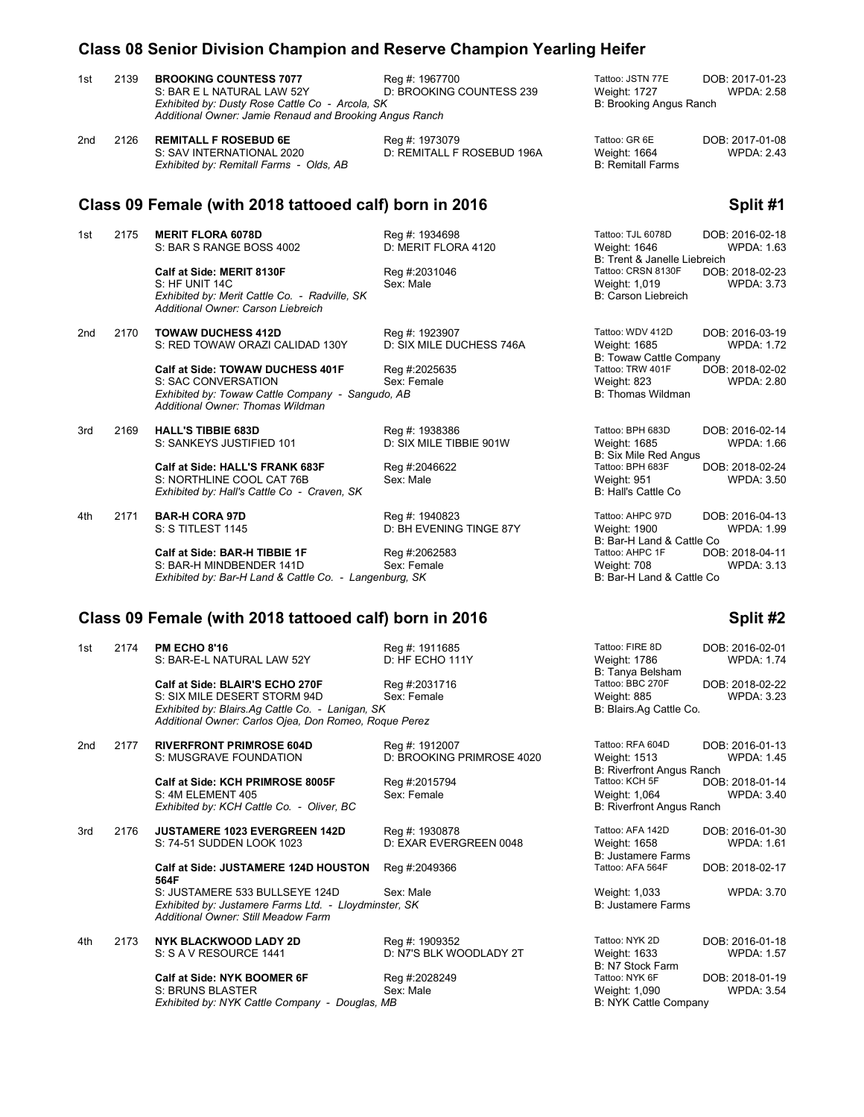#### **Class 08 Senior Division Champion and Reserve Champion Yearling Heifer**

| 2139 | <b>BROOKING COUNTESS 7077</b>                                                                              | Reg #: 1967700           | Tattoo: JSTN 77E        | DOB: 2017-01-23   |
|------|------------------------------------------------------------------------------------------------------------|--------------------------|-------------------------|-------------------|
|      | S: BAR E L NATURAL LAW 52Y                                                                                 | D: BROOKING COUNTESS 239 | Weight: 1727            | <b>WPDA: 2.58</b> |
|      | Exhibited by: Dusty Rose Cattle Co - Arcola, SK<br>Additional Owner: Jamie Renaud and Brooking Angus Ranch |                          | B: Brooking Angus Ranch |                   |

2nd 2126 **REMITALL F ROSEBUD 6E** Reg #: 1973079 Reg **Exercise Conduct CR 6 Fm 1973079** Tattoo: GR 6E DOB: 2017-01-08<br>2.43 S: SAV INTERNATIONAL 2020 D: REMITALL F ROSEBUD 196A Weight: 1664 WPDA: 2.43 *Exhibited by: Remitall Farms - Olds, AB* 

D: REMITALL F ROSEBUD 196A Weight: 1664<br>B: Remitall Farms

#### **Class 09 Female (with 2018 tattooed calf) born in 2016 Split #1**

1st 2175 **MERIT FLORA 6078D Reg #: 1934698** Tattoo: TJL 6078D **DOB: 2016-02-18**<br>1.63 S: BAR S RANGE BOSS 4002 **D: MERIT FLORA 4120** Weight: 1646 WPDA: 1.63 S: BAR S RANGE BOSS 4002

D: BH EVENING TINGE 87Y

**Calf at Side: TOWAW DUCHESS 401F** Reg #:2025635 Tattoo: TRW 4<br>S: SAC CONVERSATION Sex: Female Sex: Female Weight: 823 S: SAC CONVERSATION Sex: Female Sextern Sextern Sextern Meight: 823 Weight: 823 WPDA: 2.80<br>Statistical by: Towaw Cattle Company - Sangudo, AB Sextern Sextern Sextern Statistics of B: Thomas Wildman *Exhibited by: Towaw Cattle Company - Sangudo, AB Additional Owner: Thomas Wildman*

*Additional Owner: Carson Liebreich*

3rd 2169 **HALL'S TIBBIE 683D** Reg #: 1938386 Reg Accoss PH 683D DOB: 2016-02-14<br>5: SIX MILE TIBBIE 901W Weight: 1685 WPDA: 1.66 S: SANKEYS JUSTIFIED 101

> **Calf at Side: HALL'S FRANK 683F** Reg #:2046622 Tattoo: BPH 683F DOB: 2018-02-24<br>S: NORTHLINE COOL CAT 76B Sex: Male Sex: Male Neg Regist: 951 Weight: 951 WPDA: 3.50 S: NORTHLINE COOL CAT 76B Sex: Male Sex: Male Sex: Male Sexteed Meight: 951 Weight: 951 Sex: North Coole Sex: Male Sex: Male Sex: Male Sex: Male Sex: Male Sex: Male Sex: Male Sex: Male Sex: Male Sex: Male Sex: Mall's Cattl *Exhibited by: Hall's Cattle Co - Craven, SK*

**Calf at Side: BAR-H TIBBIE 1F** Reg #:2062583 Tattoo: AHPC 1F DOB: 2018-04-11<br>S: BAR-H MINDBENDER 141D Sex: Female Weight: 708 Weight: 709 WPDA: 3.13 S: BAR-H MINDBENDER 141D Sex: Female Sex: Female Weight: 708 Weight: 708<br>
Exhibited by: Bar-H Land & Cattle Co. - Langenburg. SK *Exhibited by: Bar-H Land & Cattle Co. - Langenburg, SK* 

## **Class 09 Female (with 2018 tattooed calf) born in 2016 Split #2** Split #2

| 1st | 2174 | <b>PM ECHO 8'16</b><br>S: BAR-E-L NATURAL LAW 52Y                                                                              | Reg #: 1911685<br>D: HF ECHO 111Y         | Tattoo: FIRE 8D<br>Weight: 1786<br>B: Tanya Belsham | DOB: 2016-02-01<br><b>WPDA: 1.74</b> |
|-----|------|--------------------------------------------------------------------------------------------------------------------------------|-------------------------------------------|-----------------------------------------------------|--------------------------------------|
|     |      | Calf at Side: BLAIR'S ECHO 270F<br>S: SIX MILE DESERT STORM 94D                                                                | Reg #:2031716<br>Sex: Female              | Tattoo: BBC 270F<br>Weight: 885                     | DOB: 2018-02-22<br><b>WPDA: 3.23</b> |
|     |      | Exhibited by: Blairs.Ag Cattle Co. - Lanigan, SK<br>Additional Owner: Carlos Ojea, Don Romeo, Roque Perez                      |                                           | B: Blairs.Ag Cattle Co.                             |                                      |
| 2nd | 2177 | <b>RIVERFRONT PRIMROSE 604D</b>                                                                                                | Reg #: 1912007                            | Tattoo: RFA 604D                                    | DOB: 2016-01-13                      |
|     |      | S: MUSGRAVE FOUNDATION                                                                                                         | D: BROOKING PRIMROSE 4020                 | Weight: 1513<br>B: Riverfront Angus Ranch           | <b>WPDA: 1.45</b>                    |
|     |      | Calf at Side: KCH PRIMROSE 8005F                                                                                               | Reg #:2015794                             | Tattoo: KCH 5F                                      | DOB: 2018-01-14                      |
|     |      | S: 4M ELEMENT 405<br>Exhibited by: KCH Cattle Co. - Oliver, BC                                                                 | Sex: Female                               | Weight: 1,064<br>B: Riverfront Angus Ranch          | <b>WPDA: 3.40</b>                    |
|     |      |                                                                                                                                |                                           |                                                     |                                      |
| 3rd | 2176 | <b>JUSTAMERE 1023 EVERGREEN 142D</b>                                                                                           | Reg #: 1930878                            | Tattoo: AFA 142D                                    | DOB: 2016-01-30                      |
|     |      | S: 74-51 SUDDEN LOOK 1023                                                                                                      | D: EXAR EVERGREEN 0048                    | Weight: 1658<br>B: Justamere Farms                  | <b>WPDA: 1.61</b>                    |
|     |      | <b>Calf at Side: JUSTAMERE 124D HOUSTON</b><br>564F                                                                            | Reg #:2049366                             | Tattoo: AFA 564F                                    | DOB: 2018-02-17                      |
|     |      | S: JUSTAMERE 533 BULLSEYE 124D<br>Exhibited by: Justamere Farms Ltd. - Lloydminster, SK<br>Additional Owner: Still Meadow Farm | Sex: Male                                 | Weight: 1,033<br><b>B: Justamere Farms</b>          | <b>WPDA: 3.70</b>                    |
| 4th | 2173 | NYK BLACKWOOD LADY 2D<br>S: S A V RESOURCE 1441                                                                                | Reg #: 1909352<br>D: N7'S BLK WOODLADY 2T | Tattoo: NYK 2D<br>Weight: 1633<br>B: N7 Stock Farm  | DOB: 2016-01-18<br><b>WPDA: 1.57</b> |
|     |      | Calf at Side: NYK BOOMER 6F                                                                                                    | Reg #:2028249                             | Tattoo: NYK 6F                                      | DOB: 2018-01-19                      |

B: Trent & Janelle Liebreich<br>Tattoo: CRSN 8130F DOB: 2018-02-23 Portage: **Calf at Side: MERIT 8130F** Reg #:2031046 Tattoo: CRSN 8130F DOB: 2018-02-23<br>1.73 S: HF UNIT 14C Register All Sex: Male S: HF UNIT 14C Sex: Male Weight: 1,019 WPDA: 3.73 **Exhibited by: Merit Cattle Co. - Radville, SK** B: Carson Liebreich

2nd 2170 **TOWAW DUCHESS 412D** Reg #: 1923907 Tattoo: WDV 412D DOB: 2016-03-19 S: RED TOWAW ORAZI CALIDAD 130Y D: SIX MILE DUCHESS 746A Weight: 1685 WPDA: 1.72 B: Towaw Cattle Company<br>Tattoo: TRW 401F DOB: 2018-02-02

B: Six Mile Red Angus<br>Tattoo: BPH 683F

4th 2171 **BAR-H CORA 97D** Reg #: 1940823 Tattoo: AHPC 97D DOB: 2016-04-13<br>B: S TITLEST 1145 D: BH EVENING TINGE 87Y Weight: 1900 WPDA: 1.99 B: Bar-H Land & Cattle Co<br>Tattoo: AHPC 1F DOI

| Tattoo: FIRE 8D         | DOB: 2016-02-01   |
|-------------------------|-------------------|
| Weight: 1786            | <b>WPDA: 1.74</b> |
| B: Tanya Belsham        |                   |
| Tattoo: BBC 270F        | DOB: 2018-02-22   |
| Weight: 885             | <b>WPDA: 3.23</b> |
| B: Blairs Ag Cattle Co_ |                   |

Tattoo: NYK 2D **DOB: 2016-01-18**<br>Weight: 1633 **WPDA: 1.57** B: N7 Stock Farm<br>Tattoo: NYK 6F S: BRUNS BLASTER Sex: Male Sex: Male Weight: 1,090 WPDA: 3.54 *Exhibited by: NYK Cattle Company - Douglas, MB* B: NYK Cattle Company - Douglas, MB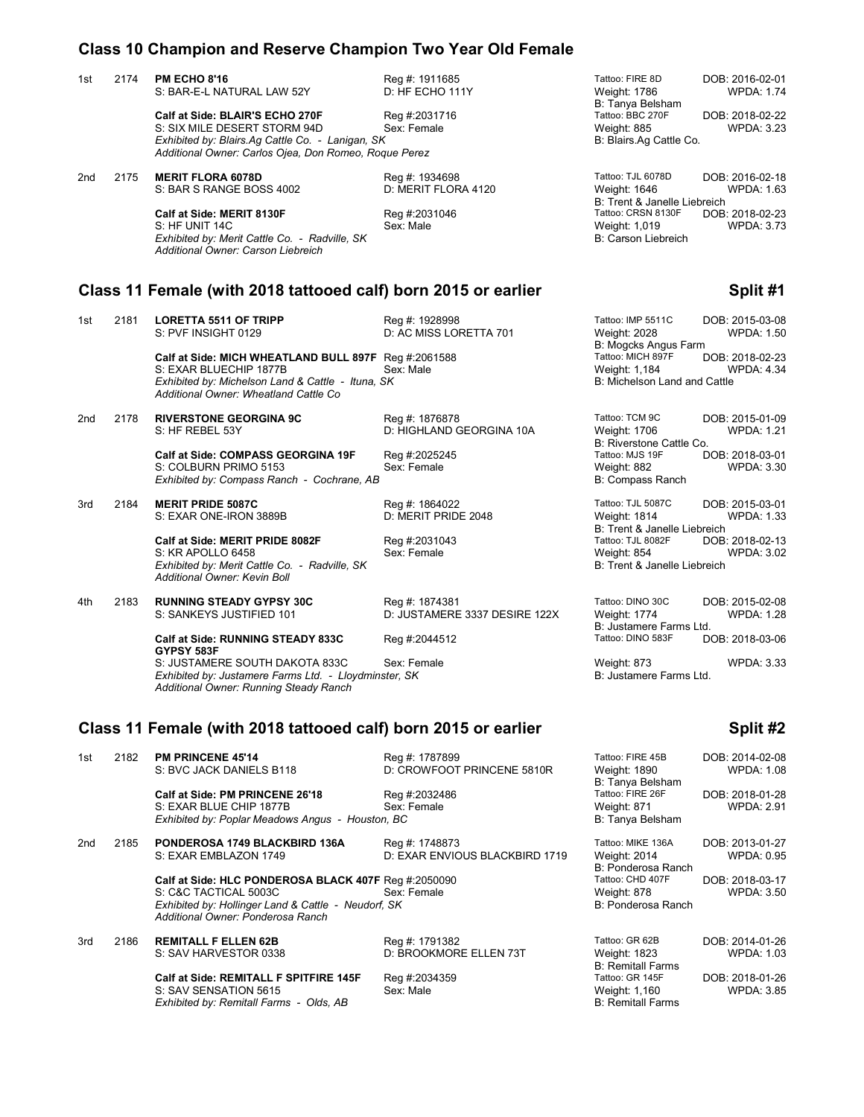### **Class 10 Champion and Reserve Champion Two Year Old Female**

|                 |      | Class To Champion and Reserve Champion Two Tear Old Female                                                                                                                                                                                          |                                                                                 |                                                                                                                                                                                                                |
|-----------------|------|-----------------------------------------------------------------------------------------------------------------------------------------------------------------------------------------------------------------------------------------------------|---------------------------------------------------------------------------------|----------------------------------------------------------------------------------------------------------------------------------------------------------------------------------------------------------------|
| 1st             | 2174 | <b>PM ECHO 8'16</b><br>S: BAR-E-L NATURAL LAW 52Y                                                                                                                                                                                                   | Reg #: 1911685<br>D: HF ECHO 111Y                                               | Tattoo: FIRE 8D<br>DOB: 2016-02-01<br><b>WPDA: 1.74</b><br>Weight: 1786                                                                                                                                        |
|                 |      | Calf at Side: BLAIR'S ECHO 270F<br>S: SIX MILE DESERT STORM 94D<br>Exhibited by: Blairs.Ag Cattle Co. - Lanigan, SK<br>Additional Owner: Carlos Ojea, Don Romeo, Roque Perez                                                                        | Reg #:2031716<br>Sex: Female                                                    | B: Tanya Belsham<br>Tattoo: BBC 270F<br>DOB: 2018-02-22<br>Weight: 885<br>WPDA: 3.23<br>B: Blairs.Ag Cattle Co.                                                                                                |
| 2 <sub>nd</sub> | 2175 | <b>MERIT FLORA 6078D</b><br>S: BAR S RANGE BOSS 4002                                                                                                                                                                                                | Reg #: 1934698<br>D: MERIT FLORA 4120                                           | Tattoo: TJL 6078D<br>DOB: 2016-02-18<br>Weight: 1646<br>WPDA: 1.63                                                                                                                                             |
|                 |      | Calf at Side: MERIT 8130F<br>S: HF UNIT 14C<br>Exhibited by: Merit Cattle Co. - Radville, SK<br>Additional Owner: Carson Liebreich                                                                                                                  | Reg #:2031046<br>Sex: Male                                                      | B: Trent & Janelle Liebreich<br>Tattoo: CRSN 8130F<br>DOB: 2018-02-23<br><b>WPDA: 3.73</b><br>Weight: 1,019<br>B: Carson Liebreich                                                                             |
|                 |      | Class 11 Female (with 2018 tattooed calf) born 2015 or earlier                                                                                                                                                                                      |                                                                                 | Split #1                                                                                                                                                                                                       |
| 1st             | 2181 | <b>LORETTA 5511 OF TRIPP</b><br>S: PVF INSIGHT 0129<br>Calf at Side: MICH WHEATLAND BULL 897F Reg #:2061588<br>S: EXAR BLUECHIP 1877B<br>Exhibited by: Michelson Land & Cattle - Ituna, SK                                                          | Reg #: 1928998<br>D: AC MISS LORETTA 701<br>Sex: Male                           | Tattoo: IMP 5511C<br>DOB: 2015-03-08<br><b>Weight: 2028</b><br>WPDA: 1.50<br>B: Mogcks Angus Farm<br>Tattoo: MICH 897F<br>DOB: 2018-02-23<br>Weight: 1,184<br>WPDA: 4.34<br>B: Michelson Land and Cattle       |
| 2nd             | 2178 | Additional Owner: Wheatland Cattle Co<br><b>RIVERSTONE GEORGINA 9C</b><br>S: HF REBEL 53Y<br><b>Calf at Side: COMPASS GEORGINA 19F</b><br>S: COLBURN PRIMO 5153<br>Exhibited by: Compass Ranch - Cochrane, AB                                       | Reg #: 1876878<br>D: HIGHLAND GEORGINA 10A<br>Reg #:2025245<br>Sex: Female      | Tattoo: TCM 9C<br>DOB: 2015-01-09<br>Weight: 1706<br><b>WPDA: 1.21</b><br>B: Riverstone Cattle Co.<br>Tattoo: MJS 19F<br>DOB: 2018-03-01<br>Weight: 882<br>WPDA: 3.30<br>B: Compass Ranch                      |
| 3rd             | 2184 | <b>MERIT PRIDE 5087C</b><br>S: EXAR ONE-IRON 3889B<br>Calf at Side: MERIT PRIDE 8082F<br>S: KR APOLLO 6458<br>Exhibited by: Merit Cattle Co. - Radville, SK<br>Additional Owner: Kevin Boll                                                         | Reg #: 1864022<br>D: MERIT PRIDE 2048<br>Reg #:2031043<br>Sex: Female           | Tattoo: TJL 5087C<br>DOB: 2015-03-01<br>Weight: 1814<br><b>WPDA: 1.33</b><br>B: Trent & Janelle Liebreich<br>Tattoo: TJL 8082F<br>DOB: 2018-02-13<br>Weight: 854<br>WPDA: 3.02<br>B: Trent & Janelle Liebreich |
| 4th             | 2183 | <b>RUNNING STEADY GYPSY 30C</b><br>S: SANKEYS JUSTIFIED 101<br>Calf at Side: RUNNING STEADY 833C<br>GYPSY 583F<br>S: JUSTAMERE SOUTH DAKOTA 833C<br>Exhibited by: Justamere Farms Ltd. - Lloydminster, SK<br>Additional Owner: Running Steady Ranch | Reg #: 1874381<br>D: JUSTAMERE 3337 DESIRE 122X<br>Reg #:2044512<br>Sex: Female | Tattoo: DINO 30C<br>DOB: 2015-02-08<br>Weight: 1774<br>WPDA: 1.28<br>B: Justamere Farms Ltd.<br>Tattoo: DINO 583F<br>DOB: 2018-03-06<br><b>WPDA: 3.33</b><br>Weight: 873<br>B: Justamere Farms Ltd.            |
|                 |      | Class 11 Female (with 2018 tattooed calf) born 2015 or earlier                                                                                                                                                                                      |                                                                                 | Split #2                                                                                                                                                                                                       |
| 1st             | 2182 | <b>PM PRINCENE 45'14</b><br>S: BVC JACK DANIELS B118                                                                                                                                                                                                | Reg #: 1787899<br>D: CROWFOOT PRINCENE 5810R                                    | Tattoo: FIRE 45B<br>DOB: 2014-02-08<br>Weight: 1890<br><b>WPDA: 1.08</b><br>B: Tanya Belsham                                                                                                                   |
|                 |      | Calf at Side: PM PRINCENE 26'18<br>S: EXAR BLUE CHIP 1877B<br>Exhibited by: Poplar Meadows Angus - Houston, BC                                                                                                                                      | Reg #:2032486<br>Sex: Female                                                    | Tattoo: FIRE 26F<br>DOB: 2018-01-28<br>Weight: 871<br>WPDA: 2.91<br>B: Tanya Belsham                                                                                                                           |

2nd 2185 **PONDEROSA 1749 BLACKBIRD 136A** Reg #: 1748873 Tattoo: MIKE 136A DOB: 2013-01-27 D: EXAR ENVIOUS BLACKBIRD 1719 **Calf at Side: HLC PONDEROSA BLACK 407F** Reg #:2050090 Tattoo: CHD 407F DOB: 2018-03-17<br>S: C&C TACTICAL 5003C Sex: Female Weight: 878 Weight: 878 WPDA: 3.50 S: C&C TACTICAL 5003C Sex: Female<br>
Exhibited by: Hollinger Land & Cattle - Neudorf, SK Sex: Female Sex: S. S. Ponderosa Ranch *Exhibited by: Hollinger Land & Cattle - Neudorf, SK Additional Owner: Ponderosa Ranch*

3rd 2186 **REMITALL F ELLEN 62B** Reg #: 1791382 Tattoo: GR 62B DOB: 2014-01-26<br>3rd S: SAV HARVESTOR 0338 D: BROOKMORE ELLEN 73T Weight: 1823 WPDA: 1.03

**Calf at Side: REMITALL F SPITFIRE 145F** Reg #:2034359 Tattoo: GR 145F DOB: 2018-01-26<br>S: SAV SENSATION 5615 Sex: Male Sex: Male Neght: 1,160 WPDA: 3.85 S: SAV SENSATION 5615 Sex: Male Sex: Male Sex: Male Sextern Meight: 1,160 Weight: 1,160 Sex: Nale Sex: Male Sex: Male Sextern Meight: 1,160 Sextern Meight: 1,160 Sextern Meight: 1,160 Sextern Meight: 1,160 Sextern Meight: *Exhibited by: Remitall Farms - Olds, AB* 

D: BROOKMORE ELLEN 73T

B: Ponderosa Ranch<br>Tattoo: CHD 407F

B: Remitall Farms<br>Tattoo: GR 145F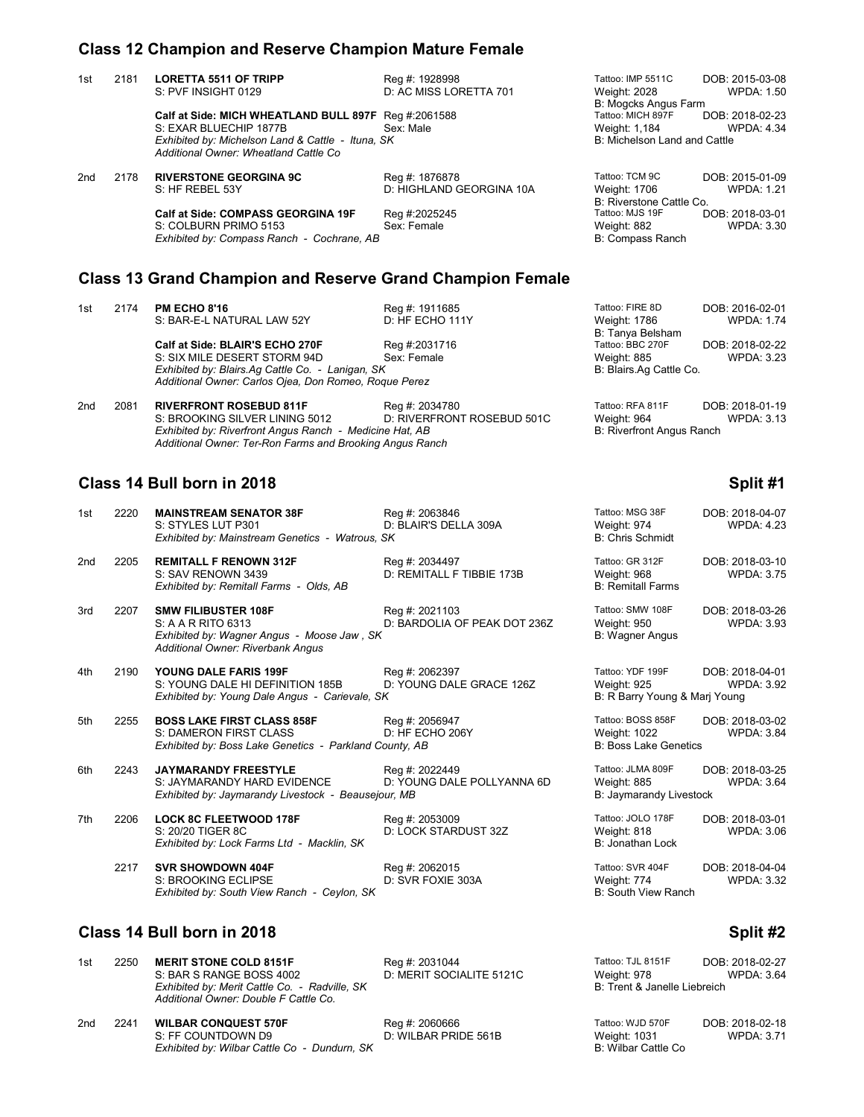### **Class 12 Champion and Reserve Champion Mature Female**

| 1st | 2181                                       | <b>LORETTA 5511 OF TRIPP</b>                                                               | Reg #: 1928998           | Tattoo: IMP 5511C            | DOB: 2015-03-08   |
|-----|--------------------------------------------|--------------------------------------------------------------------------------------------|--------------------------|------------------------------|-------------------|
|     |                                            | S: PVF INSIGHT 0129                                                                        | D: AC MISS LORETTA 701   | Weight: 2028                 | <b>WPDA: 1.50</b> |
|     |                                            |                                                                                            |                          | B: Mogcks Angus Farm         |                   |
|     |                                            | Calf at Side: MICH WHEATLAND BULL 897F Req #:2061588                                       |                          | Tattoo: MICH 897F            | DOB: 2018-02-23   |
|     |                                            | S: EXAR BLUECHIP 1877B                                                                     | Sex: Male                | Weight: 1,184                | <b>WPDA: 4.34</b> |
|     |                                            | Exhibited by: Michelson Land & Cattle - Ituna, SK<br>Additional Owner: Wheatland Cattle Co |                          | B: Michelson Land and Cattle |                   |
| 2nd | 2178                                       | <b>RIVERSTONE GEORGINA 9C</b>                                                              | Reg #: 1876878           | Tattoo: TCM 9C               | DOB: 2015-01-09   |
|     |                                            | S: HF REBEL 53Y                                                                            | D: HIGHLAND GEORGINA 10A | Weight: 1706                 | <b>WPDA: 1.21</b> |
|     |                                            |                                                                                            |                          | B: Riverstone Cattle Co.     |                   |
|     |                                            | <b>Calf at Side: COMPASS GEORGINA 19F</b>                                                  | Reg #:2025245            | Tattoo: MJS 19F              | DOB: 2018-03-01   |
|     |                                            | S: COLBURN PRIMO 5153                                                                      | Sex: Female              | Weight: 882                  | <b>WPDA: 3.30</b> |
|     | Exhibited by: Compass Ranch - Cochrane, AB |                                                                                            |                          | <b>B: Compass Ranch</b>      |                   |
|     |                                            |                                                                                            |                          |                              |                   |

# **Class 13 Grand Champion and Reserve Grand Champion Female**

| 1st    | 2174 | <b>PM ECHO 8'16</b>                                   | Reg #: 1911685       | Tattoo: FIRE 8D                  | DOB: 2016-02-01   |
|--------|------|-------------------------------------------------------|----------------------|----------------------------------|-------------------|
|        |      | S: BAR-E-L NATURAL LAW 52Y                            | D: HF ECHO 111Y      | Weight: 1786<br>B: Tanya Belsham | <b>WPDA: 1.74</b> |
|        |      | Calf at Side: BLAIR'S ECHO 270F                       | Reg #:2031716        | Tattoo: BBC 270F                 | DOB: 2018-02-22   |
|        |      | S: SIX MILE DESERT STORM 94D                          | Sex: Female          | Weight: 885                      | <b>WPDA: 3.23</b> |
|        |      | Exhibited by: Blairs.Ag Cattle Co. - Lanigan, SK      |                      | B: Blairs.Ag Cattle Co.          |                   |
|        |      | Additional Owner: Carlos Ojea, Don Romeo, Roque Perez |                      |                                  |                   |
| المحرت | 0004 | <b>DIVEREDONT BOSEBUR 044F</b>                        | $D_{22} = 4.0024700$ | $T0H0$ , DEA 044E                | DOD: 2010 01:10   |

2nd 2081 **RIVERFRONT ROSEBUD 811F** Reg #: 2034780 Tattoo: RFA 811F DOB: 2018-01-19 S: BROOKING SILVER LINING 5012 D: RIVERFRONT ROSEBUD 501C Weight: 964 WPDA: 3.13 *Exhibited by: Riverfront Angus Ranch - Medicine Hat, AB* B: Riverfront Angus Ranch *Additional Owner: Ter-Ron Farms and Brooking Angus Ranch*

# **Class 14 Bull born in 2018 Split #1 Split #1 Split #1 Split #1**

| 1st | 2220 | <b>MAINSTREAM SENATOR 38F</b><br>S: STYLES LUT P301<br>Exhibited by: Mainstream Genetics - Watrous, SK                              | Reg #: 2063846<br>D: BLAIR'S DELLA 309A        | Tattoo: MSG 38F<br>Weight: 974<br><b>B: Chris Schmidt</b>         | DOB: 2018-04-07<br><b>WPDA: 4.23</b> |
|-----|------|-------------------------------------------------------------------------------------------------------------------------------------|------------------------------------------------|-------------------------------------------------------------------|--------------------------------------|
| 2nd | 2205 | <b>REMITALL F RENOWN 312F</b><br>S: SAV RENOWN 3439<br>Exhibited by: Remitall Farms - Olds, AB                                      | Reg #: 2034497<br>D: REMITALL F TIBBIE 173B    | Tattoo: GR 312F<br>Weight: 968<br><b>B: Remitall Farms</b>        | DOB: 2018-03-10<br><b>WPDA: 3.75</b> |
| 3rd | 2207 | <b>SMW FILIBUSTER 108F</b><br>S: A A R RITO 6313<br>Exhibited by: Wagner Angus - Moose Jaw, SK<br>Additional Owner: Riverbank Angus | Reg #: 2021103<br>D: BARDOLIA OF PEAK DOT 236Z | Tattoo: SMW 108F<br>Weight: 950<br><b>B: Wagner Angus</b>         | DOB: 2018-03-26<br><b>WPDA: 3.93</b> |
| 4th | 2190 | YOUNG DALE FARIS 199F<br>S: YOUNG DALE HI DEFINITION 185B<br>Exhibited by: Young Dale Angus - Carievale, SK                         | Reg #: 2062397<br>D: YOUNG DALE GRACE 126Z     | Tattoo: YDF 199F<br>Weight: 925<br>B: R Barry Young & Marj Young  | DOB: 2018-04-01<br><b>WPDA: 3.92</b> |
| 5th | 2255 | <b>BOSS LAKE FIRST CLASS 858F</b><br>S: DAMERON FIRST CLASS<br>Exhibited by: Boss Lake Genetics - Parkland County, AB               | Reg #: 2056947<br>D: HF ECHO 206Y              | Tattoo: BOSS 858F<br>Weight: 1022<br><b>B: Boss Lake Genetics</b> | DOB: 2018-03-02<br><b>WPDA: 3.84</b> |
| 6th | 2243 | <b>JAYMARANDY FREESTYLE</b><br>S: JAYMARANDY HARD EVIDENCE<br>Exhibited by: Jaymarandy Livestock - Beausejour, MB                   | Reg #: 2022449<br>D: YOUNG DALE POLLYANNA 6D   | Tattoo: JLMA 809F<br>Weight: 885<br>B: Jaymarandy Livestock       | DOB: 2018-03-25<br><b>WPDA: 3.64</b> |
| 7th | 2206 | <b>LOCK 8C FLEETWOOD 178F</b><br>S: 20/20 TIGER 8C<br>Exhibited by: Lock Farms Ltd - Macklin, SK                                    | Reg #: 2053009<br>D: LOCK STARDUST 32Z         | Tattoo: JOLO 178F<br>Weight: 818<br>B: Jonathan Lock              | DOB: 2018-03-01<br><b>WPDA: 3.06</b> |
|     | 2217 | <b>SVR SHOWDOWN 404F</b><br>S: BROOKING ECLIPSE<br>Exhibited by: South View Ranch - Ceylon, SK                                      | Reg #: 2062015<br>D: SVR FOXIE 303A            | Tattoo: SVR 404F<br>Weight: 774<br>B: South View Ranch            | DOB: 2018-04-04<br><b>WPDA: 3.32</b> |

## **Class 14 Bull born in 2018 Split #2 Split #2**

*Exhibited by: South View Ranch - Ceylon, SK* 

| 1st | 2250 | <b>MERIT STONE COLD 8151F</b><br>S: BAR S RANGE BOSS 4002<br>Exhibited by: Merit Cattle Co. - Radville, SK<br>Additional Owner: Double F Cattle Co. | Reg #: 2031044<br>D: MERIT SOCIALITE 5121C | Tattoo: TJL 8151F<br>Weight: 978<br>B: Trent & Janelle Liebreich | DOB: 2018-02-27<br><b>WPDA: 3.64</b> |
|-----|------|-----------------------------------------------------------------------------------------------------------------------------------------------------|--------------------------------------------|------------------------------------------------------------------|--------------------------------------|
| 2nd | 2241 | <b>WILBAR CONQUEST 570F</b><br>S: FF COUNTDOWN D9<br>Exhibited by: Wilbar Cattle Co - Dundurn, SK                                                   | Reg #: 2060666<br>D: WILBAR PRIDE 561B     | Tattoo: WJD 570F<br>Weight: 1031<br>B: Wilbar Cattle Co          | DOB: 2018-02-18<br><b>WPDA: 3.71</b> |

# 190B: 2015-03-08<br>WPDA: 1.50 Farm **CALT BUB: 2018-02-23<br>WPDA: 4.34**

| Tattoo: FIRE 8D         | DOB: 2016-02-01   |
|-------------------------|-------------------|
| Weight: 1786            | <b>WPDA: 1.74</b> |
| B: Tanya Belsham        |                   |
| Tattoo: BBC 270F        | DOB: 2018-02-22   |
| Weight: 885             | <b>WPDA: 3.23</b> |
| B: Blairs.Ag Cattle Co. |                   |
|                         |                   |

| Tattoo: MSG 38F<br>Weight: 974<br><b>B: Chris Schmidt</b>         | DOB: 2018-04-07<br><b>WPDA: 4.23</b> |
|-------------------------------------------------------------------|--------------------------------------|
| Tattoo: GR 312F<br>Weight: 968<br><b>B: Remitall Farms</b>        | DOB: 2018-03-10<br><b>WPDA: 3.75</b> |
| Tattoo: SMW 108F<br>Weight: 950<br>B: Wagner Angus                | DOB: 2018-03-26<br><b>WPDA: 3.93</b> |
| Tattoo: YDF 199F<br>Weight: 925<br>B: R Barry Young & Marj Young  | DOB: 2018-04-01<br><b>WPDA: 3.92</b> |
| Tattoo: BOSS 858F<br>Weight: 1022<br><b>B: Boss Lake Genetics</b> | DOB: 2018-03-02<br><b>WPDA: 3.84</b> |
| Tattoo: JLMA 809F<br>Weight: 885<br>B: Jaymarandy Livestock       | DOB: 2018-03-25<br><b>WPDA: 3.64</b> |
| Tattoo: JOLO 178F<br>Weight: 818<br><b>B: Jonathan Lock</b>       | DOB: 2018-03-01<br><b>WPDA: 3.06</b> |
| Tattoo: SVR 404F                                                  | DOB: 2018-04-04                      |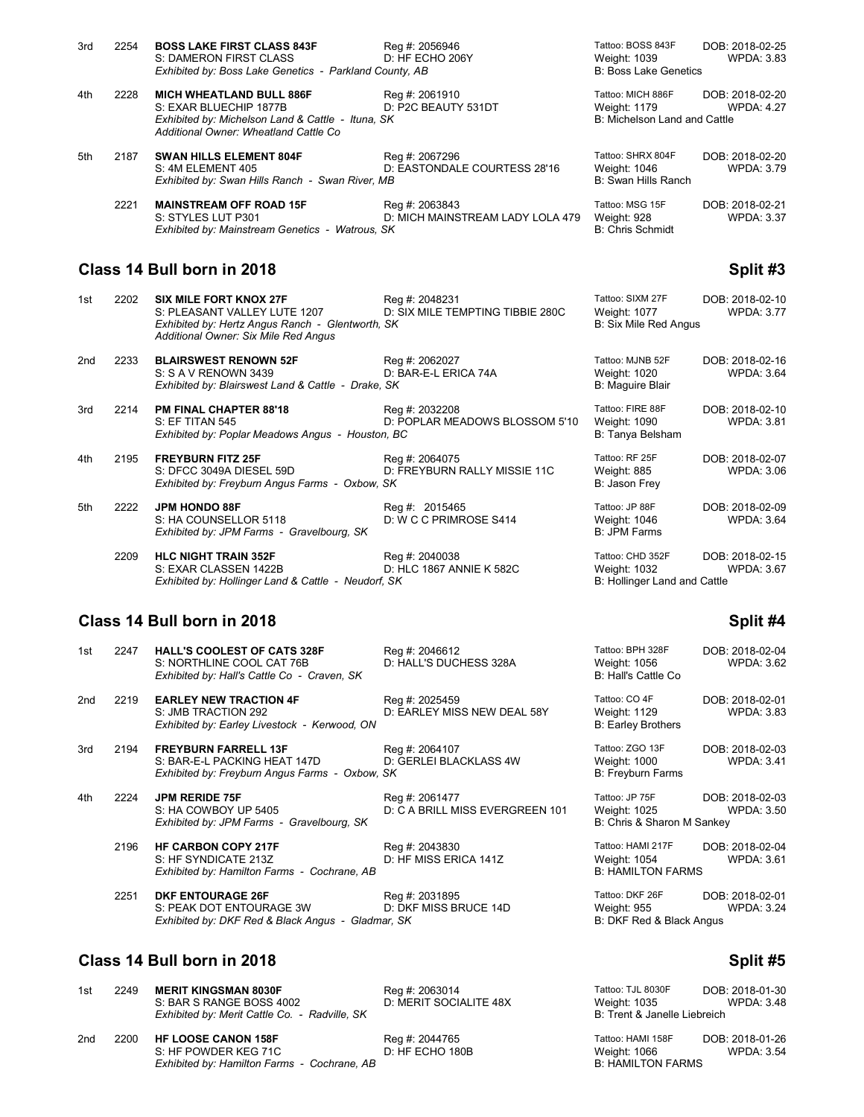| 3rd | 2254 | <b>BOSS LAKE FIRST CLASS 843F</b><br>S: DAMERON FIRST CLASS                                                                                              | Reg #: 2056946<br>D: HF ECHO 206Y                  | Tattoo: BOSS 843F<br>Weight: 1039                                 | DOB: 2018-02-25<br><b>WPDA: 3.83</b> |
|-----|------|----------------------------------------------------------------------------------------------------------------------------------------------------------|----------------------------------------------------|-------------------------------------------------------------------|--------------------------------------|
|     |      | Exhibited by: Boss Lake Genetics - Parkland County, AB                                                                                                   |                                                    | <b>B: Boss Lake Genetics</b>                                      |                                      |
| 4th | 2228 | <b>MICH WHEATLAND BULL 886F</b><br>S: EXAR BLUECHIP 1877B<br>Exhibited by: Michelson Land & Cattle - Ituna, SK<br>Additional Owner: Wheatland Cattle Co. | Reg #: 2061910<br>D: P2C BEAUTY 531DT              | Tattoo: MICH 886F<br>Weight: 1179<br>B: Michelson Land and Cattle | DOB: 2018-02-20<br><b>WPDA: 4.27</b> |
| 5th | 2187 | <b>SWAN HILLS ELEMENT 804F</b><br>S: 4M ELEMENT 405<br>Exhibited by: Swan Hills Ranch - Swan River, MB                                                   | Reg #: 2067296<br>D: EASTONDALE COURTESS 28'16     | Tattoo: SHRX 804F<br>Weight: 1046<br>B: Swan Hills Ranch          | DOB: 2018-02-20<br><b>WPDA: 3.79</b> |
|     | 2221 | <b>MAINSTREAM OFF ROAD 15F</b><br>S: STYLES LUT P301<br>Exhibited by: Mainstream Genetics - Watrous, SK                                                  | Reg #: 2063843<br>D: MICH MAINSTREAM LADY LOLA 479 | Tattoo: MSG 15F<br>Weight: 928<br><b>B: Chris Schmidt</b>         | DOB: 2018-02-21<br><b>WPDA: 3.37</b> |

# **Class 14 Bull born in 2018 Split #3 Split #3**

| 1st | 2202 | SIX MILE FORT KNOX 27F<br>S: PLEASANT VALLEY LUTE 1207<br>Exhibited by: Hertz Angus Ranch - Glentworth, SK<br>Additional Owner: Six Mile Red Angus | Reg #: 2048231<br>D: SIX MILE TEMPTING TIBBIE 280C | Tattoo: SIXM 27F<br>Weight: 1077<br><b>B: Six Mile Red Angus</b> | DOB: 2018-02-10<br><b>WPDA: 3.77</b> |
|-----|------|----------------------------------------------------------------------------------------------------------------------------------------------------|----------------------------------------------------|------------------------------------------------------------------|--------------------------------------|
| 2nd | 2233 | <b>BLAIRSWEST RENOWN 52F</b><br>S: S A V RENOWN 3439<br>Exhibited by: Blairswest Land & Cattle - Drake, SK                                         | Reg #: 2062027<br>D: BAR-E-L ERICA 74A             | Tattoo: MJNB 52F<br>Weight: 1020<br><b>B: Maguire Blair</b>      | DOB: 2018-02-16<br><b>WPDA: 3.64</b> |
| 3rd | 2214 | <b>PM FINAL CHAPTER 88'18</b><br>S: EF TITAN 545<br>Exhibited by: Poplar Meadows Angus - Houston, BC                                               | Reg #: 2032208<br>D: POPLAR MEADOWS BLOSSOM 5'10   | Tattoo: FIRE 88F<br>Weight: 1090<br>B: Tanya Belsham             | DOB: 2018-02-10<br><b>WPDA: 3.81</b> |
| 4th | 2195 | <b>FREYBURN FITZ 25F</b><br>S: DFCC 3049A DIESEL 59D<br>Exhibited by: Freyburn Angus Farms - Oxbow, SK                                             | Reg #: 2064075<br>D: FREYBURN RALLY MISSIE 11C     | Tattoo: RF 25F<br>Weight: 885<br>B: Jason Frey                   | DOB: 2018-02-07<br><b>WPDA: 3.06</b> |
| 5th | 2222 | <b>JPM HONDO 88F</b><br>S: HA COUNSELLOR 5118<br>Exhibited by: JPM Farms - Gravelbourg, SK                                                         | Reg #: 2015465<br>D: W C C PRIMROSE S414           | Tattoo: JP 88F<br>Weight: 1046<br>B: JPM Farms                   | DOB: 2018-02-09<br><b>WPDA: 3.64</b> |
|     | 2209 | <b>HLC NIGHT TRAIN 352F</b><br>S: EXAR CLASSEN 1422B<br>Exhibited by: Hollinger Land & Cattle - Neudorf, SK                                        | Reg #: 2040038<br>D: HLC 1867 ANNIE K 582C         | Tattoo: CHD 352F<br>Weight: 1032<br>B: Hollinger Land and Cattle | DOB: 2018-02-15<br><b>WPDA: 3.67</b> |

# **Class 14 Bull born in 2018 Split #4**

| 1st | 2247 | <b>HALL'S COOLEST OF CATS 328F</b><br>S: NORTHLINE COOL CAT 76B<br>Exhibited by: Hall's Cattle Co - Craven, SK | Reg #: 2046612<br>D: HALL'S DUCHESS 328A          | Tattoo: BPH 328F<br>Weight: 1056<br>B: Hall's Cattle Co       | DOB: 2018-02-04<br><b>WPDA: 3.62</b> |
|-----|------|----------------------------------------------------------------------------------------------------------------|---------------------------------------------------|---------------------------------------------------------------|--------------------------------------|
| 2nd | 2219 | <b>EARLEY NEW TRACTION 4F</b><br>S: JMB TRACTION 292<br>Exhibited by: Earley Livestock - Kerwood, ON           | Reg #: 2025459<br>D: EARLEY MISS NEW DEAL 58Y     | Tattoo: CO 4F<br>Weight: 1129<br><b>B: Earley Brothers</b>    | DOB: 2018-02-01<br><b>WPDA: 3.83</b> |
| 3rd | 2194 | <b>FREYBURN FARRELL 13F</b><br>S: BAR-E-L PACKING HEAT 147D<br>Exhibited by: Freyburn Angus Farms - Oxbow, SK  | Reg #: 2064107<br>D: GERLEI BLACKLASS 4W          | Tattoo: ZGO 13F<br>Weight: 1000<br>B: Freyburn Farms          | DOB: 2018-02-03<br><b>WPDA: 3.41</b> |
| 4th | 2224 | <b>JPM RERIDE 75F</b><br>S: HA COWBOY UP 5405<br>Exhibited by: JPM Farms - Gravelbourg, SK                     | Reg #: 2061477<br>D: C A BRILL MISS EVERGREEN 101 | Tattoo: JP 75F<br>Weight: 1025<br>B: Chris & Sharon M Sankey  | DOB: 2018-02-03<br><b>WPDA: 3.50</b> |
|     | 2196 | <b>HF CARBON COPY 217F</b><br>S: HF SYNDICATE 213Z<br>Exhibited by: Hamilton Farms - Cochrane, AB              | Reg #: 2043830<br>D: HF MISS ERICA 141Z           | Tattoo: HAMI 217F<br>Weight: 1054<br><b>B: HAMILTON FARMS</b> | DOB: 2018-02-04<br><b>WPDA: 3.61</b> |
|     | 2251 | <b>DKF ENTOURAGE 26F</b><br>S: PEAK DOT ENTOURAGE 3W<br>Exhibited by: DKF Red & Black Angus - Gladmar, SK      | Reg #: 2031895<br>D: DKF MISS BRUCE 14D           | Tattoo: DKF 26F<br>Weight: 955<br>B: DKF Red & Black Angus    | DOB: 2018-02-01<br><b>WPDA: 3.24</b> |

#### **Class 14 Bull born in 2018 Split #5**

| 1st             | 2249 | <b>MERIT KINGSMAN 8030F</b><br>S: BAR S RANGE BOSS 4002<br>Exhibited by: Merit Cattle Co. - Radville, SK | Reg #: 2063014<br>D: MERIT SOCIALITE 48X | Tattoo: TJL 8030F<br>Weight: 1035<br>B: Trent & Janelle Liebreich | DOB: 2018-01-30<br><b>WPDA: 3.48</b> |
|-----------------|------|----------------------------------------------------------------------------------------------------------|------------------------------------------|-------------------------------------------------------------------|--------------------------------------|
| 2 <sub>nd</sub> | 2200 | <b>HF LOOSE CANON 158F</b><br>S: HF POWDER KEG 71C<br>Exhibited by: Hamilton Farms - Cochrane, AB        | Reg #: 2044765<br>D: HF ECHO 180B        | Tattoo: HAMI 158F<br>Weight: 1066<br><b>B: HAMILTON FARMS</b>     | DOB: 2018-01-26<br><b>WPDA: 3.54</b> |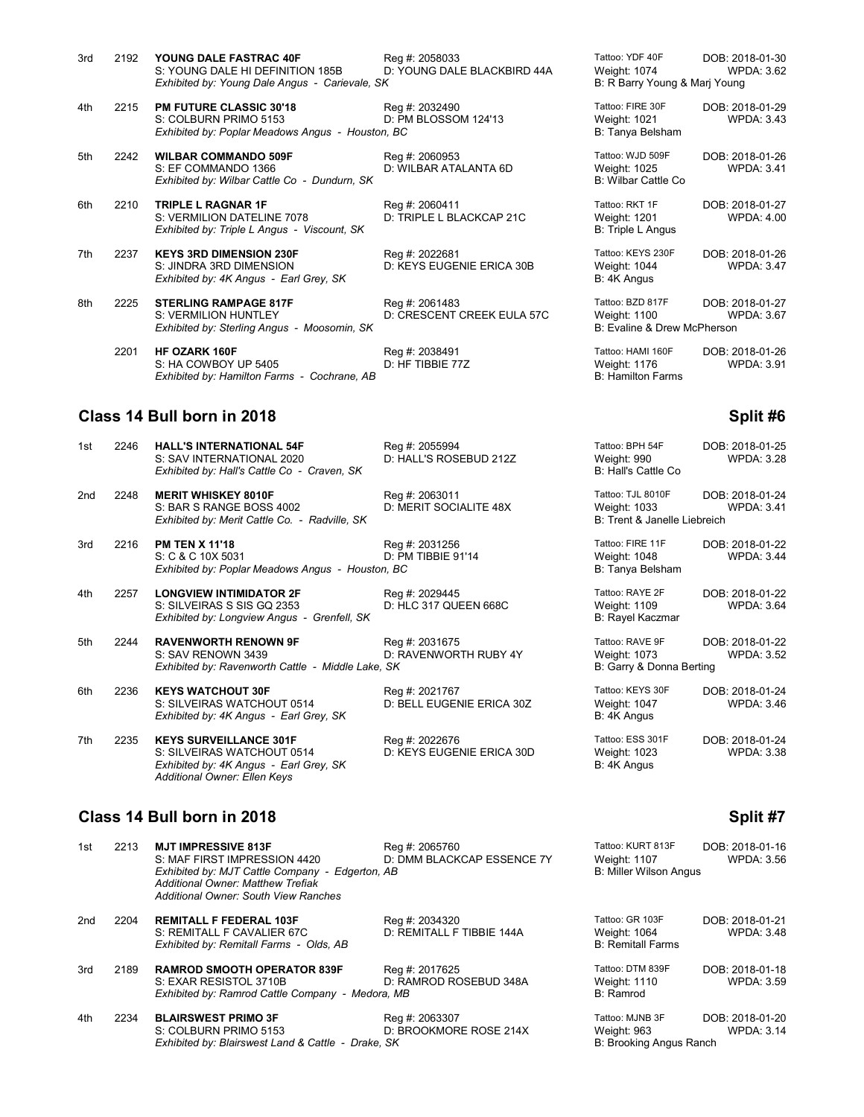| 3rd | 2192 | YOUNG DALE FASTRAC 40F<br>S: YOUNG DALE HI DEFINITION 185B                                                  | Reg #: 2058033<br>D: YOUNG DALE BLACKBIRD 44A | Tattoo: YDF 40F<br>Weight: 1074                         | DOB: 2018-01-30<br><b>WPDA: 3.62</b> |
|-----|------|-------------------------------------------------------------------------------------------------------------|-----------------------------------------------|---------------------------------------------------------|--------------------------------------|
|     |      | Exhibited by: Young Dale Angus - Carievale, SK                                                              |                                               | B: R Barry Young & Mari Young                           |                                      |
| 4th | 2215 | <b>PM FUTURE CLASSIC 30'18</b><br>S: COLBURN PRIMO 5153<br>Exhibited by: Poplar Meadows Angus - Houston, BC | Reg #: 2032490<br>D: PM BLOSSOM 124'13        | Tattoo: FIRE 30F<br>Weight: 1021<br>B: Tanya Belsham    | DOB: 2018-01-29<br><b>WPDA: 3.43</b> |
| 5th | 2242 | <b>WILBAR COMMANDO 509F</b><br>S: EF COMMANDO 1366<br>Exhibited by: Wilbar Cattle Co - Dundurn, SK          | Reg #: 2060953<br>D: WILBAR ATALANTA 6D       | Tattoo: WJD 509F<br>Weight: 1025<br>B: Wilbar Cattle Co | DOB: 2018-01-26<br><b>WPDA: 3.41</b> |

D: KEYS EUGENIE ERICA 30B

D: CRESCENT CREEK EULA 57C

6th 2210 **TRIPLE L RAGNAR 1F** Reg #: 2060411<br>S: VERMILION DATELINE 7078 D: TRIPLE L BLACKCAP 21C S: VERMILION DATELINE 7078 D: TRIPLE L BLACKCAP 21C Weight: 1201 WPDA: 4.00 *Exhibited by: Triple L Angus - Viscount, SK* 

7th 2237 **KEYS 3RD DIMENSION 230F** Reg #: 2022681 Tattoo: KEYS 230F DOB: 2018-01-26<br>S: JINDRA 3RD DIMENSION D: KEYS EUGENIE ERICA 30B Weight: 1044 WPDA: 3.47 *Exhibited by: 4K Angus - Earl Grey, SK* 

8th 2225 **STERLING RAMPAGE 817F** Reg #: 2061483<br>S: VERMILION HUNTLEY D: CRESCENT **Exhibited by: Sterling Angus - Moosomin, SK** 

 2201 **HF OZARK 160F** Reg #: 2038491 Tattoo: HAMI 160F DOB: 2018-01-26 S: HA COWBOY UP 5405 D: HF TIBBIE 77Z Weight: 1176<br>Exhibited by: Hamilton Farms - Cochrane. AB S: Hamilton Farms *Exhibited by: Hamilton Farms - Cochrane, AB* 

### **Class 14 Bull born in 2018 Split #6**

8th

| 1st | 2246 HALL'S INTERNATIONAL 54F               | Reg #: 2055994         | Tattoo: BPH 54F     | DOB: 2018-01-25   |
|-----|---------------------------------------------|------------------------|---------------------|-------------------|
|     | S: SAV INTERNATIONAL 2020                   | D: HALL'S ROSEBUD 212Z | Weight: 990         | <b>WPDA: 3.28</b> |
|     | Exhibited by: Hall's Cattle Co - Craven. SK |                        | B: Hall's Cattle Co |                   |

2nd 2248 **MERIT WHISKEY 8010F** Reg #: 2063011<br>S: BAR S RANGE BOSS 4002 D: MERIT SOCIALITE 48X S: BAR S RANGE BOSS 4002 *Exhibited by: Merit Cattle Co. - Radville, SK* 

3rd 2216 **PM TEN X 11'18 Reg #: 2031256** Reg #: 2031256 S: C & C 10X 5031 S: C & C 10X 5031 **Exhibited by: Poplar Meadows Angus - Houston, BC** 

4th 2257 **LONGVIEW INTIMIDATOR 2F** Reg #: 2029445<br>S: SILVEIRAS S SIS GQ 2353 D: HLC 317 QUEEN 668C S: SILVEIRAS S SIS GQ 2353 *Exhibited by: Longview Angus - Grenfell, SK* 

5th 2244 **RAVENWORTH RENOWN 9F** Reg #: 2031675<br>S: SAV RENOWN 3439 D: RAVENWOR D: RAVENWORTH RUBY 4Y *Exhibited by: Ravenworth Cattle - Middle Lake, SK* 

6th 2236 **KEYS WATCHOUT 30F** Reg #: 2021767<br>S: SILVEIRAS WATCHOUT 0514 D: BELL EUGENIE ERICA 30Z S: SILVEIRAS WATCHOUT 0514 *Exhibited by: 4K Angus - Earl Grey, SK* 

7th 2235 **KEYS SURVEILLANCE 301F** Reg #: 2022676<br>S: SILVEIRAS WATCHOUT 0514 D: KEYS EUGENIE ERICA 30D S: SILVEIRAS WATCHOUT 0514 *Exhibited by: 4K Angus - Earl Grey, SK* B: 4K Angus *Additional Owner: Ellen Keys*

**Class 14 Bull born in 2018 Split #7 Split #7 Split #7 Split #7** 

1st 2213 **MJT IMPRESSIVE 813F** Reg #: 2065760 Tattoo: KURT 813F DOB: 2018-01-16<br>1st Alter S: MAF FIRST IMPRESSION 4420 D: DMM BLACKCAP ESSENCE 7Y Weight: 1107 WPDA: 3.56 D: DMM BLACKCAP ESSENCE 7Y Weight: 1107<br>AB B: Miller Wilson Angus *Exhibited by: MJT Cattle Company - Edgerton, AB Additional Owner: Matthew Trefiak Additional Owner: South View Ranches* 2nd 2204 **REMITALL F FEDERAL 103F** Reg #: 2034320 Tattoo: GR 103F DOB: 2018-01-21 S: REMITALL F CAVALIER 67C D: REMITALL F TIBBIE 144A Weight: 1064 WPDA: 3.48 *Exhibited by: Remitall Farms - Olds, AB* 3rd 2189 **RAMROD SMOOTH OPERATOR 839F** Reg #: 2017625<br>S: EXAR RESISTOL 3710B D: RAMROD RC D: RAMROD ROSEBUD 348 *Exhibited by: Ramrod Cattle Company - Medora, MB* 

4th 2234 **BLAIRSWEST PRIMO 3F** Reg #: 2063307<br>S: COLBURN PRIMO 5153 D: BROOKMOR D: BROOKMORE ROSE 214 **Exhibited by: Blairswest Land & Cattle - Drake, SK** B: Brooking Angus Ranch

| Tattoo: YDF 40F<br>Weight: 1074<br>B: R Barry Young & Marj Young | DOB: 2018-01-30<br><b>WPDA: 3.62</b> |
|------------------------------------------------------------------|--------------------------------------|
| Tattoo: FIRE 30F<br>Weight: 1021<br>B: Tanya Belsham             | DOB: 2018-01-29<br><b>WPDA: 3.43</b> |
| Tattoo: WJD 509F<br>Weight: 1025<br><b>B: Wilbar Cattle Co</b>   | DOB: 2018-01-26<br>WPDA: 3.4         |
| Tattoo: RKT 1F<br>Weight: 1201<br>B: Triple L Angus              | DOB: 2018-01-27<br><b>WPDA: 4.00</b> |
| Tattoo: KEYS 230F<br>Weight: 1044<br>B: 4K Angus                 | DOB: 2018-01-26<br><b>WPDA: 3.47</b> |
| Tattoo: BZD 817F<br>Weight: 1100<br>B: Evaline & Drew McPherson  | DOB: 2018-01-27<br><b>WPDA: 3.67</b> |
| Tattoo: HAMI 160F<br>Weiaht: 1176                                | DOB: 2018-01-26<br>WPDA: $3.9'$      |

| Tattoo: BPH 54F<br>Weight: 990<br>B: Hall's Cattle Co             | DOB: 2018-01-25<br><b>WPDA: 3.28</b> |
|-------------------------------------------------------------------|--------------------------------------|
| Tattoo: TJL 8010F<br>Weight: 1033<br>B: Trent & Janelle Liebreich | DOB: 2018-01-24<br><b>WPDA: 3.41</b> |
| Tattoo: FIRE 11F<br>Weight: 1048<br>B: Tanya Belsham              | DOB: 2018-01-22<br><b>WPDA: 3.44</b> |
| Tattoo: RAYE 2F<br><b>Weight: 1109</b><br><b>B: Rayel Kaczmar</b> | DOB: 2018-01-22<br><b>WPDA: 3.64</b> |
| Tattoo: RAVE 9F<br>Weight: 1073<br>B: Garry & Donna Berting       | DOB: 2018-01-22<br><b>WPDA: 3.52</b> |
| Tattoo: KEYS 30F<br>Weight: 1047<br>B: 4K Angus                   | DOB: 2018-01-24<br><b>WPDA: 3.46</b> |
| Tattoo: ESS 301F<br>Weight: 1023<br>D. 41/ Angus                  | DOB: 2018-01-24<br><b>WPDA: 3.38</b> |

|    | Tattoo: GR 103F<br>Weight: 1064<br><b>B: Remitall Farms</b> | DOB: 2018-01-21<br><b>WPDA: 3.48</b> |
|----|-------------------------------------------------------------|--------------------------------------|
| ۱A | Tattoo: DTM 839F<br>Weight: 1110<br>B: Ramrod               | DOB: 2018-01-18<br><b>WPDA: 3.59</b> |
| ŀΧ | Tattoo: MJNB 3F<br>Weight: 963<br>B: Brooking Angus Ranch   | DOB: 2018-01-20<br><b>WPDA: 3.14</b> |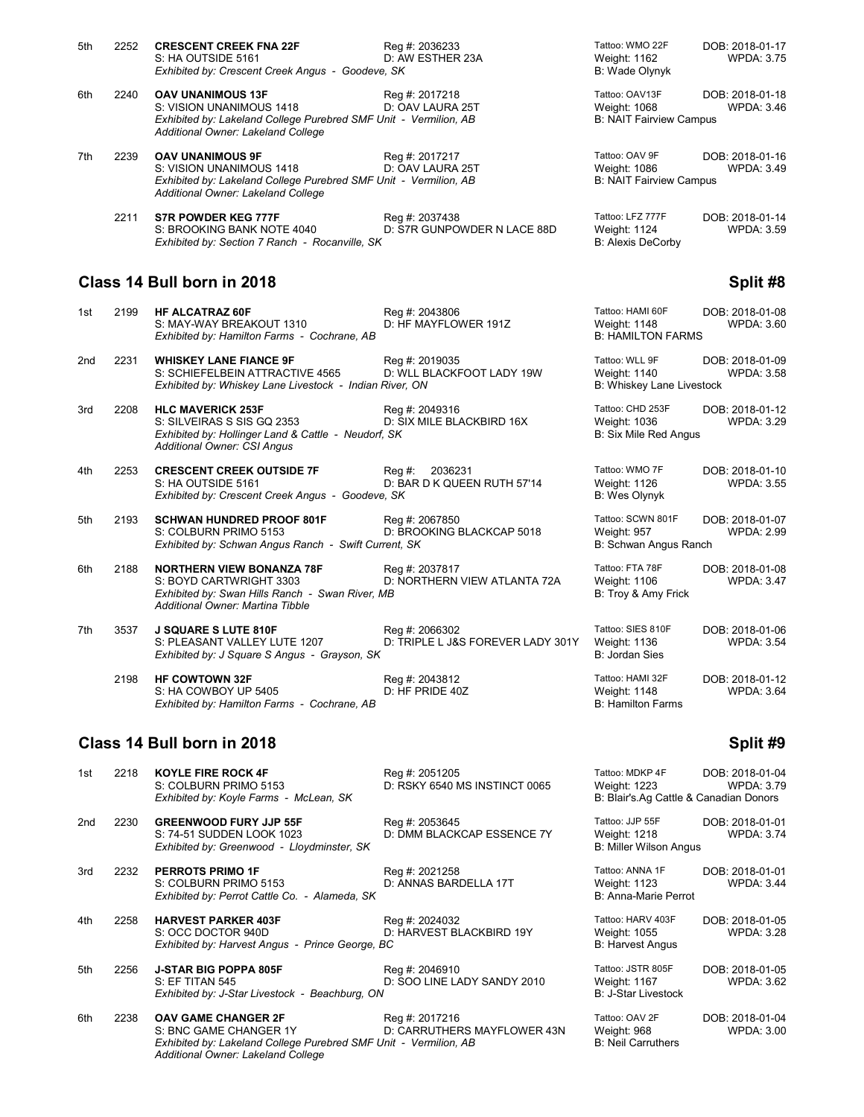| 5th | 2252 | <b>CRESCENT CREEK FNA 22F</b>                                                                          | Reg #: 2036233              | Tattoo: WMO 22F                | DOB: 2018-01-17 |
|-----|------|--------------------------------------------------------------------------------------------------------|-----------------------------|--------------------------------|-----------------|
|     |      | S: HA OUTSIDE 5161                                                                                     | D: AW ESTHER 23A            | Weight: 1162                   | WPDA: 3.75      |
|     |      | Exhibited by: Crescent Creek Angus - Goodeve, SK                                                       |                             | B: Wade Olynyk                 |                 |
| 6th | 2240 | <b>OAV UNANIMOUS 13F</b>                                                                               | Reg #: 2017218              | Tattoo: OAV13F                 | DOB: 2018-01-18 |
|     |      | S: VISION UNANIMOUS 1418                                                                               | D: OAV LAURA 25T            | Weight: 1068                   | WPDA: 3.46      |
|     |      | Exhibited by: Lakeland College Purebred SMF Unit - Vermilion, AB<br>Additional Owner: Lakeland College |                             | <b>B: NAIT Fairview Campus</b> |                 |
| 7th | 2239 | <b>OAV UNANIMOUS 9F</b>                                                                                | Reg #: 2017217              | Tattoo: OAV 9F                 | DOB: 2018-01-16 |
|     |      | S: VISION UNANIMOUS 1418                                                                               | D: OAV LAURA 25T            | Weight: 1086                   | WPDA: 3.49      |
|     |      | Exhibited by: Lakeland College Purebred SMF Unit - Vermilion, AB<br>Additional Owner: Lakeland College |                             | <b>B: NAIT Fairview Campus</b> |                 |
|     | 2211 | <b>S7R POWDER KEG 777F</b>                                                                             | Reg #: 2037438              | Tattoo: LFZ 777F               | DOB: 2018-01-14 |
|     |      | S: BROOKING BANK NOTE 4040                                                                             | D: S7R GUNPOWDER N LACE 88D | <b>Weight: 1124</b>            | WPDA: 3.59      |
|     |      | Exhibited by: Section 7 Ranch - Rocanville, SK                                                         |                             | <b>B: Alexis DeCorby</b>       |                 |

# **Class 14 Bull born in 2018 Split #8** Split #8

| 1st | 2199 | <b>HF ALCATRAZ 60F</b><br>S: MAY-WAY BREAKOUT 1310                                                                                                  | Reg #: 2043806<br>D: HF MAYFLOWER 191Z              | Tattoo: HAMI 60F<br>Weight: 1148                                   | DOB: 2018-01-08<br>WPDA: 3.60        |
|-----|------|-----------------------------------------------------------------------------------------------------------------------------------------------------|-----------------------------------------------------|--------------------------------------------------------------------|--------------------------------------|
|     |      | Exhibited by: Hamilton Farms - Cochrane, AB                                                                                                         |                                                     | <b>B: HAMILTON FARMS</b>                                           |                                      |
| 2nd | 2231 | <b>WHISKEY LANE FIANCE 9F</b><br>S: SCHIEFELBEIN ATTRACTIVE 4565<br>Exhibited by: Whiskey Lane Livestock - Indian River, ON                         | Reg #: 2019035<br>D: WLL BLACKFOOT LADY 19W         | Tattoo: WLL 9F<br>Weight: 1140<br><b>B: Whiskey Lane Livestock</b> | DOB: 2018-01-09<br><b>WPDA: 3.58</b> |
| 3rd | 2208 | <b>HLC MAVERICK 253F</b><br>S: SILVEIRAS S SIS GO 2353<br>Exhibited by: Hollinger Land & Cattle - Neudorf, SK<br><b>Additional Owner: CSI Angus</b> | Reg #: 2049316<br>D: SIX MILE BLACKBIRD 16X         | Tattoo: CHD 253F<br>Weight: 1036<br><b>B: Six Mile Red Angus</b>   | DOB: 2018-01-12<br><b>WPDA: 3.29</b> |
| 4th | 2253 | <b>CRESCENT CREEK OUTSIDE 7F</b><br>S: HA OUTSIDE 5161<br>Exhibited by: Crescent Creek Angus - Goodeve, SK                                          | Rea #:<br>2036231<br>D: BAR D K QUEEN RUTH 57'14    | Tattoo: WMO 7F<br>Weight: 1126<br><b>B: Wes Olynyk</b>             | DOB: 2018-01-10<br><b>WPDA: 3.55</b> |
| 5th | 2193 | <b>SCHWAN HUNDRED PROOF 801F</b><br>S: COLBURN PRIMO 5153<br>Exhibited by: Schwan Angus Ranch - Swift Current, SK                                   | Reg #: 2067850<br>D: BROOKING BLACKCAP 5018         | Tattoo: SCWN 801F<br>Weight: 957<br>B: Schwan Angus Ranch          | DOB: 2018-01-07<br><b>WPDA: 2.99</b> |
| 6th | 2188 | <b>NORTHERN VIEW BONANZA 78F</b><br>S: BOYD CARTWRIGHT 3303<br>Exhibited by: Swan Hills Ranch - Swan River, MB<br>Additional Owner: Martina Tibble  | Reg #: 2037817<br>D: NORTHERN VIEW ATLANTA 72A      | Tattoo: FTA 78F<br>Weight: 1106<br>B: Troy & Amy Frick             | DOB: 2018-01-08<br><b>WPDA: 3.47</b> |
| 7th | 3537 | <b>J SQUARE S LUTE 810F</b><br>S: PLEASANT VALLEY LUTE 1207<br>Exhibited by: J Square S Angus - Grayson, SK                                         | Reg #: 2066302<br>D: TRIPLE L J&S FOREVER LADY 301Y | Tattoo: SIES 810F<br><b>Weight: 1136</b><br>B: Jordan Sies         | DOB: 2018-01-06<br><b>WPDA: 3.54</b> |
|     | 2198 | <b>HF COWTOWN 32F</b><br>S: HA COWBOY UP 5405<br>Exhibited by: Hamilton Farms - Cochrane, AB                                                        | Reg #: 2043812<br>D: HF PRIDE 40Z                   | Tattoo: HAMI 32F<br>Weight: 1148<br><b>B: Hamilton Farms</b>       | DOB: 2018-01-12<br><b>WPDA: 3.64</b> |

# **Class 14 Bull born in 2018 Split #9 Split #9**

| 1st | 2218 | <b>KOYLE FIRE ROCK 4F</b><br>S: COLBURN PRIMO 5153<br>Exhibited by: Koyle Farms - McLean, SK                                                                   | Reg #: 2051205<br>D: RSKY 6540 MS INSTINCT 0065 | Tattoo: MDKP 4F<br>Weight: 1223<br>B: Blair's Ag Cattle & Canadian Donors | DOB: 2018-01-04<br><b>WPDA: 3.79</b> |
|-----|------|----------------------------------------------------------------------------------------------------------------------------------------------------------------|-------------------------------------------------|---------------------------------------------------------------------------|--------------------------------------|
| 2nd | 2230 | <b>GREENWOOD FURY JJP 55F</b><br>S: 74-51 SUDDEN LOOK 1023<br>Exhibited by: Greenwood - Lloydminster, SK                                                       | Reg #: 2053645<br>D: DMM BLACKCAP ESSENCE 7Y    | Tattoo: JJP 55F<br>Weight: 1218<br><b>B: Miller Wilson Angus</b>          | DOB: 2018-01-01<br><b>WPDA: 3.74</b> |
| 3rd | 2232 | <b>PERROTS PRIMO 1F</b><br>S: COLBURN PRIMO 5153<br>Exhibited by: Perrot Cattle Co. - Alameda, SK                                                              | Reg #: 2021258<br>D: ANNAS BARDELLA 17T         | Tattoo: ANNA 1F<br>Weight: 1123<br>B: Anna-Marie Perrot                   | DOB: 2018-01-01<br><b>WPDA: 3.44</b> |
| 4th | 2258 | <b>HARVEST PARKER 403F</b><br>S: OCC DOCTOR 940D<br>Exhibited by: Harvest Angus - Prince George, BC                                                            | Reg #: 2024032<br>D: HARVEST BLACKBIRD 19Y      | Tattoo: HARV 403F<br>Weight: 1055<br><b>B: Harvest Angus</b>              | DOB: 2018-01-05<br><b>WPDA: 3.28</b> |
| 5th | 2256 | <b>J-STAR BIG POPPA 805F</b><br><b>S: EF TITAN 545</b><br>Exhibited by: J-Star Livestock - Beachburg, ON                                                       | Reg #: 2046910<br>D: SOO LINE LADY SANDY 2010   | Tattoo: JSTR 805F<br>Weight: 1167<br><b>B: J-Star Livestock</b>           | DOB: 2018-01-05<br><b>WPDA: 3.62</b> |
| 6th | 2238 | <b>OAV GAME CHANGER 2F</b><br>S: BNC GAME CHANGER 1Y<br>Exhibited by: Lakeland College Purebred SMF Unit - Vermilion, AB<br>Additional Owner: Lakeland College | Reg #: 2017216<br>D: CARRUTHERS MAYFLOWER 43N   | Tattoo: OAV 2F<br>Weight: 968<br><b>B: Neil Carruthers</b>                | DOB: 2018-01-04<br><b>WPDA: 3.00</b> |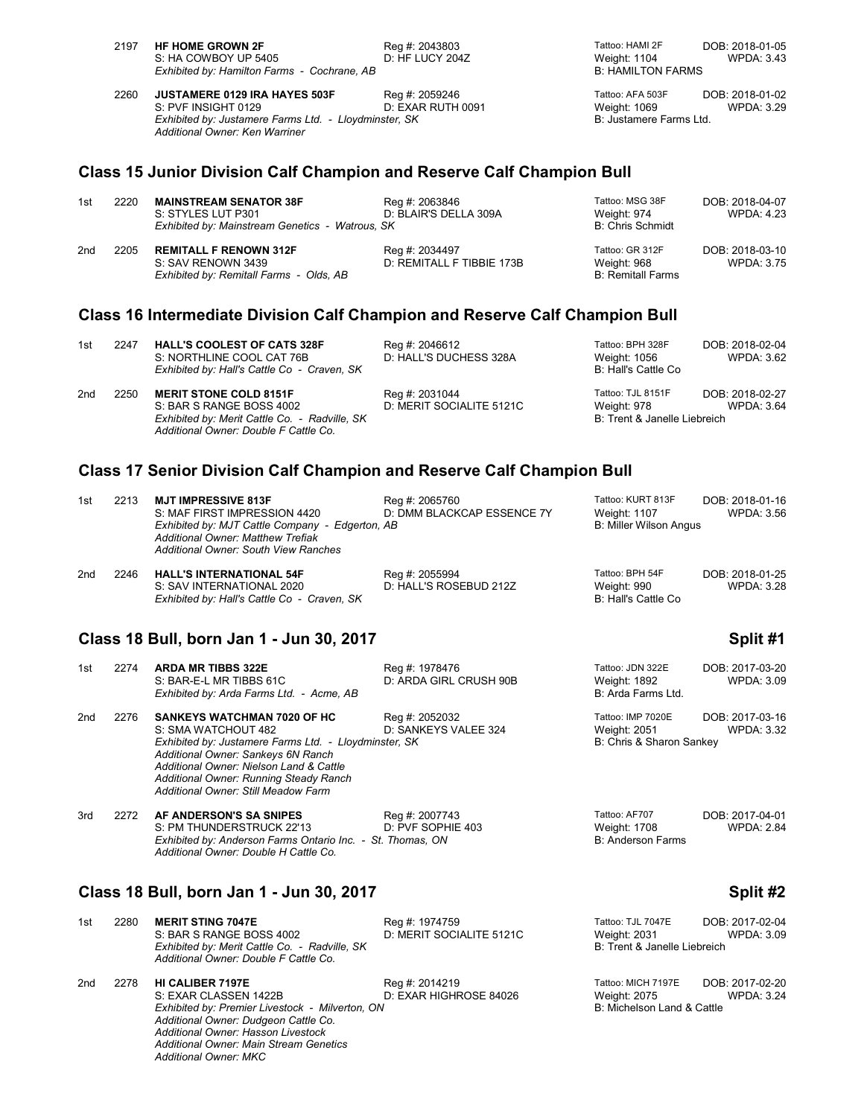| 2197 | <b>HF HOME GROWN 2F</b>                               | Reg #: 2043803    | Tattoo: HAMI 2F          | DOB: 2018-01-05 |
|------|-------------------------------------------------------|-------------------|--------------------------|-----------------|
|      | S: HA COWBOY UP 5405                                  | D: HF LUCY 204Z   | Weight: 1104             | WPDA: 3.43      |
|      | Exhibited by: Hamilton Farms - Cochrane, AB           |                   | <b>B: HAMILTON FARMS</b> |                 |
| 2260 | <b>JUSTAMERE 0129 IRA HAYES 503F</b>                  | Reg #: 2059246    | Tattoo: AFA 503F         | DOB: 2018-01-02 |
|      | S: PVF INSIGHT 0129                                   | D: EXAR RUTH 0091 | Weight: 1069             | WPDA: 3.29      |
|      | Exhibited by: Justamere Farms Ltd. - Lloydminster, SK |                   | B: Justamere Farms Ltd.  |                 |

### **Class 15 Junior Division Calf Champion and Reserve Calf Champion Bull**

| 1st | 2220 | <b>MAINSTREAM SENATOR 38F</b><br>S: STYLES LUT P301<br>Exhibited by: Mainstream Genetics - Watrous, SK | Reg #: 2063846<br>D: BLAIR'S DELLA 309A     | Tattoo: MSG 38F<br>Weight: 974<br><b>B: Chris Schmidt</b>  | DOB: 2018-04-07<br>WPDA: 4.23 |
|-----|------|--------------------------------------------------------------------------------------------------------|---------------------------------------------|------------------------------------------------------------|-------------------------------|
| 2nd | 2205 | <b>REMITALL F RENOWN 312F</b><br>S: SAV RENOWN 3439<br>Exhibited by: Remitall Farms - Olds, AB         | Reg #: 2034497<br>D: REMITALL F TIBBIE 173B | Tattoo: GR 312F<br>Weight: 968<br><b>B: Remitall Farms</b> | DOB: 2018-03-10<br>WPDA: 3.75 |

## **Class 16 Intermediate Division Calf Champion and Reserve Calf Champion Bull**

| 1st             | 2247 | <b>HALL'S COOLEST OF CATS 328F</b><br>S: NORTHLINE COOL CAT 76B<br>Exhibited by: Hall's Cattle Co - Craven, SK                                      | Reg #: 2046612<br>D: HALL'S DUCHESS 328A   | Tattoo: BPH 328F<br>Weight: 1056<br>B: Hall's Cattle Co          | DOB: 2018-02-04<br>WPDA: 3.62 |
|-----------------|------|-----------------------------------------------------------------------------------------------------------------------------------------------------|--------------------------------------------|------------------------------------------------------------------|-------------------------------|
| 2 <sub>nd</sub> | 2250 | <b>MERIT STONE COLD 8151F</b><br>S: BAR S RANGE BOSS 4002<br>Exhibited by: Merit Cattle Co. - Radville, SK<br>Additional Owner: Double F Cattle Co. | Reg #: 2031044<br>D: MERIT SOCIALITE 5121C | Tattoo: TJL 8151F<br>Weight: 978<br>B: Trent & Janelle Liebreich | DOB: 2018-02-27<br>WPDA: 3.64 |

# **Class 17 Senior Division Calf Champion and Reserve Calf Champion Bull**

| 1st | 2213 | <b>MJT IMPRESSIVE 813F</b><br>S: MAF FIRST IMPRESSION 4420<br>Exhibited by: MJT Cattle Company - Edgerton, AB<br><b>Additional Owner: Matthew Trefiak</b><br><b>Additional Owner: South View Ranches</b> | Reg #: 2065760<br>D: DMM BLACKCAP ESSENCE 7Y | Tattoo: KURT 813F<br><b>Weight: 1107</b><br>B: Miller Wilson Angus | DOB: 2018-01-16<br>WPDA: 3.56        |
|-----|------|----------------------------------------------------------------------------------------------------------------------------------------------------------------------------------------------------------|----------------------------------------------|--------------------------------------------------------------------|--------------------------------------|
| 2nd | 2246 | <b>HALL'S INTERNATIONAL 54F</b><br>S: SAV INTERNATIONAL 2020<br>Exhibited by: Hall's Cattle Co - Craven, SK                                                                                              | Reg #: 2055994<br>D: HALL'S ROSEBUD 212Z     | Tattoo: BPH 54F<br>Weight: 990<br>B: Hall's Cattle Co              | DOB: 2018-01-25<br><b>WPDA: 3.28</b> |

### **Class 18 Bull, born Jan 1 - Jun 30, 2017 Split #1**

*Additional Owner: Ken Warriner*

| 1st             | 2274 | <b>ARDA MR TIBBS 322E</b><br>S: BAR-E-L MR TIBBS 61C<br>Exhibited by: Arda Farms Ltd. - Acme, AB                                                                                                                                                                                     | Reg #: 1978476<br>D: ARDA GIRL CRUSH 90B | Tattoo: JDN 322E<br>Weight: 1892<br>B: Arda Farms Ltd.        | DOB: 2017-03-20<br>WPDA: 3.09 |
|-----------------|------|--------------------------------------------------------------------------------------------------------------------------------------------------------------------------------------------------------------------------------------------------------------------------------------|------------------------------------------|---------------------------------------------------------------|-------------------------------|
| 2 <sub>nd</sub> | 2276 | <b>SANKEYS WATCHMAN 7020 OF HC</b><br>S: SMA WATCHOUT 482<br>Exhibited by: Justamere Farms Ltd. - Lloydminster, SK<br>Additional Owner: Sankeys 6N Ranch<br>Additional Owner: Nielson Land & Cattle<br>Additional Owner: Running Steady Ranch<br>Additional Owner: Still Meadow Farm | Reg #: 2052032<br>D: SANKEYS VALEE 324   | Tattoo: IMP 7020E<br>Weight: 2051<br>B: Chris & Sharon Sankey | DOB: 2017-03-16<br>WPDA: 3.32 |

| 3rd | 2272 | <b>AF ANDERSON'S SA SNIPES</b>                             | Reg #: 2007743    | Tattoo: AF707     | DOB: 2017-04-01   |
|-----|------|------------------------------------------------------------|-------------------|-------------------|-------------------|
|     |      | S: PM THUNDERSTRUCK 22'13                                  | D: PVF SOPHIE 403 | Weight: 1708      | <b>WPDA: 2.84</b> |
|     |      | Exhibited by: Anderson Farms Ontario Inc. - St. Thomas, ON |                   | B: Anderson Farms |                   |
|     |      | Additional Owner: Double H Cattle Co.                      |                   |                   |                   |

### **Class 18 Bull, born Jan 1 - Jun 30, 2017 Split #2**

*Additional Owner: Hasson Livestock Additional Owner: Main Stream Genetics*

*Additional Owner: MKC*

| Exhibited by: Merit Cattle Co. - Radville, SK<br>Additional Owner: Double F Cattle Co. |                                          | Weight: 2031<br>B: Trent & Janelle Liebreich                                                            | WPDA: 3.09                           |
|----------------------------------------------------------------------------------------|------------------------------------------|---------------------------------------------------------------------------------------------------------|--------------------------------------|
| <b>HI CALIBER 7197E</b><br>S: EXAR CLASSEN 1422B                                       | Reg #: 2014219<br>D: EXAR HIGHROSE 84026 | Tattoo: MICH 7197E<br>Weight: 2075<br>B: Michelson Land & Cattle                                        | DOB: 2017-02-20<br><b>WPDA: 3.24</b> |
|                                                                                        | Additional Owner: Dudgeon Cattle Co.     | D: MERIT SOCIALITE 5121C<br>S: BAR S RANGE BOSS 4002<br>Exhibited by: Premier Livestock - Milverton, ON |                                      |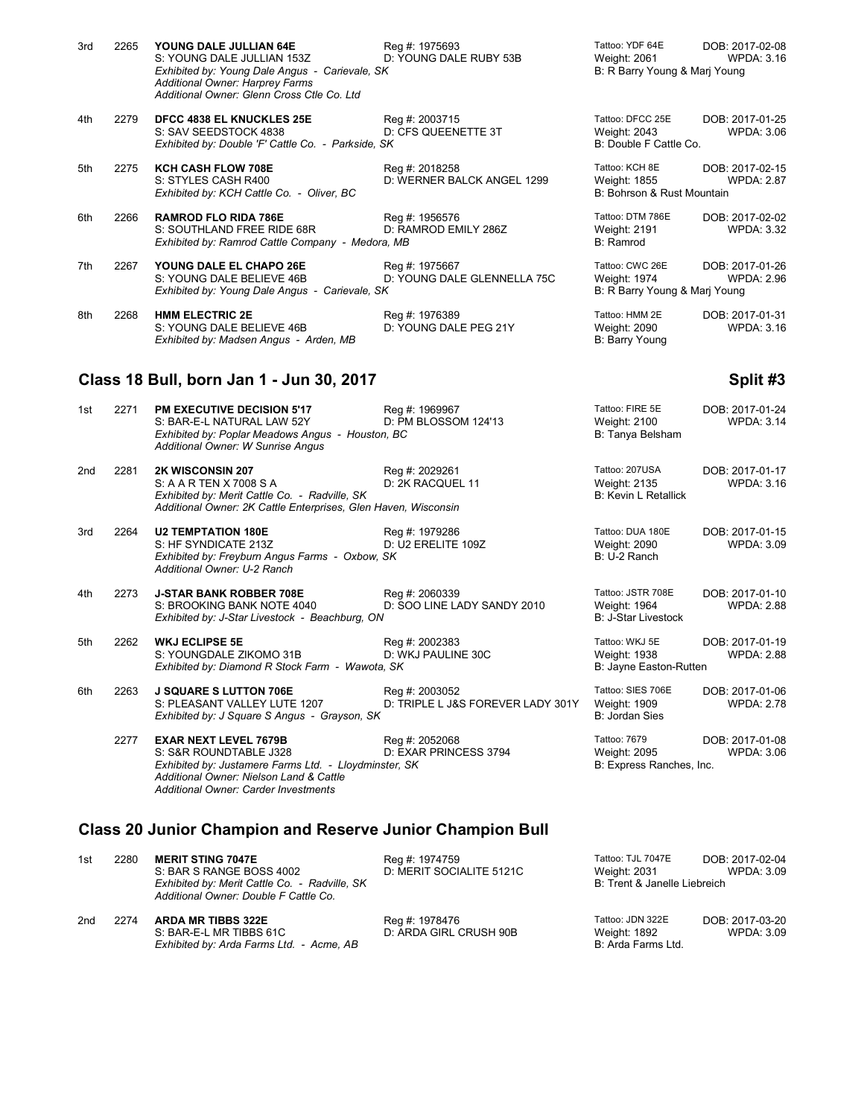| 3rd | 2265 | YOUNG DALE JULLIAN 64E<br>S: YOUNG DALE JULLIAN 153Z<br>Exhibited by: Young Dale Angus - Carievale, SK<br><b>Additional Owner: Harprey Farms</b><br>Additional Owner: Glenn Cross Ctle Co. Ltd | Reg #: 1975693<br>D: YOUNG DALE RUBY 53B      | Tattoo: YDF 64E<br>Weight: 2061<br>B: R Barry Young & Mari Young | DOB: 2017-02-08<br><b>WPDA: 3.16</b> |
|-----|------|------------------------------------------------------------------------------------------------------------------------------------------------------------------------------------------------|-----------------------------------------------|------------------------------------------------------------------|--------------------------------------|
| 4th | 2279 | <b>DFCC 4838 EL KNUCKLES 25E</b><br>S: SAV SEEDSTOCK 4838<br>Exhibited by: Double 'F' Cattle Co. - Parkside, SK                                                                                | Reg #: 2003715<br>D: CFS QUEENETTE 3T         | Tattoo: DFCC 25E<br>Weight: 2043<br>B: Double F Cattle Co.       | DOB: 2017-01-25<br>WPDA: 3.06        |
| 5th | 2275 | <b>KCH CASH FLOW 708E</b><br>S: STYLES CASH R400<br>Exhibited by: KCH Cattle Co. - Oliver, BC                                                                                                  | Reg #: 2018258<br>D: WERNER BALCK ANGEL 1299  | Tattoo: KCH 8E<br>Weight: 1855<br>B: Bohrson & Rust Mountain     | DOB: 2017-02-15<br><b>WPDA: 2.87</b> |
| 6th | 2266 | <b>RAMROD FLO RIDA 786E</b><br>S: SOUTHLAND FREE RIDE 68R<br>Exhibited by: Ramrod Cattle Company - Medora, MB                                                                                  | Reg #: 1956576<br>D: RAMROD EMILY 286Z        | Tattoo: DTM 786E<br><b>Weight: 2191</b><br>B: Ramrod             | DOB: 2017-02-02<br><b>WPDA: 3.32</b> |
| 7th | 2267 | YOUNG DALE EL CHAPO 26E<br>S: YOUNG DALE BELIEVE 46B<br>Exhibited by: Young Dale Angus - Carievale, SK                                                                                         | Reg #: 1975667<br>D: YOUNG DALE GLENNELLA 75C | Tattoo: CWC 26E<br>Weight: 1974<br>B: R Barry Young & Marj Young | DOB: 2017-01-26<br><b>WPDA: 2.96</b> |
| 8th | 2268 | <b>HMM ELECTRIC 2E</b><br>S: YOUNG DALE BELIEVE 46B<br>Exhibited by: Madsen Angus - Arden, MB                                                                                                  | Req #: 1976389<br>D: YOUNG DALE PEG 21Y       | Tattoo: HMM 2E<br>Weight: 2090<br>B: Barry Young                 | DOB: 2017-01-31<br>WPDA: 3.16        |

### **Class 18 Bull, born Jan 1 - Jun 30, 2017 Split #3**

| 1st | 2271 | <b>PM EXECUTIVE DECISION 5'17</b><br>S: BAR-E-L NATURAL LAW 52Y<br>Exhibited by: Poplar Meadows Angus - Houston, BC<br>Additional Owner: W Sunrise Angus                                                  | Reg #: 1969967<br>D: PM BLOSSOM 124'13              | Tattoo: FIRE 5E<br>Weight: 2100<br>B: Tanya Belsham             | DOB: 2017-01-24<br><b>WPDA: 3.14</b> |
|-----|------|-----------------------------------------------------------------------------------------------------------------------------------------------------------------------------------------------------------|-----------------------------------------------------|-----------------------------------------------------------------|--------------------------------------|
| 2nd | 2281 | 2K WISCONSIN 207<br>S: A A R TEN X 7008 S A<br>Exhibited by: Merit Cattle Co. - Radville, SK<br>Additional Owner: 2K Cattle Enterprises, Glen Haven, Wisconsin                                            | Reg #: 2029261<br>D: 2K RACQUEL 11                  | Tattoo: 207USA<br>Weight: 2135<br><b>B: Kevin L Retallick</b>   | DOB: 2017-01-17<br><b>WPDA: 3.16</b> |
| 3rd | 2264 | <b>U2 TEMPTATION 180E</b><br>S: HF SYNDICATE 213Z<br>Exhibited by: Freyburn Angus Farms - Oxbow, SK<br>Additional Owner: U-2 Ranch                                                                        | Reg #: 1979286<br>D: U2 ERELITE 109Z                | Tattoo: DUA 180E<br>Weight: 2090<br>B: U-2 Ranch                | DOB: 2017-01-15<br><b>WPDA: 3.09</b> |
| 4th | 2273 | <b>J-STAR BANK ROBBER 708E</b><br>S: BROOKING BANK NOTE 4040<br>Exhibited by: J-Star Livestock - Beachburg, ON                                                                                            | Reg #: 2060339<br>D: SOO LINE LADY SANDY 2010       | Tattoo: JSTR 708E<br>Weight: 1964<br><b>B: J-Star Livestock</b> | DOB: 2017-01-10<br><b>WPDA: 2.88</b> |
| 5th | 2262 | <b>WKJ ECLIPSE 5E</b><br>S: YOUNGDALE ZIKOMO 31B<br>Exhibited by: Diamond R Stock Farm - Wawota, SK                                                                                                       | Reg #: 2002383<br>D: WKJ PAULINE 30C                | Tattoo: WKJ 5E<br>Weight: 1938<br>B: Jayne Easton-Rutten        | DOB: 2017-01-19<br><b>WPDA: 2.88</b> |
| 6th | 2263 | <b>J SQUARE S LUTTON 706E</b><br>S: PLEASANT VALLEY LUTE 1207<br>Exhibited by: J Square S Angus - Grayson, SK                                                                                             | Reg #: 2003052<br>D: TRIPLE L J&S FOREVER LADY 301Y | Tattoo: SIES 706E<br>Weight: 1909<br><b>B: Jordan Sies</b>      | DOB: 2017-01-06<br><b>WPDA: 2.78</b> |
|     | 2277 | <b>EXAR NEXT LEVEL 7679B</b><br>S: S&R ROUNDTABLE J328<br>Exhibited by: Justamere Farms Ltd. - Lloydminster, SK<br>Additional Owner: Nielson Land & Cattle<br><b>Additional Owner: Carder Investments</b> | Reg #: 2052068<br>D: EXAR PRINCESS 3794             | Tattoo: 7679<br>Weight: 2095<br>B: Express Ranches, Inc.        | DOB: 2017-01-08<br><b>WPDA: 3.06</b> |

# **Class 20 Junior Champion and Reserve Junior Champion Bull**

| 1st | 2280 | <b>MERIT STING 7047E</b><br>S: BAR S RANGE BOSS 4002<br>Exhibited by: Merit Cattle Co. - Radville, SK<br>Additional Owner: Double F Cattle Co. | Reg #: 1974759<br>D: MERIT SOCIALITE 5121C | Tattoo: TJL 7047E<br>Weight: 2031<br>B: Trent & Janelle Liebreich | DOB: 2017-02-04<br>WPDA: 3.09 |
|-----|------|------------------------------------------------------------------------------------------------------------------------------------------------|--------------------------------------------|-------------------------------------------------------------------|-------------------------------|
| 2nd | 2274 | <b>ARDA MR TIBBS 322E</b><br>S: BAR-E-L MR TIBBS 61C<br>Exhibited by: Arda Farms Ltd. - Acme, AB                                               | Reg #: 1978476<br>D: ARDA GIRL CRUSH 90B   | Tattoo: JDN 322E<br>Weight: 1892<br>B: Arda Farms Ltd.            | DOB: 2017-03-20<br>WPDA: 3.09 |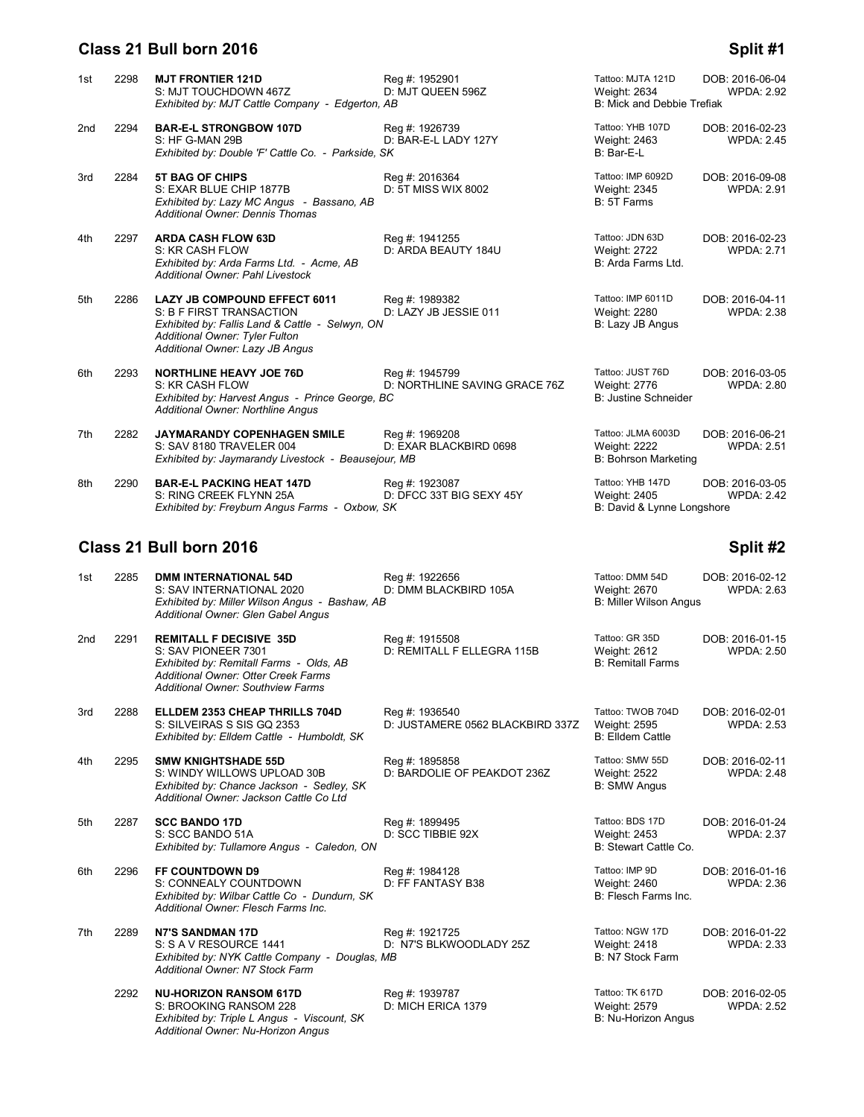# **Class 21 Bull born 2016 Split #1**

| Tattoo: YHB 107D<br>2294<br><b>BAR-E-L STRONGBOW 107D</b><br>Reg #: 1926739<br>2nd<br>D: BAR-E-L LADY 127Y<br>S: HF G-MAN 29B<br>Weight: 2463<br>Exhibited by: Double 'F' Cattle Co. - Parkside, SK<br>B: Bar-E-L<br><b>5T BAG OF CHIPS</b><br>Reg #: 2016364<br>Tattoo: IMP 6092D<br>2284<br>3rd<br>D: 5T MISS WIX 8002<br>S: EXAR BLUE CHIP 1877B<br>Weight: 2345<br>Exhibited by: Lazy MC Angus - Bassano, AB<br>B: 5T Farms<br><b>Additional Owner: Dennis Thomas</b><br><b>ARDA CASH FLOW 63D</b><br>Tattoo: JDN 63D<br>2297<br>Reg #: 1941255<br>4th<br>D: ARDA BEAUTY 184U<br>S: KR CASH FLOW<br><b>Weight: 2722</b><br>Exhibited by: Arda Farms Ltd. - Acme, AB<br>B: Arda Farms Ltd.<br>Additional Owner: Pahl Livestock<br><b>LAZY JB COMPOUND EFFECT 6011</b><br>Tattoo: IMP 6011D<br>2286<br>Reg #: 1989382<br>5th<br>S: B F FIRST TRANSACTION<br>D: LAZY JB JESSIE 011<br>Weight: 2280<br>Exhibited by: Fallis Land & Cattle - Selwyn, ON<br>B: Lazy JB Angus<br>Additional Owner: Tyler Fulton<br>Additional Owner: Lazy JB Angus<br>Tattoo: JUST 76D<br><b>NORTHLINE HEAVY JOE 76D</b><br>Reg #: 1945799<br>2293<br>6th<br>S: KR CASH FLOW<br>D: NORTHLINE SAVING GRACE 76Z<br><b>Weight: 2776</b><br>Exhibited by: Harvest Angus - Prince George, BC<br><b>B: Justine Schneider</b><br>Additional Owner: Northline Angus<br>Tattoo: JLMA 6003D<br>2282<br><b>JAYMARANDY COPENHAGEN SMILE</b><br>Reg #: 1969208<br>7th<br>S: SAV 8180 TRAVELER 004<br>D: EXAR BLACKBIRD 0698<br><b>Weight: 2222</b><br>Exhibited by: Jaymarandy Livestock - Beausejour, MB<br>B: Bohrson Marketing<br>Tattoo: YHB 147D<br><b>BAR-E-L PACKING HEAT 147D</b><br>2290<br>Reg #: 1923087<br>8th<br>S: RING CREEK FLYNN 25A<br>D: DFCC 33T BIG SEXY 45Y<br>Weight: 2405<br>Exhibited by: Freyburn Angus Farms - Oxbow, SK<br>B: David & Lynne Longshore | 1st | 2298 | <b>MJT FRONTIER 121D</b><br>S: MJT TOUCHDOWN 467Z<br>Exhibited by: MJT Cattle Company - Edgerton, AB | Reg #: 1952901<br>D: MJT QUEEN 596Z | Tattoo: MJTA 121D<br>Weight: 2634<br>B: Mick and Debbie Trefiak | DOB: 2016-06-04<br><b>WPDA: 2.92</b> |
|---------------------------------------------------------------------------------------------------------------------------------------------------------------------------------------------------------------------------------------------------------------------------------------------------------------------------------------------------------------------------------------------------------------------------------------------------------------------------------------------------------------------------------------------------------------------------------------------------------------------------------------------------------------------------------------------------------------------------------------------------------------------------------------------------------------------------------------------------------------------------------------------------------------------------------------------------------------------------------------------------------------------------------------------------------------------------------------------------------------------------------------------------------------------------------------------------------------------------------------------------------------------------------------------------------------------------------------------------------------------------------------------------------------------------------------------------------------------------------------------------------------------------------------------------------------------------------------------------------------------------------------------------------------------------------------------------------------------------------------------------------------------------------------------------------------------------------------------------|-----|------|------------------------------------------------------------------------------------------------------|-------------------------------------|-----------------------------------------------------------------|--------------------------------------|
|                                                                                                                                                                                                                                                                                                                                                                                                                                                                                                                                                                                                                                                                                                                                                                                                                                                                                                                                                                                                                                                                                                                                                                                                                                                                                                                                                                                                                                                                                                                                                                                                                                                                                                                                                                                                                                                   |     |      |                                                                                                      |                                     |                                                                 | DOB: 2016-02-23<br><b>WPDA: 2.45</b> |
|                                                                                                                                                                                                                                                                                                                                                                                                                                                                                                                                                                                                                                                                                                                                                                                                                                                                                                                                                                                                                                                                                                                                                                                                                                                                                                                                                                                                                                                                                                                                                                                                                                                                                                                                                                                                                                                   |     |      |                                                                                                      |                                     |                                                                 | DOB: 2016-09-08<br><b>WPDA: 2.91</b> |
|                                                                                                                                                                                                                                                                                                                                                                                                                                                                                                                                                                                                                                                                                                                                                                                                                                                                                                                                                                                                                                                                                                                                                                                                                                                                                                                                                                                                                                                                                                                                                                                                                                                                                                                                                                                                                                                   |     |      |                                                                                                      |                                     |                                                                 | DOB: 2016-02-23<br><b>WPDA: 2.71</b> |
|                                                                                                                                                                                                                                                                                                                                                                                                                                                                                                                                                                                                                                                                                                                                                                                                                                                                                                                                                                                                                                                                                                                                                                                                                                                                                                                                                                                                                                                                                                                                                                                                                                                                                                                                                                                                                                                   |     |      |                                                                                                      |                                     |                                                                 | DOB: 2016-04-11<br><b>WPDA: 2.38</b> |
|                                                                                                                                                                                                                                                                                                                                                                                                                                                                                                                                                                                                                                                                                                                                                                                                                                                                                                                                                                                                                                                                                                                                                                                                                                                                                                                                                                                                                                                                                                                                                                                                                                                                                                                                                                                                                                                   |     |      |                                                                                                      |                                     |                                                                 | DOB: 2016-03-05<br><b>WPDA: 2.80</b> |
|                                                                                                                                                                                                                                                                                                                                                                                                                                                                                                                                                                                                                                                                                                                                                                                                                                                                                                                                                                                                                                                                                                                                                                                                                                                                                                                                                                                                                                                                                                                                                                                                                                                                                                                                                                                                                                                   |     |      |                                                                                                      |                                     |                                                                 | DOB: 2016-06-21<br><b>WPDA: 2.51</b> |
|                                                                                                                                                                                                                                                                                                                                                                                                                                                                                                                                                                                                                                                                                                                                                                                                                                                                                                                                                                                                                                                                                                                                                                                                                                                                                                                                                                                                                                                                                                                                                                                                                                                                                                                                                                                                                                                   |     |      |                                                                                                      |                                     |                                                                 | DOB: 2016-03-05<br><b>WPDA: 2.42</b> |

# **Class 21 Bull born 2016 Split #2**

| 1st | 2285 | <b>DMM INTERNATIONAL 54D</b><br>S: SAV INTERNATIONAL 2020<br>Exhibited by: Miller Wilson Angus - Bashaw, AB<br>Additional Owner: Glen Gabel Angus                                          | Reg #: 1922656<br>D: DMM BLACKBIRD 105A            | Tattoo: DMM 54D<br>Weight: 2670<br><b>B: Miller Wilson Angus</b> | DOB: 2016-02-12<br><b>WPDA: 2.63</b> |
|-----|------|--------------------------------------------------------------------------------------------------------------------------------------------------------------------------------------------|----------------------------------------------------|------------------------------------------------------------------|--------------------------------------|
| 2nd | 2291 | <b>REMITALL F DECISIVE 35D</b><br>S: SAV PIONEER 7301<br>Exhibited by: Remitall Farms - Olds, AB<br><b>Additional Owner: Otter Creek Farms</b><br><b>Additional Owner: Southview Farms</b> | Reg #: 1915508<br>D: REMITALL F ELLEGRA 115B       | Tattoo: GR 35D<br>Weight: 2612<br><b>B: Remitall Farms</b>       | DOB: 2016-01-15<br><b>WPDA: 2.50</b> |
| 3rd | 2288 | ELLDEM 2353 CHEAP THRILLS 704D<br>S: SILVEIRAS S SIS GQ 2353<br>Exhibited by: Elldem Cattle - Humboldt, SK                                                                                 | Reg #: 1936540<br>D: JUSTAMERE 0562 BLACKBIRD 337Z | Tattoo: TWOB 704D<br>Weight: 2595<br><b>B: Elldem Cattle</b>     | DOB: 2016-02-01<br><b>WPDA: 2.53</b> |
| 4th | 2295 | <b>SMW KNIGHTSHADE 55D</b><br>S: WINDY WILLOWS UPLOAD 30B<br>Exhibited by: Chance Jackson - Sedley, SK<br>Additional Owner: Jackson Cattle Co Ltd                                          | Reg #: 1895858<br>D: BARDOLIE OF PEAKDOT 236Z      | Tattoo: SMW 55D<br><b>Weight: 2522</b><br><b>B: SMW Angus</b>    | DOB: 2016-02-11<br><b>WPDA: 2.48</b> |
| 5th | 2287 | <b>SCC BANDO 17D</b><br>S: SCC BANDO 51A<br>Exhibited by: Tullamore Angus - Caledon, ON                                                                                                    | Reg #: 1899495<br>D: SCC TIBBIE 92X                | Tattoo: BDS 17D<br>Weight: 2453<br>B: Stewart Cattle Co.         | DOB: 2016-01-24<br><b>WPDA: 2.37</b> |
| 6th | 2296 | FF COUNTDOWN D9<br>S: CONNEALY COUNTDOWN<br>Exhibited by: Wilbar Cattle Co - Dundurn, SK<br>Additional Owner: Flesch Farms Inc.                                                            | Reg #: 1984128<br>D: FF FANTASY B38                | Tattoo: IMP 9D<br><b>Weight: 2460</b><br>B: Flesch Farms Inc.    | DOB: 2016-01-16<br><b>WPDA: 2.36</b> |
| 7th | 2289 | <b>N7'S SANDMAN 17D</b><br>S: S A V RESOURCE 1441<br>Exhibited by: NYK Cattle Company - Douglas, MB<br>Additional Owner: N7 Stock Farm                                                     | Reg #: 1921725<br>D: N7'S BLKWOODLADY 25Z          | Tattoo: NGW 17D<br><b>Weight: 2418</b><br>B: N7 Stock Farm       | DOB: 2016-01-22<br><b>WPDA: 2.33</b> |
|     | 2292 | <b>NU-HORIZON RANSOM 617D</b><br>S: BROOKING RANSOM 228<br>Exhibited by: Triple L Angus - Viscount, SK<br>Additional Owner: Nu-Horizon Angus                                               | Reg #: 1939787<br>D: MICH ERICA 1379               | Tattoo: TK 617D<br>Weight: 2579<br>B: Nu-Horizon Angus           | DOB: 2016-02-05<br><b>WPDA: 2.52</b> |